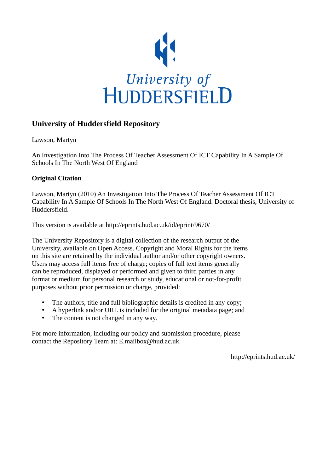

### **University of Huddersfield Repository**

Lawson, Martyn

An Investigation Into The Process Of Teacher Assessment Of ICT Capability In A Sample Of Schools In The North West Of England

### **Original Citation**

Lawson, Martyn (2010) An Investigation Into The Process Of Teacher Assessment Of ICT Capability In A Sample Of Schools In The North West Of England. Doctoral thesis, University of Huddersfield.

This version is available at http://eprints.hud.ac.uk/id/eprint/9670/

The University Repository is a digital collection of the research output of the University, available on Open Access. Copyright and Moral Rights for the items on this site are retained by the individual author and/or other copyright owners. Users may access full items free of charge; copies of full text items generally can be reproduced, displayed or performed and given to third parties in any format or medium for personal research or study, educational or not-for-profit purposes without prior permission or charge, provided:

- The authors, title and full bibliographic details is credited in any copy;
- A hyperlink and/or URL is included for the original metadata page; and
- The content is not changed in any way.

For more information, including our policy and submission procedure, please contact the Repository Team at: E.mailbox@hud.ac.uk.

http://eprints.hud.ac.uk/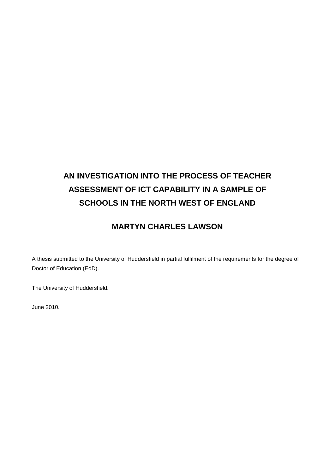# **AN INVESTIGATION INTO THE PROCESS OF TEACHER ASSESSMENT OF ICT CAPABILITY IN A SAMPLE OF SCHOOLS IN THE NORTH WEST OF ENGLAND**

## **MARTYN CHARLES LAWSON**

A thesis submitted to the University of Huddersfield in partial fulfilment of the requirements for the degree of Doctor of Education (EdD).

The University of Huddersfield.

June 2010.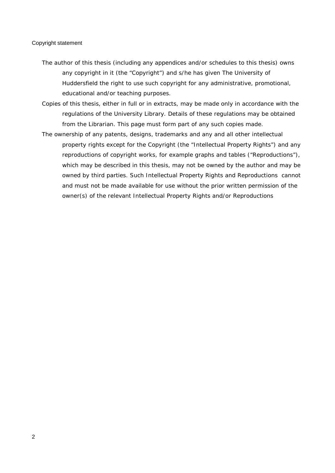#### Copyright statement

- The author of this thesis (including any appendices and/or schedules to this thesis) owns any copyright in it (the "Copyright") and s/he has given The University of Huddersfield the right to use such copyright for any administrative, promotional, educational and/or teaching purposes.
- Copies of this thesis, either in full or in extracts, may be made only in accordance with the regulations of the University Library. Details of these regulations may be obtained from the Librarian. This page must form part of any such copies made.
- The ownership of any patents, designs, trademarks and any and all other intellectual property rights except for the Copyright (the "Intellectual Property Rights") and any reproductions of copyright works, for example graphs and tables ("Reproductions"), which may be described in this thesis, may not be owned by the author and may be owned by third parties. Such Intellectual Property Rights and Reproductions cannot and must not be made available for use without the prior written permission of the owner(s) of the relevant Intellectual Property Rights and/or Reproductions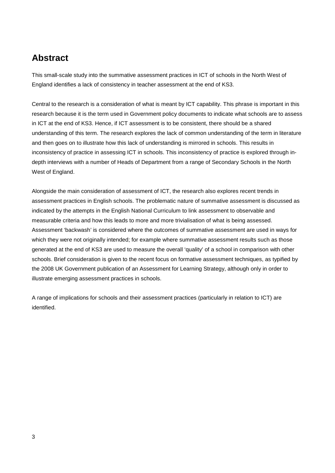# <span id="page-3-0"></span>**Abstract**

This small-scale study into the summative assessment practices in ICT of schools in the North West of England identifies a lack of consistency in teacher assessment at the end of KS3.

Central to the research is a consideration of what is meant by ICT capability. This phrase is important in this research because it is the term used in Government policy documents to indicate what schools are to assess in ICT at the end of KS3. Hence, if ICT assessment is to be consistent, there should be a shared understanding of this term. The research explores the lack of common understanding of the term in literature and then goes on to illustrate how this lack of understanding is mirrored in schools. This results in inconsistency of practice in assessing ICT in schools. This inconsistency of practice is explored through indepth interviews with a number of Heads of Department from a range of Secondary Schools in the North West of England.

Alongside the main consideration of assessment of ICT, the research also explores recent trends in assessment practices in English schools. The problematic nature of summative assessment is discussed as indicated by the attempts in the English National Curriculum to link assessment to observable and measurable criteria and how this leads to more and more trivialisation of what is being assessed. Assessment 'backwash' is considered where the outcomes of summative assessment are used in ways for which they were not originally intended; for example where summative assessment results such as those generated at the end of KS3 are used to measure the overall 'quality' of a school in comparison with other schools. Brief consideration is given to the recent focus on formative assessment techniques, as typified by the 2008 UK Government publication of an Assessment for Learning Strategy, although only in order to illustrate emerging assessment practices in schools.

A range of implications for schools and their assessment practices (particularly in relation to ICT) are identified.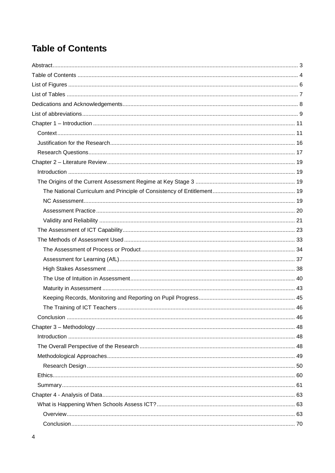# <span id="page-4-0"></span>**Table of Contents**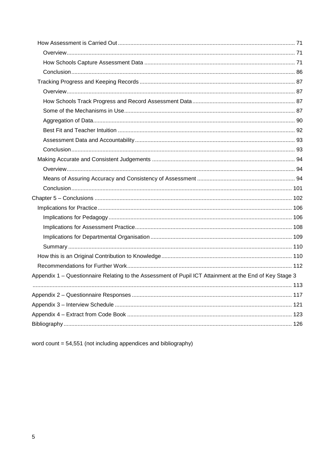| Appendix 1 - Questionnaire Relating to the Assessment of Pupil ICT Attainment at the End of Key Stage 3 |  |
|---------------------------------------------------------------------------------------------------------|--|
|                                                                                                         |  |
|                                                                                                         |  |
|                                                                                                         |  |
|                                                                                                         |  |
|                                                                                                         |  |

word count = 54,551 (not including appendices and bibliography)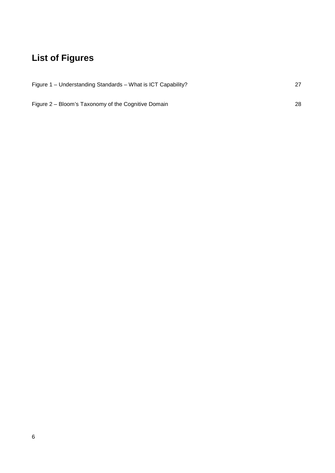# <span id="page-6-0"></span>**List of Figures**

| Figure 1 – Understanding Standards – What is ICT Capability? |    |
|--------------------------------------------------------------|----|
|                                                              |    |
| Figure 2 – Bloom's Taxonomy of the Cognitive Domain          | 28 |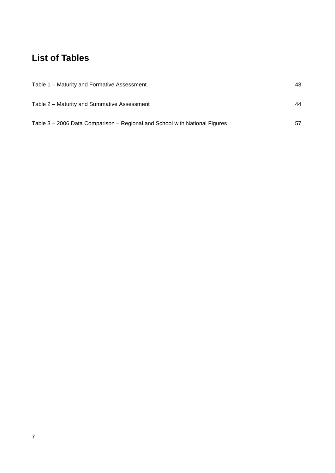# <span id="page-7-0"></span>**List of Tables**

| Table 1 - Maturity and Formative Assessment                                | 43 |
|----------------------------------------------------------------------------|----|
| Table 2 – Maturity and Summative Assessment                                | 44 |
| Table 3 – 2006 Data Comparison – Regional and School with National Figures | 57 |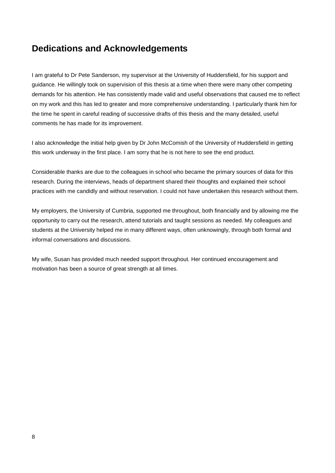# <span id="page-8-0"></span>**Dedications and Acknowledgements**

I am grateful to Dr Pete Sanderson, my supervisor at the University of Huddersfield, for his support and guidance. He willingly took on supervision of this thesis at a time when there were many other competing demands for his attention. He has consistently made valid and useful observations that caused me to reflect on my work and this has led to greater and more comprehensive understanding. I particularly thank him for the time he spent in careful reading of successive drafts of this thesis and the many detailed, useful comments he has made for its improvement.

I also acknowledge the initial help given by Dr John McComish of the University of Huddersfield in getting this work underway in the first place. I am sorry that he is not here to see the end product.

Considerable thanks are due to the colleagues in school who became the primary sources of data for this research. During the interviews, heads of department shared their thoughts and explained their school practices with me candidly and without reservation. I could not have undertaken this research without them.

My employers, the University of Cumbria, supported me throughout, both financially and by allowing me the opportunity to carry out the research, attend tutorials and taught sessions as needed. My colleagues and students at the University helped me in many different ways, often unknowingly, through both formal and informal conversations and discussions.

My wife, Susan has provided much needed support throughout. Her continued encouragement and motivation has been a source of great strength at all times.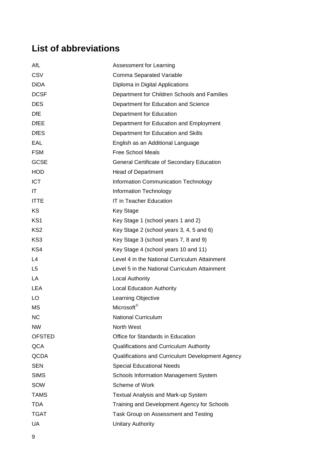# <span id="page-9-0"></span>**List of abbreviations**

| AfL             | Assessment for Learning                          |
|-----------------|--------------------------------------------------|
| CSV             | Comma Separated Variable                         |
| <b>DiDA</b>     | Diploma in Digital Applications                  |
| <b>DCSF</b>     | Department for Children Schools and Families     |
| <b>DES</b>      | Department for Education and Science             |
| <b>DfE</b>      | Department for Education                         |
| <b>DfEE</b>     | Department for Education and Employment          |
| <b>DfES</b>     | Department for Education and Skills              |
| EAL             | English as an Additional Language                |
| <b>FSM</b>      | <b>Free School Meals</b>                         |
| <b>GCSE</b>     | General Certificate of Secondary Education       |
| <b>HOD</b>      | <b>Head of Department</b>                        |
| <b>ICT</b>      | <b>Information Communication Technology</b>      |
| ΙT              | Information Technology                           |
| <b>ITTE</b>     | IT in Teacher Education                          |
| ΚS              | Key Stage                                        |
| KS <sub>1</sub> | Key Stage 1 (school years 1 and 2)               |
| KS <sub>2</sub> | Key Stage 2 (school years 3, 4, 5 and 6)         |
| KS3             | Key Stage 3 (school years 7, 8 and 9)            |
| KS4             | Key Stage 4 (school years 10 and 11)             |
| L4              | Level 4 in the National Curriculum Attainment    |
| L5              | Level 5 in the National Curriculum Attainment    |
| LA              | <b>Local Authority</b>                           |
| <b>LEA</b>      | <b>Local Education Authority</b>                 |
| LO              | Learning Objective                               |
| MS              | Microsoft <sup>®</sup>                           |
| <b>NC</b>       | <b>National Curriculum</b>                       |
| <b>NW</b>       | North West                                       |
| <b>OFSTED</b>   | Office for Standards in Education                |
| QCA             | Qualifications and Curriculum Authority          |
| QCDA            | Qualifications and Curriculum Development Agency |
| <b>SEN</b>      | <b>Special Educational Needs</b>                 |
| <b>SIMS</b>     | Schools Information Management System            |
| SOW             | Scheme of Work                                   |
| <b>TAMS</b>     | Textual Analysis and Mark-up System              |
| <b>TDA</b>      | Training and Development Agency for Schools      |
| <b>TGAT</b>     | Task Group on Assessment and Testing             |
| UA              | <b>Unitary Authority</b>                         |
|                 |                                                  |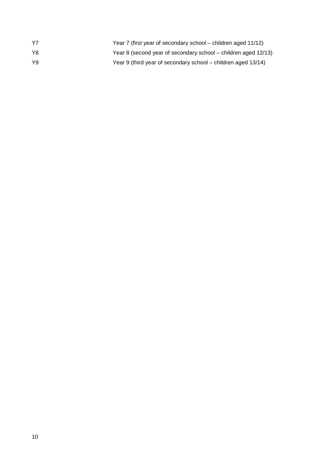| Y7 | Year 7 (first year of secondary school – children aged 11/12)  |
|----|----------------------------------------------------------------|
| Y8 | Year 8 (second year of secondary school – children aged 12/13) |
| Y9 | Year 9 (third year of secondary school – children aged 13/14)  |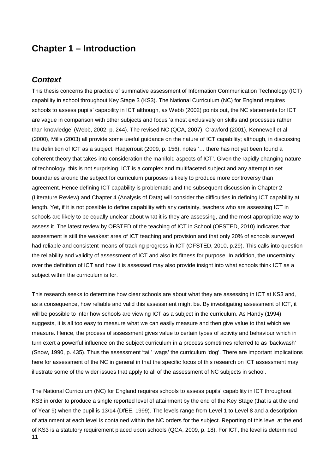## <span id="page-11-0"></span>**Chapter 1 – Introduction**

### <span id="page-11-1"></span>*Context*

This thesis concerns the practice of summative assessment of Information Communication Technology (ICT) capability in school throughout Key Stage 3 (KS3). The National Curriculum (NC) for England requires schools to assess pupils' capability in ICT although, as Webb (2002) points out, the NC statements for ICT are vague in comparison with other subjects and focus 'almost exclusively on skills and processes rather than knowledge' (Webb, 2002, p. 244). The revised NC (QCA, 2007), Crawford (2001), Kennewell et al (2000), Mills (2003) all provide some useful guidance on the nature of ICT capability; although, in discussing the definition of ICT as a subject, Hadjerrouit (2009, p. 156), notes '… there has not yet been found a coherent theory that takes into consideration the manifold aspects of ICT'. Given the rapidly changing nature of technology, this is not surprising. ICT is a complex and multifaceted subject and any attempt to set boundaries around the subject for curriculum purposes is likely to produce more controversy than agreement. Hence defining ICT capability is problematic and the subsequent discussion in Chapter 2 (Literature Review) and Chapter 4 (Analysis of Data) will consider the difficulties in defining ICT capability at length. Yet, if it is not possible to define capability with any certainty, teachers who are assessing ICT in schools are likely to be equally unclear about what it is they are assessing, and the most appropriate way to assess it. The latest review by OFSTED of the teaching of ICT in School (OFSTED, 2010) indicates that assessment is still the weakest area of ICT teaching and provision and that only 20% of schools surveyed had reliable and consistent means of tracking progress in ICT (OFSTED, 2010, p.29). This calls into question the reliability and validity of assessment of ICT and also its fitness for purpose. In addition, the uncertainty over the definition of ICT and how it is assessed may also provide insight into what schools think ICT as a subject within the curriculum is for.

This research seeks to determine how clear schools are about what they are assessing in ICT at KS3 and, as a consequence, how reliable and valid this assessment might be. By investigating assessment of ICT, it will be possible to infer how schools are viewing ICT as a subject in the curriculum. As Handy (1994) suggests, it is all too easy to measure what we can easily measure and then give value to that which we measure. Hence, the process of assessment gives value to certain types of activity and behaviour which in turn exert a powerful influence on the subject curriculum in a process sometimes referred to as 'backwash' (Snow, 1990, p. 435). Thus the assessment 'tail' 'wags' the curriculum 'dog'. There are important implications here for assessment of the NC in general in that the specific focus of this research on ICT assessment may illustrate some of the wider issues that apply to all of the assessment of NC subjects in school.

11 The National Curriculum (NC) for England requires schools to assess pupils' capability in ICT throughout KS3 in order to produce a single reported level of attainment by the end of the Key Stage (that is at the end of Year 9) when the pupil is 13/14 (DfEE, 1999). The levels range from Level 1 to Level 8 and a description of attainment at each level is contained within the NC orders for the subject. Reporting of this level at the end of KS3 is a statutory requirement placed upon schools (QCA, 2009, p. 18). For ICT, the level is determined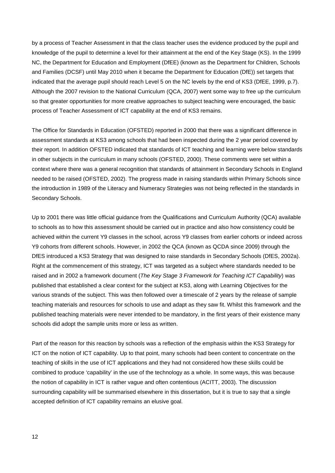by a process of Teacher Assessment in that the class teacher uses the evidence produced by the pupil and knowledge of the pupil to determine a level for their attainment at the end of the Key Stage (KS). In the 1999 NC, the Department for Education and Employment (DfEE) (known as the Department for Children, Schools and Families (DCSF) until May 2010 when it became the Department for Education (DfE)) set targets that indicated that the average pupil should reach Level 5 on the NC levels by the end of KS3 (DfEE, 1999, p.7). Although the 2007 revision to the National Curriculum (QCA, 2007) went some way to free up the curriculum so that greater opportunities for more creative approaches to subject teaching were encouraged, the basic process of Teacher Assessment of ICT capability at the end of KS3 remains.

The Office for Standards in Education (OFSTED) reported in 2000 that there was a significant difference in assessment standards at KS3 among schools that had been inspected during the 2 year period covered by their report. In addition OFSTED indicated that standards of ICT teaching and learning were below standards in other subjects in the curriculum in many schools (OFSTED, 2000). These comments were set within a context where there was a general recognition that standards of attainment in Secondary Schools in England needed to be raised (OFSTED, 2002). The progress made in raising standards within Primary Schools since the introduction in 1989 of the Literacy and Numeracy Strategies was not being reflected in the standards in Secondary Schools.

Up to 2001 there was little official guidance from the Qualifications and Curriculum Authority (QCA) available to schools as to how this assessment should be carried out in practice and also how consistency could be achieved within the current Y9 classes in the school, across Y9 classes from earlier cohorts or indeed across Y9 cohorts from different schools. However, in 2002 the QCA (known as QCDA since 2009) through the DfES introduced a KS3 Strategy that was designed to raise standards in Secondary Schools (DfES, 2002a). Right at the commencement of this strategy, ICT was targeted as a subject where standards needed to be raised and in 2002 a framework document (*The Key Stage 3 Framework for Teaching ICT Capability*) was published that established a clear context for the subject at KS3, along with Learning Objectives for the various strands of the subject. This was then followed over a timescale of 2 years by the release of sample teaching materials and resources for schools to use and adapt as they saw fit. Whilst this framework and the published teaching materials were never intended to be mandatory, in the first years of their existence many schools did adopt the sample units more or less as written.

Part of the reason for this reaction by schools was a reflection of the emphasis within the KS3 Strategy for ICT on the notion of ICT capability. Up to that point, many schools had been content to concentrate on the teaching of skills in the use of ICT applications and they had not considered how these skills could be combined to produce 'capability' in the use of the technology as a whole. In some ways, this was because the notion of capability in ICT is rather vague and often contentious (ACITT, 2003). The discussion surrounding capability will be summarised elsewhere in this dissertation, but it is true to say that a single accepted definition of ICT capability remains an elusive goal.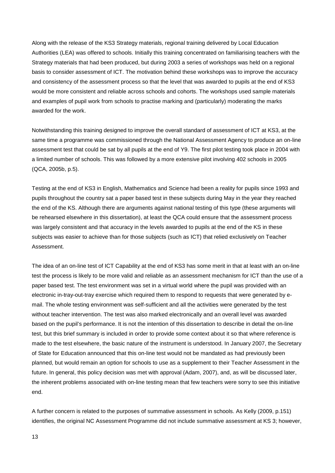Along with the release of the KS3 Strategy materials, regional training delivered by Local Education Authorities (LEA) was offered to schools. Initially this training concentrated on familiarising teachers with the Strategy materials that had been produced, but during 2003 a series of workshops was held on a regional basis to consider assessment of ICT. The motivation behind these workshops was to improve the accuracy and consistency of the assessment process so that the level that was awarded to pupils at the end of KS3 would be more consistent and reliable across schools and cohorts. The workshops used sample materials and examples of pupil work from schools to practise marking and (particularly) moderating the marks awarded for the work.

Notwithstanding this training designed to improve the overall standard of assessment of ICT at KS3, at the same time a programme was commissioned through the National Assessment Agency to produce an on-line assessment test that could be sat by all pupils at the end of Y9. The first pilot testing took place in 2004 with a limited number of schools. This was followed by a more extensive pilot involving 402 schools in 2005 (QCA, 2005b, p.5).

Testing at the end of KS3 in English, Mathematics and Science had been a reality for pupils since 1993 and pupils throughout the country sat a paper based test in these subjects during May in the year they reached the end of the KS. Although there are arguments against national testing of this type (these arguments will be rehearsed elsewhere in this dissertation), at least the QCA could ensure that the assessment process was largely consistent and that accuracy in the levels awarded to pupils at the end of the KS in these subjects was easier to achieve than for those subjects (such as ICT) that relied exclusively on Teacher Assessment.

The idea of an on-line test of ICT Capability at the end of KS3 has some merit in that at least with an on-line test the process is likely to be more valid and reliable as an assessment mechanism for ICT than the use of a paper based test. The test environment was set in a virtual world where the pupil was provided with an electronic in-tray-out-tray exercise which required them to respond to requests that were generated by email. The whole testing environment was self-sufficient and all the activities were generated by the test without teacher intervention. The test was also marked electronically and an overall level was awarded based on the pupil's performance. It is not the intention of this dissertation to describe in detail the on-line test, but this brief summary is included in order to provide some context about it so that where reference is made to the test elsewhere, the basic nature of the instrument is understood. In January 2007, the Secretary of State for Education announced that this on-line test would not be mandated as had previously been planned, but would remain an option for schools to use as a supplement to their Teacher Assessment in the future. In general, this policy decision was met with approval (Adam, 2007), and, as will be discussed later, the inherent problems associated with on-line testing mean that few teachers were sorry to see this initiative end.

A further concern is related to the purposes of summative assessment in schools. As Kelly (2009, p.151) identifies, the original NC Assessment Programme did not include summative assessment at KS 3; however,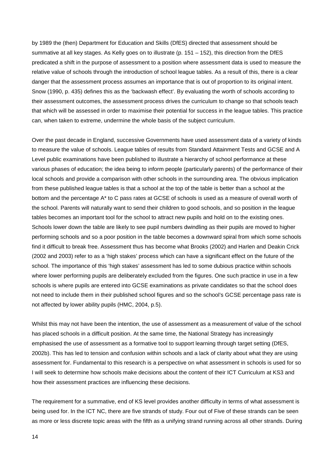by 1989 the (then) Department for Education and Skills (DfES) directed that assessment should be summative at all key stages. As Kelly goes on to illustrate (p. 151 – 152), this direction from the DfES predicated a shift in the purpose of assessment to a position where assessment data is used to measure the relative value of schools through the introduction of school league tables. As a result of this, there is a clear danger that the assessment process assumes an importance that is out of proportion to its original intent. Snow (1990, p. 435) defines this as the 'backwash effect'. By evaluating the worth of schools according to their assessment outcomes, the assessment process drives the curriculum to change so that schools teach that which will be assessed in order to maximise their potential for success in the league tables. This practice can, when taken to extreme, undermine the whole basis of the subject curriculum.

Over the past decade in England, successive Governments have used assessment data of a variety of kinds to measure the value of schools. League tables of results from Standard Attainment Tests and GCSE and A Level public examinations have been published to illustrate a hierarchy of school performance at these various phases of education; the idea being to inform people (particularly parents) of the performance of their local schools and provide a comparison with other schools in the surrounding area. The obvious implication from these published league tables is that a school at the top of the table is better than a school at the bottom and the percentage A\* to C pass rates at GCSE of schools is used as a measure of overall worth of the school. Parents will naturally want to send their children to good schools, and so position in the league tables becomes an important tool for the school to attract new pupils and hold on to the existing ones. Schools lower down the table are likely to see pupil numbers dwindling as their pupils are moved to higher performing schools and so a poor position in the table becomes a downward spiral from which some schools find it difficult to break free. Assessment thus has become what Brooks (2002) and Harlen and Deakin Crick (2002 and 2003) refer to as a 'high stakes' process which can have a significant effect on the future of the school. The importance of this 'high stakes' assessment has led to some dubious practice within schools where lower performing pupils are deliberately excluded from the figures. One such practice in use in a few schools is where pupils are entered into GCSE examinations as private candidates so that the school does not need to include them in their published school figures and so the school's GCSE percentage pass rate is not affected by lower ability pupils (HMC, 2004, p.5).

Whilst this may not have been the intention, the use of assessment as a measurement of value of the school has placed schools in a difficult position. At the same time, the National Strategy has increasingly emphasised the use of assessment as a formative tool to support learning through target setting (DfES, 2002b). This has led to tension and confusion within schools and a lack of clarity about what they are using assessment for. Fundamental to this research is a perspective on what assessment in schools is used for so I will seek to determine how schools make decisions about the content of their ICT Curriculum at KS3 and how their assessment practices are influencing these decisions.

The requirement for a summative, end of KS level provides another difficulty in terms of what assessment is being used for. In the ICT NC, there are five strands of study. Four out of Five of these strands can be seen as more or less discrete topic areas with the fifth as a unifying strand running across all other strands. During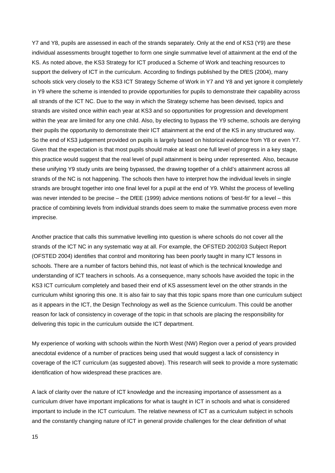Y7 and Y8, pupils are assessed in each of the strands separately. Only at the end of KS3 (Y9) are these individual assessments brought together to form one single summative level of attainment at the end of the KS. As noted above, the KS3 Strategy for ICT produced a Scheme of Work and teaching resources to support the delivery of ICT in the curriculum. According to findings published by the DfES (2004), many schools stick very closely to the KS3 ICT Strategy Scheme of Work in Y7 and Y8 and yet ignore it completely in Y9 where the scheme is intended to provide opportunities for pupils to demonstrate their capability across all strands of the ICT NC. Due to the way in which the Strategy scheme has been devised, topics and strands are visited once within each year at KS3 and so opportunities for progression and development within the year are limited for any one child. Also, by electing to bypass the Y9 scheme, schools are denying their pupils the opportunity to demonstrate their ICT attainment at the end of the KS in any structured way. So the end of KS3 judgement provided on pupils is largely based on historical evidence from Y8 or even Y7. Given that the expectation is that most pupils should make at least one full level of progress in a key stage, this practice would suggest that the real level of pupil attainment is being under represented. Also, because these unifying Y9 study units are being bypassed, the drawing together of a child's attainment across all strands of the NC is not happening. The schools then have to interpret how the individual levels in single strands are brought together into one final level for a pupil at the end of Y9. Whilst the process of levelling was never intended to be precise – the DfEE (1999) advice mentions notions of 'best-fit' for a level – this practice of combining levels from individual strands does seem to make the summative process even more imprecise.

Another practice that calls this summative levelling into question is where schools do not cover all the strands of the ICT NC in any systematic way at all. For example, the OFSTED 2002/03 Subject Report (OFSTED 2004) identifies that control and monitoring has been poorly taught in many ICT lessons in schools. There are a number of factors behind this, not least of which is the technical knowledge and understanding of ICT teachers in schools. As a consequence, many schools have avoided the topic in the KS3 ICT curriculum completely and based their end of KS assessment level on the other strands in the curriculum whilst ignoring this one. It is also fair to say that this topic spans more than one curriculum subject as it appears in the ICT, the Design Technology as well as the Science curriculum. This could be another reason for lack of consistency in coverage of the topic in that schools are placing the responsibility for delivering this topic in the curriculum outside the ICT department.

My experience of working with schools within the North West (NW) Region over a period of years provided anecdotal evidence of a number of practices being used that would suggest a lack of consistency in coverage of the ICT curriculum (as suggested above). This research will seek to provide a more systematic identification of how widespread these practices are.

A lack of clarity over the nature of ICT knowledge and the increasing importance of assessment as a curriculum driver have important implications for what is taught in ICT in schools and what is considered important to include in the ICT curriculum. The relative newness of ICT as a curriculum subject in schools and the constantly changing nature of ICT in general provide challenges for the clear definition of what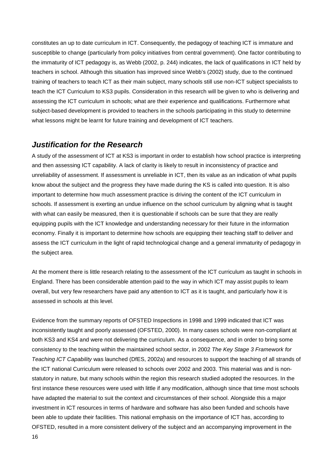constitutes an up to date curriculum in ICT. Consequently, the pedagogy of teaching ICT is immature and susceptible to change (particularly from policy initiatives from central government). One factor contributing to the immaturity of ICT pedagogy is, as Webb (2002, p. 244) indicates, the lack of qualifications in ICT held by teachers in school. Although this situation has improved since Webb's (2002) study, due to the continued training of teachers to teach ICT as their main subject, many schools still use non-ICT subject specialists to teach the ICT Curriculum to KS3 pupils. Consideration in this research will be given to who is delivering and assessing the ICT curriculum in schools; what are their experience and qualifications. Furthermore what subject-based development is provided to teachers in the schools participating in this study to determine what lessons might be learnt for future training and development of ICT teachers.

### <span id="page-16-0"></span>*Justification for the Research*

A study of the assessment of ICT at KS3 is important in order to establish how school practice is interpreting and then assessing ICT capability. A lack of clarity is likely to result in inconsistency of practice and unreliability of assessment. If assessment is unreliable in ICT, then its value as an indication of what pupils know about the subject and the progress they have made during the KS is called into question. It is also important to determine how much assessment practice is driving the content of the ICT curriculum in schools. If assessment is exerting an undue influence on the school curriculum by aligning what is taught with what can easily be measured, then it is questionable if schools can be sure that they are really equipping pupils with the ICT knowledge and understanding necessary for their future in the information economy. Finally it is important to determine how schools are equipping their teaching staff to deliver and assess the ICT curriculum in the light of rapid technological change and a general immaturity of pedagogy in the subject area.

At the moment there is little research relating to the assessment of the ICT curriculum as taught in schools in England. There has been considerable attention paid to the way in which ICT may assist pupils to learn overall, but very few researchers have paid any attention to ICT as it is taught, and particularly how it is assessed in schools at this level.

Evidence from the summary reports of OFSTED Inspections in 1998 and 1999 indicated that ICT was inconsistently taught and poorly assessed (OFSTED, 2000). In many cases schools were non-compliant at both KS3 and KS4 and were not delivering the curriculum. As a consequence, and in order to bring some consistency to the teaching within the maintained school sector, in 2002 *The Key Stage 3 Framework for Teaching ICT Capability* was launched (DfES, 2002a) and resources to support the teaching of all strands of the ICT national Curriculum were released to schools over 2002 and 2003. This material was and is nonstatutory in nature, but many schools within the region this research studied adopted the resources. In the first instance these resources were used with little if any modification, although since that time most schools have adapted the material to suit the context and circumstances of their school. Alongside this a major investment in ICT resources in terms of hardware and software has also been funded and schools have been able to update their facilities. This national emphasis on the importance of ICT has, according to OFSTED, resulted in a more consistent delivery of the subject and an accompanying improvement in the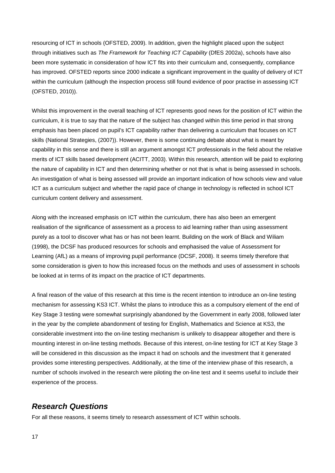resourcing of ICT in schools (OFSTED, 2009). In addition, given the highlight placed upon the subject through initiatives such as *The Framework for Teaching ICT Capability* (DfES 2002a), schools have also been more systematic in consideration of how ICT fits into their curriculum and, consequently, compliance has improved. OFSTED reports since 2000 indicate a significant improvement in the quality of delivery of ICT within the curriculum (although the inspection process still found evidence of poor practise in assessing ICT (OFSTED, 2010)).

Whilst this improvement in the overall teaching of ICT represents good news for the position of ICT within the curriculum, it is true to say that the nature of the subject has changed within this time period in that strong emphasis has been placed on pupil's ICT capability rather than delivering a curriculum that focuses on ICT skills (National Strategies, (2007)). However, there is some continuing debate about what is meant by capability in this sense and there is still an argument amongst ICT professionals in the field about the relative merits of ICT skills based development (ACITT, 2003). Within this research, attention will be paid to exploring the nature of capability in ICT and then determining whether or not that is what is being assessed in schools. An investigation of what is being assessed will provide an important indication of how schools view and value ICT as a curriculum subject and whether the rapid pace of change in technology is reflected in school ICT curriculum content delivery and assessment.

Along with the increased emphasis on ICT within the curriculum, there has also been an emergent realisation of the significance of assessment as a process to aid learning rather than using assessment purely as a tool to discover what has or has not been learnt. Building on the work of Black and Wiliam (1998), the DCSF has produced resources for schools and emphasised the value of Assessment for Learning (AfL) as a means of improving pupil performance (DCSF, 2008). It seems timely therefore that some consideration is given to how this increased focus on the methods and uses of assessment in schools be looked at in terms of its impact on the practice of ICT departments.

A final reason of the value of this research at this time is the recent intention to introduce an on-line testing mechanism for assessing KS3 ICT. Whilst the plans to introduce this as a compulsory element of the end of Key Stage 3 testing were somewhat surprisingly abandoned by the Government in early 2008, followed later in the year by the complete abandonment of testing for English, Mathematics and Science at KS3, the considerable investment into the on-line testing mechanism is unlikely to disappear altogether and there is mounting interest in on-line testing methods. Because of this interest, on-line testing for ICT at Key Stage 3 will be considered in this discussion as the impact it had on schools and the investment that it generated provides some interesting perspectives. Additionally, at the time of the interview phase of this research, a number of schools involved in the research were piloting the on-line test and it seems useful to include their experience of the process.

### <span id="page-17-0"></span>*Research Questions*

For all these reasons, it seems timely to research assessment of ICT within schools.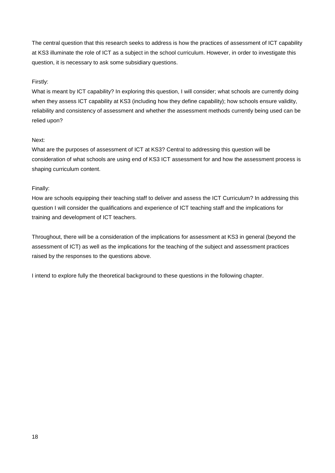The central question that this research seeks to address is how the practices of assessment of ICT capability at KS3 illuminate the role of ICT as a subject in the school curriculum. However, in order to investigate this question, it is necessary to ask some subsidiary questions.

### Firstly:

What is meant by ICT capability? In exploring this question, I will consider; what schools are currently doing when they assess ICT capability at KS3 (including how they define capability); how schools ensure validity, reliability and consistency of assessment and whether the assessment methods currently being used can be relied upon?

#### Next:

What are the purposes of assessment of ICT at KS3? Central to addressing this question will be consideration of what schools are using end of KS3 ICT assessment for and how the assessment process is shaping curriculum content.

#### Finally:

How are schools equipping their teaching staff to deliver and assess the ICT Curriculum? In addressing this question I will consider the qualifications and experience of ICT teaching staff and the implications for training and development of ICT teachers.

Throughout, there will be a consideration of the implications for assessment at KS3 in general (beyond the assessment of ICT) as well as the implications for the teaching of the subject and assessment practices raised by the responses to the questions above.

I intend to explore fully the theoretical background to these questions in the following chapter.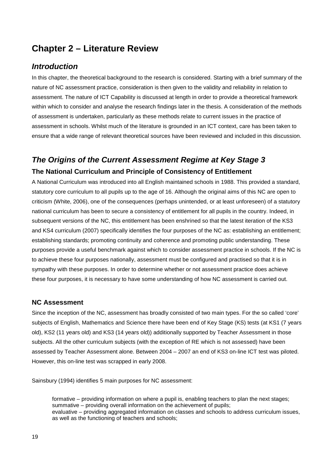# <span id="page-19-0"></span>**Chapter 2 – Literature Review**

### <span id="page-19-1"></span>*Introduction*

In this chapter, the theoretical background to the research is considered. Starting with a brief summary of the nature of NC assessment practice, consideration is then given to the validity and reliability in relation to assessment. The nature of ICT Capability is discussed at length in order to provide a theoretical framework within which to consider and analyse the research findings later in the thesis. A consideration of the methods of assessment is undertaken, particularly as these methods relate to current issues in the practice of assessment in schools. Whilst much of the literature is grounded in an ICT context, care has been taken to ensure that a wide range of relevant theoretical sources have been reviewed and included in this discussion.

# <span id="page-19-2"></span>*The Origins of the Current Assessment Regime at Key Stage 3* **The National Curriculum and Principle of Consistency of Entitlement**

<span id="page-19-3"></span>A National Curriculum was introduced into all English maintained schools in 1988. This provided a standard, statutory core curriculum to all pupils up to the age of 16. Although the original aims of this NC are open to criticism (White, 2006), one of the consequences (perhaps unintended, or at least unforeseen) of a statutory national curriculum has been to secure a consistency of entitlement for all pupils in the country. Indeed, in subsequent versions of the NC, this entitlement has been enshrined so that the latest iteration of the KS3 and KS4 curriculum (2007) specifically identifies the four purposes of the NC as: establishing an entitlement; establishing standards; promoting continuity and coherence and promoting public understanding. These purposes provide a useful benchmark against which to consider assessment practice in schools. If the NC is to achieve these four purposes nationally, assessment must be configured and practised so that it is in sympathy with these purposes. In order to determine whether or not assessment practice does achieve these four purposes, it is necessary to have some understanding of how NC assessment is carried out.

### <span id="page-19-4"></span>**NC Assessment**

Since the inception of the NC, assessment has broadly consisted of two main types. For the so called 'core' subjects of English, Mathematics and Science there have been end of Key Stage (KS) tests (at KS1 (7 years old), KS2 (11 years old) and KS3 (14 years old)) additionally supported by Teacher Assessment in those subjects. All the other curriculum subjects (with the exception of RE which is not assessed) have been assessed by Teacher Assessment alone. Between 2004 – 2007 an end of KS3 on-line ICT test was piloted. However, this on-line test was scrapped in early 2008.

Sainsbury (1994) identifies 5 main purposes for NC assessment:

formative – providing information on where a pupil is, enabling teachers to plan the next stages; summative – providing overall information on the achievement of pupils; evaluative – providing aggregated information on classes and schools to address curriculum issues, as well as the functioning of teachers and schools;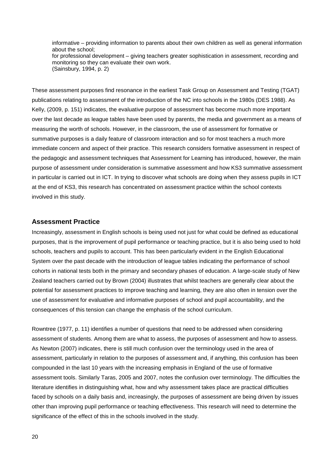informative – providing information to parents about their own children as well as general information about the school; for professional development – giving teachers greater sophistication in assessment, recording and monitoring so they can evaluate their own work. (Sainsbury, 1994, p. 2)

These assessment purposes find resonance in the earliest Task Group on Assessment and Testing (TGAT) publications relating to assessment of the introduction of the NC into schools in the 1980s (DES 1988). As Kelly, (2009, p. 151) indicates, the evaluative purpose of assessment has become much more important over the last decade as league tables have been used by parents, the media and government as a means of measuring the worth of schools. However, in the classroom, the use of assessment for formative or summative purposes is a daily feature of classroom interaction and so for most teachers a much more immediate concern and aspect of their practice. This research considers formative assessment in respect of the pedagogic and assessment techniques that Assessment for Learning has introduced, however, the main purpose of assessment under consideration is summative assessment and how KS3 summative assessment in particular is carried out in ICT. In trying to discover what schools are doing when they assess pupils in ICT at the end of KS3, this research has concentrated on assessment practice within the school contexts involved in this study.

#### <span id="page-20-0"></span>**Assessment Practice**

Increasingly, assessment in English schools is being used not just for what could be defined as educational purposes, that is the improvement of pupil performance or teaching practice, but it is also being used to hold schools, teachers and pupils to account. This has been particularly evident in the English Educational System over the past decade with the introduction of league tables indicating the performance of school cohorts in national tests both in the primary and secondary phases of education. A large-scale study of New Zealand teachers carried out by Brown (2004) illustrates that whilst teachers are generally clear about the potential for assessment practices to improve teaching and learning, they are also often in tension over the use of assessment for evaluative and informative purposes of school and pupil accountability, and the consequences of this tension can change the emphasis of the school curriculum.

Rowntree (1977, p. 11) identifies a number of questions that need to be addressed when considering assessment of students. Among them are what to assess, the purposes of assessment and how to assess. As Newton (2007) indicates, there is still much confusion over the terminology used in the area of assessment, particularly in relation to the purposes of assessment and, if anything, this confusion has been compounded in the last 10 years with the increasing emphasis in England of the use of formative assessment tools. Similarly Taras, 2005 and 2007, notes the confusion over terminology. The difficulties the literature identifies in distinguishing what, how and why assessment takes place are practical difficulties faced by schools on a daily basis and, increasingly, the purposes of assessment are being driven by issues other than improving pupil performance or teaching effectiveness. This research will need to determine the significance of the effect of this in the schools involved in the study.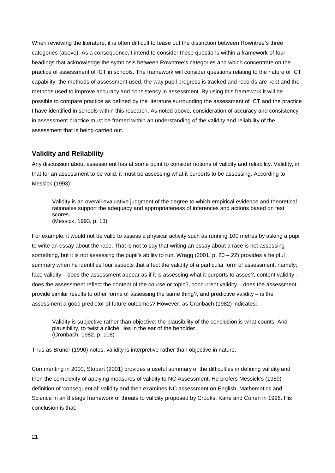When reviewing the literature, it is often difficult to tease out the distinction between Rowntree's three categories (above). As a consequence, I intend to consider these questions within a framework of four headings that acknowledge the symbiosis between Rowntree's categories and which concentrate on the practice of assessment of ICT in schools. The framework will consider questions relating to the nature of ICT capability; the methods of assessment used; the way pupil progress is tracked and records are kept and the methods used to improve accuracy and consistency in assessment. By using this framework it will be possible to compare practice as defined by the literature surrounding the assessment of ICT and the practice I have identified in schools within this research. As noted above, consideration of accuracy and consistency in assessment practice must be framed within an understanding of the validity and reliability of the assessment that is being carried out.

#### <span id="page-21-0"></span>**Validity and Reliability**

Any discussion about assessment has at some point to consider notions of validity and reliability. Validity, in that for an assessment to be valid, it must be assessing what it purports to be assessing. According to Messick (1993):

Validity is an overall evaluative judgment of the degree to which empirical evidence and theoretical rationales support the adequacy and appropriateness of inferences and actions based on test scores. (Messick, 1993, p. 13)

For example, it would not be valid to assess a physical activity such as running 100 metres by asking a pupil to write an essay about the race. That is not to say that writing an essay about a race is not assessing something, but it is not assessing the pupil's ability to run. Wragg  $(2001, p. 20 - 22)$  provides a helpful summary when he identifies four aspects that affect the validity of a particular form of assessment, namely; face validity – does the assessment appear as if it is assessing what it purports to asses?, content validity – does the assessment reflect the content of the course or topic?, concurrent validity – does the assessment provide similar results to other forms of assessing the same thing?, and predictive validity – is the assessment a good predictor of future outcomes? However, as Cronbach (1982) indicates:

Validity is subjective rather than objective: the plausibility of the conclusion is what counts. And plausibility, to twist a cliché, lies in the ear of the beholder. (Cronbach, 1982, p. 108)

Thus as Bruner (1990) notes, validity is interpretive rather than objective in nature.

Commenting in 2000, Stobart (2001) provides a useful summary of the difficulties in defining validity and then the complexity of applying measures of validity to NC Assessment. He prefers Messick's (1989) definition of 'consequential' validity and then examines NC assessment on English, Mathematics and Science in an 8 stage framework of threats to validity proposed by Crooks, Kane and Cohen in 1996. His conclusion is that: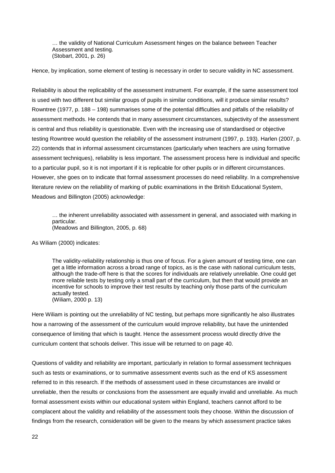… the validity of National Curriculum Assessment hinges on the balance between Teacher Assessment and testing. (Stobart, 2001, p. 26)

Hence, by implication, some element of testing is necessary in order to secure validity in NC assessment.

Reliability is about the replicability of the assessment instrument. For example, if the same assessment tool is used with two different but similar groups of pupils in similar conditions, will it produce similar results? Rowntree (1977, p. 188 – 198) summarises some of the potential difficulties and pitfalls of the reliability of assessment methods. He contends that in many assessment circumstances, subjectivity of the assessment is central and thus reliability is questionable. Even with the increasing use of standardised or objective testing Rowntree would question the reliability of the assessment instrument (1997, p. 193). Harlen (2007, p. 22) contends that in informal assessment circumstances (particularly when teachers are using formative assessment techniques), reliability is less important. The assessment process here is individual and specific to a particular pupil, so it is not important if it is replicable for other pupils or in different circumstances. However, she goes on to indicate that formal assessment processes do need reliability. In a comprehensive literature review on the reliability of marking of public examinations in the British Educational System, Meadows and Billington (2005) acknowledge:

… the inherent unreliability associated with assessment in general, and associated with marking in particular. (Meadows and Billington, 2005, p. 68)

As Wiliam (2000) indicates:

The validity-reliability relationship is thus one of focus. For a given amount of testing time, one can get a little information across a broad range of topics, as is the case with national curriculum tests, although the trade-off here is that the scores for individuals are relatively unreliable. One could get more reliable tests by testing only a small part of the curriculum, but then that would provide an incentive for schools to improve their test results by teaching only those parts of the curriculum actually tested. (Wiliam, 2000 p. 13)

Here Wiliam is pointing out the unreliability of NC testing, but perhaps more significantly he also illustrates how a narrowing of the assessment of the curriculum would improve reliability, but have the unintended consequence of limiting that which is taught. Hence the assessment process would directly drive the curriculum content that schools deliver. This issue will be returned to on page 40.

Questions of validity and reliability are important, particularly in relation to formal assessment techniques such as tests or examinations, or to summative assessment events such as the end of KS assessment referred to in this research. If the methods of assessment used in these circumstances are invalid or unreliable, then the results or conclusions from the assessment are equally invalid and unreliable. As much formal assessment exists within our educational system within England, teachers cannot afford to be complacent about the validity and reliability of the assessment tools they choose. Within the discussion of findings from the research, consideration will be given to the means by which assessment practice takes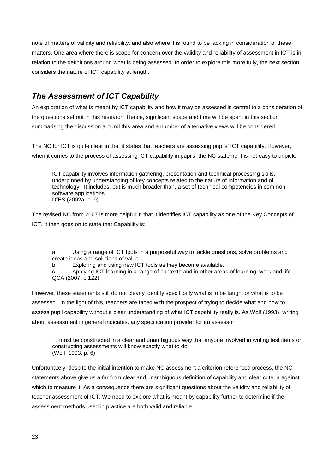note of matters of validity and reliability, and also where it is found to be lacking in consideration of these matters. One area where there is scope for concern over the validity and reliability of assessment in ICT is in relation to the definitions around what is being assessed. In order to explore this more fully, the next section considers the nature of ICT capability at length.

# <span id="page-23-0"></span>*The Assessment of ICT Capability*

An exploration of what is meant by ICT capability and how it may be assessed is central to a consideration of the questions set out in this research. Hence, significant space and time will be spent in this section summarising the discussion around this area and a number of alternative views will be considered.

The NC for ICT is quite clear in that it states that teachers are assessing pupils' ICT capability. However, when it comes to the process of assessing ICT capability in pupils, the NC statement is not easy to unpick:

ICT capability involves information gathering, presentation and technical processing skills, underpinned by understanding of key concepts related to the nature of information and of technology. It includes, but is much broader than, a set of technical competencies in common software applications. DfES (2002a, p. 9)

The revised NC from 2007 is more helpful in that it identifies ICT capability as one of the Key Concepts of ICT. It then goes on to state that Capability is:

a. Using a range of ICT tools in a purposeful way to tackle questions, solve problems and create ideas and solutions of value.

b. Exploring and using new ICT tools as they become available.

c. Applying ICT learning in a range of contexts and in other areas of learning, work and life. QCA (2007, p.122)

However, these statements still do not clearly identify specifically what is to be taught or what is to be assessed. In the light of this, teachers are faced with the prospect of trying to decide what and how to assess pupil capability without a clear understanding of what ICT capability really is. As Wolf (1993), writing about assessment in general indicates, any specification provider for an assessor:

… must be constructed in a clear and unambiguous way that anyone involved in writing test items or constructing assessments will know exactly what to do. (Wolf, 1993, p. 6)

Unfortunately, despite the initial intention to make NC assessment a criterion referenced process, the NC statements above give us a far from clear and unambiguous definition of capability and clear criteria against which to measure it. As a consequence there are significant questions about the validity and reliability of teacher assessment of ICT. We need to explore what is meant by capability further to determine if the assessment methods used in practice are both valid and reliable.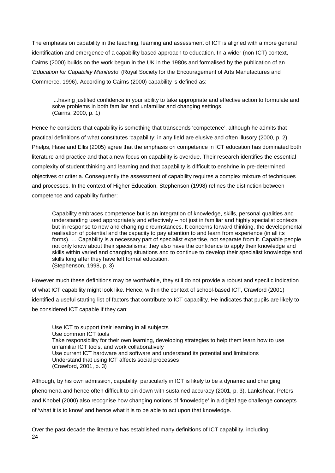The emphasis on capability in the teaching, learning and assessment of ICT is aligned with a more general identification and emergence of a capability based approach to education. In a wider (non-ICT) context, Cairns (2000) builds on the work begun in the UK in the 1980s and formalised by the publication of an '*Education for Capability Manifesto*' (Royal Society for the Encouragement of Arts Manufactures and Commerce, 1996). According to Cairns (2000) capability is defined as:

...having justified confidence in your ability to take appropriate and effective action to formulate and solve problems in both familiar and unfamiliar and changing settings. (Cairns, 2000, p. 1)

Hence he considers that capability is something that transcends 'competence', although he admits that practical definitions of what constitutes 'capability; in any field are elusive and often illusory (2000, p. 2). Phelps, Hase and Ellis (2005) agree that the emphasis on competence in ICT education has dominated both literature and practice and that a new focus on capability is overdue. Their research identifies the essential complexity of student thinking and learning and that capability is difficult to enshrine in pre-determined objectives or criteria. Consequently the assessment of capability requires a complex mixture of techniques and processes. In the context of Higher Education, Stephenson (1998) refines the distinction between competence and capability further:

Capability embraces competence but is an integration of knowledge, skills, personal qualities and understanding used appropriately and effectively – not just in familiar and highly specialist contexts but in response to new and changing circumstances. It concerns forward thinking, the developmental realisation of potential and the capacity to pay attention to and learn from experience (in all its forms). … Capability is a necessary part of specialist expertise, not separate from it. Capable people not only know about their specialisms; they also have the confidence to apply their knowledge and skills within varied and changing situations and to continue to develop their specialist knowledge and skills long after they have left formal education. (Stephenson, 1998, p. 3)

However much these definitions may be worthwhile, they still do not provide a robust and specific indication of what ICT capability might look like. Hence, within the context of school-based ICT, Crawford (2001) identified a useful starting list of factors that contribute to ICT capability. He indicates that pupils are likely to be considered ICT capable if they can:

Use ICT to support their learning in all subjects Use common ICT tools Take responsibility for their own learning, developing strategies to help them learn how to use unfamiliar ICT tools, and work collaboratively Use current ICT hardware and software and understand its potential and limitations Understand that using ICT affects social processes (Crawford, 2001, p. 3)

Although, by his own admission, capability, particularly in ICT is likely to be a dynamic and changing phenomena and hence often difficult to pin down with sustained accuracy (2001, p. 3). Lankshear. Peters and Knobel (2000) also recognise how changing notions of 'knowledge' in a digital age challenge concepts of 'what it is to know' and hence what it is to be able to act upon that knowledge.

24 Over the past decade the literature has established many definitions of ICT capability, including: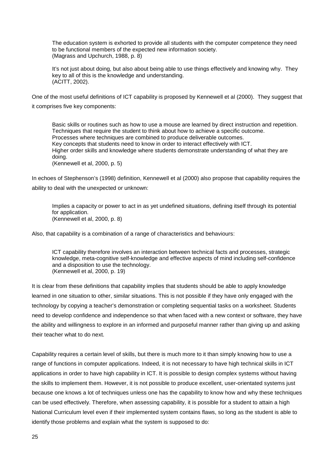The education system is exhorted to provide all students with the computer competence they need to be functional members of the expected new information society. (Magrass and Upchurch, 1988, p. 8)

It's not just about doing, but also about being able to use things effectively and knowing why. They key to all of this is the knowledge and understanding. (ACITT, 2002).

One of the most useful definitions of ICT capability is proposed by Kennewell et al (2000). They suggest that it comprises five key components:

Basic skills or routines such as how to use a mouse are learned by direct instruction and repetition. Techniques that require the student to think about how to achieve a specific outcome. Processes where techniques are combined to produce deliverable outcomes. Key concepts that students need to know in order to interact effectively with ICT. Higher order skills and knowledge where students demonstrate understanding of what they are doing. (Kennewell et al, 2000, p. 5)

In echoes of Stephenson's (1998) definition, Kennewell et al (2000) also propose that capability requires the ability to deal with the unexpected or unknown:

Implies a capacity or power to act in as yet undefined situations, defining itself through its potential for application. (Kennewell et al, 2000, p. 8)

Also, that capability is a combination of a range of characteristics and behaviours:

ICT capability therefore involves an interaction between technical facts and processes, strategic knowledge, meta-cognitive self-knowledge and effective aspects of mind including self-confidence and a disposition to use the technology. (Kennewell et al, 2000, p. 19)

It is clear from these definitions that capability implies that students should be able to apply knowledge learned in one situation to other, similar situations. This is not possible if they have only engaged with the technology by copying a teacher's demonstration or completing sequential tasks on a worksheet. Students need to develop confidence and independence so that when faced with a new context or software, they have the ability and willingness to explore in an informed and purposeful manner rather than giving up and asking their teacher what to do next.

Capability requires a certain level of skills, but there is much more to it than simply knowing how to use a range of functions in computer applications. Indeed, it is not necessary to have high technical skills in ICT applications in order to have high capability in ICT. It is possible to design complex systems without having the skills to implement them. However, it is not possible to produce excellent, user-orientated systems just because one knows a lot of techniques unless one has the capability to know how and why these techniques can be used effectively. Therefore, when assessing capability, it is possible for a student to attain a high National Curriculum level even if their implemented system contains flaws, so long as the student is able to identify those problems and explain what the system is supposed to do: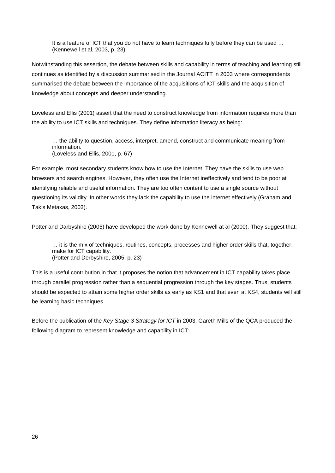It is a feature of ICT that you do not have to learn techniques fully before they can be used … (Kennewell et al, 2003, p. 23)

Notwithstanding this assertion, the debate between skills and capability in terms of teaching and learning still continues as identified by a discussion summarised in the Journal ACITT in 2003 where correspondents summarised the debate between the importance of the acquisitions of ICT skills and the acquisition of knowledge about concepts and deeper understanding.

Loveless and Ellis (2001) assert that the need to construct knowledge from information requires more than the ability to use ICT skills and techniques. They define information literacy as being:

… the ability to question, access, interpret, amend, construct and communicate meaning from information. (Loveless and Ellis, 2001, p. 67)

For example, most secondary students know how to use the Internet. They have the skills to use web browsers and search engines. However, they often use the Internet ineffectively and tend to be poor at identifying reliable and useful information. They are too often content to use a single source without questioning its validity. In other words they lack the capability to use the internet effectively (Graham and Takis Metaxas, 2003).

Potter and Darbyshire (2005) have developed the work done by Kennewell at al (2000). They suggest that:

… it is the mix of techniques, routines, concepts, processes and higher order skills that, together, make for ICT capability. (Potter and Derbyshire, 2005, p. 23)

This is a useful contribution in that it proposes the notion that advancement in ICT capability takes place through parallel progression rather than a sequential progression through the key stages. Thus, students should be expected to attain some higher order skills as early as KS1 and that even at KS4, students will still be learning basic techniques.

Before the publication of the *Key Stage 3 Strategy for ICT* in 2003, Gareth Mills of the QCA produced the following diagram to represent knowledge and capability in ICT: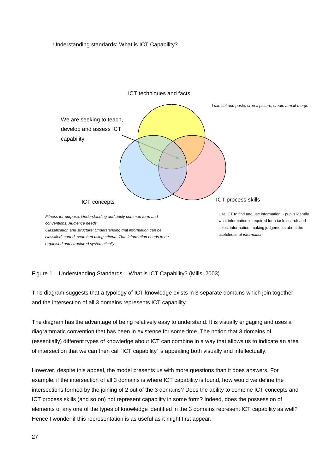Understanding standards: What is ICT Capability?



<span id="page-27-0"></span>Figure 1 – Understanding Standards – What is ICT Capability? (Mills, 2003)

This diagram suggests that a typology of ICT knowledge exists in 3 separate domains which join together and the intersection of all 3 domains represents ICT capability.

The diagram has the advantage of being relatively easy to understand. It is visually engaging and uses a diagrammatic convention that has been in existence for some time. The notion that 3 domains of (essentially) different types of knowledge about ICT can combine in a way that allows us to indicate an area of intersection that we can then call 'ICT capability' is appealing both visually and intellectually.

However, despite this appeal, the model presents us with more questions than it does answers. For example, if the intersection of all 3 domains is where ICT capability is found, how would we define the intersections formed by the joining of 2 out of the 3 domains? Does the ability to combine ICT concepts and ICT process skills (and so on) not represent capability in some form? Indeed, does the possession of elements of any one of the types of knowledge identified in the 3 domains represent ICT capability as well? Hence I wonder if this representation is as useful as it might first appear.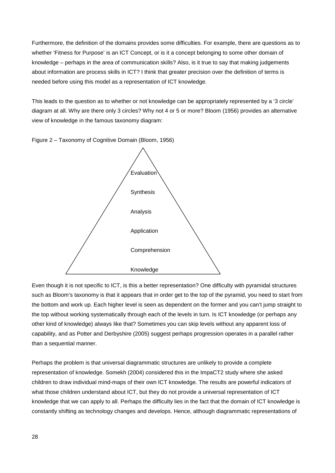Furthermore, the definition of the domains provides some difficulties. For example, there are questions as to whether 'Fitness for Purpose' is an ICT Concept, or is it a concept belonging to some other domain of knowledge – perhaps in the area of communication skills? Also, is it true to say that making judgements about information are process skills in ICT? I think that greater precision over the definition of terms is needed before using this model as a representation of ICT knowledge.

This leads to the question as to whether or not knowledge can be appropriately represented by a '3 circle' diagram at all. Why are there only 3 circles? Why not 4 or 5 or more? Bloom (1956) provides an alternative view of knowledge in the famous taxonomy diagram:

Figure 2 – Taxonomy of Cognitive Domain (Bloom, 1956)



Even though it is not specific to ICT, is this a better representation? One difficulty with pyramidal structures such as Bloom's taxonomy is that it appears that in order get to the top of the pyramid, you need to start from the bottom and work up. Each higher level is seen as dependent on the former and you can't jump straight to the top without working systematically through each of the levels in turn. Is ICT knowledge (or perhaps any other kind of knowledge) always like that? Sometimes you can skip levels without any apparent loss of capability, and as Potter and Derbyshire (2005) suggest perhaps progression operates in a parallel rather than a sequential manner.

Perhaps the problem is that universal diagrammatic structures are unlikely to provide a complete representation of knowledge. Somekh (2004) considered this in the ImpaCT2 study where she asked children to draw individual mind-maps of their own ICT knowledge. The results are powerful indicators of what those children understand about ICT, but they do not provide a universal representation of ICT knowledge that we can apply to all. Perhaps the difficulty lies in the fact that the domain of ICT knowledge is constantly shifting as technology changes and develops. Hence, although diagrammatic representations of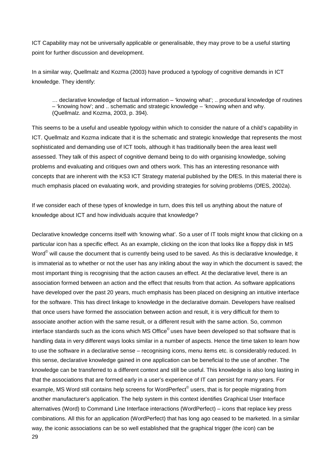ICT Capability may not be universally applicable or generalisable, they may prove to be a useful starting point for further discussion and development.

In a similar way, Quellmalz and Kozma (2003) have produced a typology of cognitive demands in ICT knowledge. They identify:

… declarative knowledge of factual information – 'knowing what'; .. procedural knowledge of routines – 'knowing how'; and .. schematic and strategic knowledge – 'knowing when and why. (Quellmalz. and Kozma, 2003, p. 394).

This seems to be a useful and useable typology within which to consider the nature of a child's capability in ICT. Quellmalz and Kozma indicate that it is the schematic and strategic knowledge that represents the most sophisticated and demanding use of ICT tools, although it has traditionally been the area least well assessed. They talk of this aspect of cognitive demand being to do with organising knowledge, solving problems and evaluating and critiques own and others work. This has an interesting resonance with concepts that are inherent with the KS3 ICT Strategy material published by the DfES. In this material there is much emphasis placed on evaluating work, and providing strategies for solving problems (DfES, 2002a).

If we consider each of these types of knowledge in turn, does this tell us anything about the nature of knowledge about ICT and how individuals acquire that knowledge?

29 Declarative knowledge concerns itself with 'knowing what'. So a user of IT tools might know that clicking on a particular icon has a specific effect. As an example, clicking on the icon that looks like a floppy disk in MS Word<sup>©</sup> will cause the document that is currently being used to be saved. As this is declarative knowledge, it is immaterial as to whether or not the user has any inkling about the way in which the document is saved; the most important thing is recognising that the action causes an effect. At the declarative level, there is an association formed between an action and the effect that results from that action. As software applications have developed over the past 20 years, much emphasis has been placed on designing an intuitive interface for the software. This has direct linkage to knowledge in the declarative domain. Developers have realised that once users have formed the association between action and result, it is very difficult for them to associate another action with the same result, or a different result with the same action. So, common interface standards such as the icons which MS Office<sup>©</sup> uses have been developed so that software that is handling data in very different ways looks similar in a number of aspects. Hence the time taken to learn how to use the software in a declarative sense – recognising icons, menu items etc. is considerably reduced. In this sense, declarative knowledge gained in one application can be beneficial to the use of another. The knowledge can be transferred to a different context and still be useful. This knowledge is also long lasting in that the associations that are formed early in a user's experience of IT can persist for many years. For example, MS Word still contains help screens for WordPerfect<sup>©</sup> users, that is for people migrating from another manufacturer's application. The help system in this context identifies Graphical User Interface alternatives (Word) to Command Line Interface interactions (WordPerfect) – icons that replace key press combinations. All this for an application (WordPerfect) that has long ago ceased to be marketed. In a similar way, the iconic associations can be so well established that the graphical trigger (the icon) can be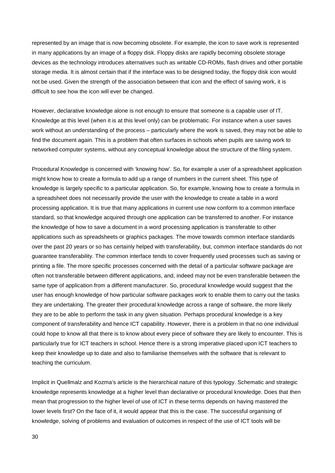represented by an image that is now becoming obsolete. For example, the icon to save work is represented in many applications by an image of a floppy disk. Floppy disks are rapidly becoming obsolete storage devices as the technology introduces alternatives such as writable CD-ROMs, flash drives and other portable storage media. It is almost certain that if the interface was to be designed today, the floppy disk icon would not be used. Given the strength of the association between that icon and the effect of saving work, it is difficult to see how the icon will ever be changed.

However, declarative knowledge alone is not enough to ensure that someone is a capable user of IT. Knowledge at this level (when it is at this level only) can be problematic. For instance when a user saves work without an understanding of the process – particularly where the work is saved, they may not be able to find the document again. This is a problem that often surfaces in schools when pupils are saving work to networked computer systems, without any conceptual knowledge about the structure of the filing system.

Procedural Knowledge is concerned with 'knowing how'. So, for example a user of a spreadsheet application might know how to create a formula to add up a range of numbers in the current sheet. This type of knowledge is largely specific to a particular application. So, for example, knowing how to create a formula in a spreadsheet does not necessarily provide the user with the knowledge to create a table in a word processing application. It is true that many applications in current use now conform to a common interface standard, so that knowledge acquired through one application can be transferred to another. For instance the knowledge of how to save a document in a word processing application is transferable to other applications such as spreadsheets or graphics packages. The move towards common interface standards over the past 20 years or so has certainly helped with transferability, but, common interface standards do not guarantee transferability. The common interface tends to cover frequently used processes such as saving or printing a file. The more specific processes concerned with the detail of a particular software package are often not transferable between different applications, and, indeed may not be even transferable between the same type of application from a different manufacturer. So, procedural knowledge would suggest that the user has enough knowledge of how particular software packages work to enable them to carry out the tasks they are undertaking. The greater their procedural knowledge across a range of software, the more likely they are to be able to perform the task in any given situation. Perhaps procedural knowledge is a key component of transferability and hence ICT capability. However, there is a problem in that no one individual could hope to know all that there is to know about every piece of software they are likely to encounter. This is particularly true for ICT teachers in school. Hence there is a strong imperative placed upon ICT teachers to keep their knowledge up to date and also to familiarise themselves with the software that is relevant to teaching the curriculum.

Implicit in Quellmalz and Kozma's article is the hierarchical nature of this typology. Schematic and strategic knowledge represents knowledge at a higher level than declarative or procedural knowledge. Does that then mean that progression to the higher level of use of ICT in these terms depends on having mastered the lower levels first? On the face of it, it would appear that this is the case. The successful organising of knowledge, solving of problems and evaluation of outcomes in respect of the use of ICT tools will be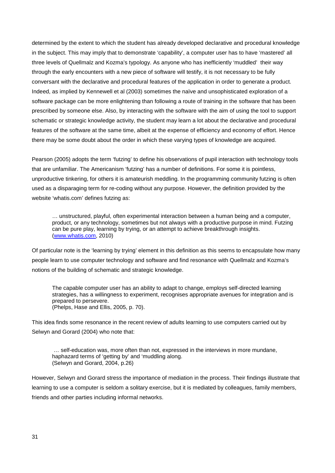determined by the extent to which the student has already developed declarative and procedural knowledge in the subject. This may imply that to demonstrate 'capability', a computer user has to have 'mastered' all three levels of Quellmalz and Kozma's typology. As anyone who has inefficiently 'muddled' their way through the early encounters with a new piece of software will testify, it is not necessary to be fully conversant with the declarative and procedural features of the application in order to generate a product. Indeed, as implied by Kennewell et al (2003) sometimes the naïve and unsophisticated exploration of a software package can be more enlightening than following a route of training in the software that has been prescribed by someone else. Also, by interacting with the software with the aim of using the tool to support schematic or strategic knowledge activity, the student may learn a lot about the declarative and procedural features of the software at the same time, albeit at the expense of efficiency and economy of effort. Hence there may be some doubt about the order in which these varying types of knowledge are acquired.

Pearson (2005) adopts the term 'futzing' to define his observations of pupil interaction with technology tools that are unfamiliar. The Americanism 'futzing' has a number of definitions. For some it is pointless, unproductive tinkering, for others it is amateurish meddling. In the programming community futzing is often used as a disparaging term for re-coding without any purpose. However, the definition provided by the website 'whatis.com' defines futzing as:

… unstructured, playful, often experimental interaction between a human being and a computer, product, or any technology, sometimes but not always with a productive purpose in mind. Futzing can be pure play, learning by trying, or an attempt to achieve breakthrough insights. [\(www.whatis.com,](http://www.whatis.com/) 2010)

Of particular note is the 'learning by trying' element in this definition as this seems to encapsulate how many people learn to use computer technology and software and find resonance with Quellmalz and Kozma's notions of the building of schematic and strategic knowledge.

The capable computer user has an ability to adapt to change, employs self-directed learning strategies, has a willingness to experiment, recognises appropriate avenues for integration and is prepared to persevere. (Phelps, Hase and Ellis, 2005, p. 70).

This idea finds some resonance in the recent review of adults learning to use computers carried out by Selwyn and Gorard (2004) who note that:

… self-education was, more often than not, expressed in the interviews in more mundane, haphazard terms of 'getting by' and 'muddling along. (Selwyn and Gorard, 2004, p.26)

However, Selwyn and Gorard stress the importance of mediation in the process. Their findings illustrate that learning to use a computer is seldom a solitary exercise, but it is mediated by colleagues, family members, friends and other parties including informal networks.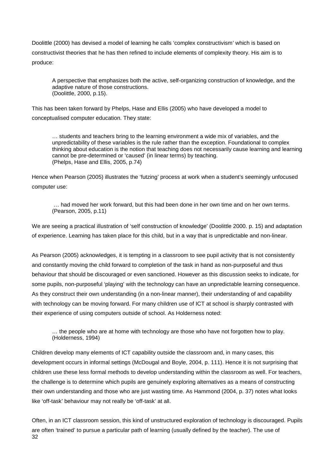Doolittle (2000) has devised a model of learning he calls 'complex constructivism' which is based on constructivist theories that he has then refined to include elements of complexity theory. His aim is to produce:

A perspective that emphasizes both the active, self-organizing construction of knowledge, and the adaptive nature of those constructions. (Doolittle, 2000, p.15).

This has been taken forward by Phelps, Hase and Ellis (2005) who have developed a model to conceptualised computer education. They state:

… students and teachers bring to the learning environment a wide mix of variables, and the unpredictability of these variables is the rule rather than the exception. Foundational to complex thinking about education is the notion that teaching does not necessarily cause learning and learning cannot be pre-determined or 'caused' (in linear terms) by teaching. (Phelps, Hase and Ellis, 2005, p.74)

Hence when Pearson (2005) illustrates the 'futzing' process at work when a student's seemingly unfocused computer use:

… had moved her work forward, but this had been done in her own time and on her own terms. (Pearson, 2005, p.11)

We are seeing a practical illustration of 'self construction of knowledge' (Doolittle 2000. p. 15) and adaptation of experience. Learning has taken place for this child, but in a way that is unpredictable and non-linear.

As Pearson (2005) acknowledges, it is tempting in a classroom to see pupil activity that is not consistently and constantly moving the child forward to completion of the task in hand as non-purposeful and thus behaviour that should be discouraged or even sanctioned. However as this discussion seeks to indicate, for some pupils, non-purposeful 'playing' with the technology can have an unpredictable learning consequence. As they construct their own understanding (in a non-linear manner), their understanding of and capability with technology can be moving forward. For many children use of ICT at school is sharply contrasted with their experience of using computers outside of school. As Holderness noted:

… the people who are at home with technology are those who have not forgotten how to play. (Holderness, 1994)

Children develop many elements of ICT capability outside the classroom and, in many cases, this development occurs in informal settings (McDougal and Boyle, 2004, p. 111). Hence it is not surprising that children use these less formal methods to develop understanding within the classroom as well. For teachers, the challenge is to determine which pupils are genuinely exploring alternatives as a means of constructing their own understanding and those who are just wasting time. As Hammond (2004, p. 37) notes what looks like 'off-task' behaviour may not really be 'off-task' at all.

32 Often, in an ICT classroom session, this kind of unstructured exploration of technology is discouraged. Pupils are often 'trained' to pursue a particular path of learning (usually defined by the teacher). The use of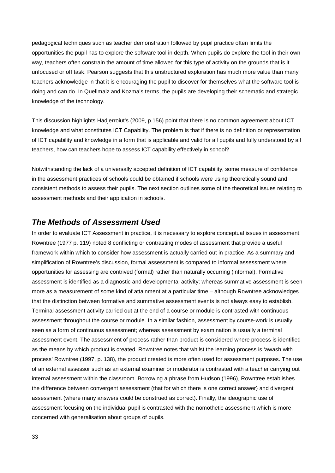pedagogical techniques such as teacher demonstration followed by pupil practice often limits the opportunities the pupil has to explore the software tool in depth. When pupils do explore the tool in their own way, teachers often constrain the amount of time allowed for this type of activity on the grounds that is it unfocused or off task. Pearson suggests that this unstructured exploration has much more value than many teachers acknowledge in that it is encouraging the pupil to discover for themselves what the software tool is doing and can do. In Quellmalz and Kozma's terms, the pupils are developing their schematic and strategic knowledge of the technology.

This discussion highlights Hadjerroiut's (2009, p.156) point that there is no common agreement about ICT knowledge and what constitutes ICT Capability. The problem is that if there is no definition or representation of ICT capability and knowledge in a form that is applicable and valid for all pupils and fully understood by all teachers, how can teachers hope to assess ICT capability effectively in school?

Notwithstanding the lack of a universally accepted definition of ICT capability, some measure of confidence in the assessment practices of schools could be obtained if schools were using theoretically sound and consistent methods to assess their pupils. The next section outlines some of the theoretical issues relating to assessment methods and their application in schools.

### <span id="page-33-0"></span>*The Methods of Assessment Used*

In order to evaluate ICT Assessment in practice, it is necessary to explore conceptual issues in assessment. Rowntree (1977 p. 119) noted 8 conflicting or contrasting modes of assessment that provide a useful framework within which to consider how assessment is actually carried out in practice. As a summary and simplification of Rowntree's discussion, formal assessment is compared to informal assessment where opportunities for assessing are contrived (formal) rather than naturally occurring (informal). Formative assessment is identified as a diagnostic and developmental activity; whereas summative assessment is seen more as a measurement of some kind of attainment at a particular time – although Rowntree acknowledges that the distinction between formative and summative assessment events is not always easy to establish. Terminal assessment activity carried out at the end of a course or module is contrasted with continuous assessment throughout the course or module. In a similar fashion, assessment by course-work is usually seen as a form of continuous assessment; whereas assessment by examination is usually a terminal assessment event. The assessment of process rather than product is considered where process is identified as the means by which product is created. Rowntree notes that whilst the learning process is 'awash with process' Rowntree (1997, p. 138), the product created is more often used for assessment purposes. The use of an external assessor such as an external examiner or moderator is contrasted with a teacher carrying out internal assessment within the classroom. Borrowing a phrase from Hudson (1996), Rowntree establishes the difference between convergent assessment (that for which there is one correct answer) and divergent assessment (where many answers could be construed as correct). Finally, the ideographic use of assessment focusing on the individual pupil is contrasted with the nomothetic assessment which is more concerned with generalisation about groups of pupils.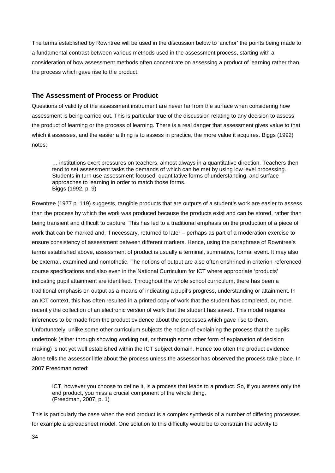The terms established by Rowntree will be used in the discussion below to 'anchor' the points being made to a fundamental contrast between various methods used in the assessment process, starting with a consideration of how assessment methods often concentrate on assessing a product of learning rather than the process which gave rise to the product.

### <span id="page-34-0"></span>**The Assessment of Process or Product**

Questions of validity of the assessment instrument are never far from the surface when considering how assessment is being carried out. This is particular true of the discussion relating to any decision to assess the product of learning or the process of learning. There is a real danger that assessment gives value to that which it assesses, and the easier a thing is to assess in practice, the more value it acquires. Biggs (1992) notes:

… institutions exert pressures on teachers, almost always in a quantitative direction. Teachers then tend to set assessment tasks the demands of which can be met by using low level processing. Students in turn use assessment-focused, quantitative forms of understanding, and surface approaches to learning in order to match those forms. Biggs (1992, p. 9)

Rowntree (1977 p. 119) suggests, tangible products that are outputs of a student's work are easier to assess than the process by which the work was produced because the products exist and can be stored, rather than being transient and difficult to capture. This has led to a traditional emphasis on the production of a piece of work that can be marked and, if necessary, returned to later – perhaps as part of a moderation exercise to ensure consistency of assessment between different markers. Hence, using the paraphrase of Rowntree's terms established above, assessment of product is usually a terminal, summative, formal event. It may also be external, examined and nomothetic. The notions of output are also often enshrined in criterion-referenced course specifications and also even in the National Curriculum for ICT where appropriate 'products' indicating pupil attainment are identified. Throughout the whole school curriculum, there has been a traditional emphasis on output as a means of indicating a pupil's progress, understanding or attainment. In an ICT context, this has often resulted in a printed copy of work that the student has completed, or, more recently the collection of an electronic version of work that the student has saved. This model requires inferences to be made from the product evidence about the processes which gave rise to them. Unfortunately, unlike some other curriculum subjects the notion of explaining the process that the pupils undertook (either through showing working out, or through some other form of explanation of decision making) is not yet well established within the ICT subject domain. Hence too often the product evidence alone tells the assessor little about the process unless the assessor has observed the process take place. In 2007 Freedman noted:

ICT, however you choose to define it, is a process that leads to a product. So, if you assess only the end product, you miss a crucial component of the whole thing. (Freedman, 2007, p. 1)

This is particularly the case when the end product is a complex synthesis of a number of differing processes for example a spreadsheet model. One solution to this difficulty would be to constrain the activity to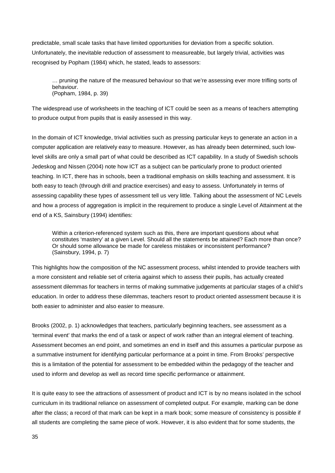predictable, small scale tasks that have limited opportunities for deviation from a specific solution. Unfortunately, the inevitable reduction of assessment to measureable, but largely trivial, activities was recognised by Popham (1984) which, he stated, leads to assessors:

… pruning the nature of the measured behaviour so that we're assessing ever more trifling sorts of behaviour. (Popham, 1984, p. 39)

The widespread use of worksheets in the teaching of ICT could be seen as a means of teachers attempting to produce output from pupils that is easily assessed in this way.

In the domain of ICT knowledge, trivial activities such as pressing particular keys to generate an action in a computer application are relatively easy to measure. However, as has already been determined, such lowlevel skills are only a small part of what could be described as ICT capability. In a study of Swedish schools Jedeskog and Nissen (2004) note how ICT as a subject can be particularly prone to product oriented teaching. In ICT, there has in schools, been a traditional emphasis on skills teaching and assessment. It is both easy to teach (through drill and practice exercises) and easy to assess. Unfortunately in terms of assessing capability these types of assessment tell us very little. Talking about the assessment of NC Levels and how a process of aggregation is implicit in the requirement to produce a single Level of Attainment at the end of a KS, Sainsbury (1994) identifies:

Within a criterion-referenced system such as this, there are important questions about what constitutes 'mastery' at a given Level. Should all the statements be attained? Each more than once? Or should some allowance be made for careless mistakes or inconsistent performance? (Sainsbury, 1994, p. 7)

This highlights how the composition of the NC assessment process, whilst intended to provide teachers with a more consistent and reliable set of criteria against which to assess their pupils, has actually created assessment dilemmas for teachers in terms of making summative judgements at particular stages of a child's education. In order to address these dilemmas, teachers resort to product oriented assessment because it is both easier to administer and also easier to measure.

Brooks (2002, p. 1) acknowledges that teachers, particularly beginning teachers, see assessment as a 'terminal event' that marks the end of a task or aspect of work rather than an integral element of teaching. Assessment becomes an end point, and sometimes an end in itself and this assumes a particular purpose as a summative instrument for identifying particular performance at a point in time. From Brooks' perspective this is a limitation of the potential for assessment to be embedded within the pedagogy of the teacher and used to inform and develop as well as record time specific performance or attainment.

It is quite easy to see the attractions of assessment of product and ICT is by no means isolated in the school curriculum in its traditional reliance on assessment of completed output. For example, marking can be done after the class; a record of that mark can be kept in a mark book; some measure of consistency is possible if all students are completing the same piece of work. However, it is also evident that for some students, the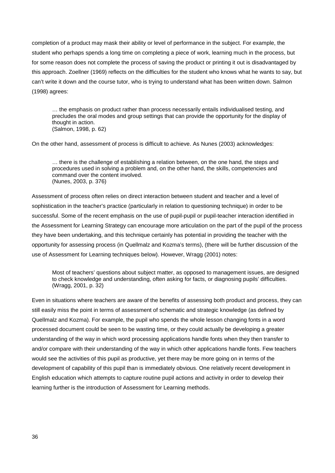completion of a product may mask their ability or level of performance in the subject. For example, the student who perhaps spends a long time on completing a piece of work, learning much in the process, but for some reason does not complete the process of saving the product or printing it out is disadvantaged by this approach. Zoellner (1969) reflects on the difficulties for the student who knows what he wants to say, but can't write it down and the course tutor, who is trying to understand what has been written down. Salmon (1998) agrees:

… the emphasis on product rather than process necessarily entails individualised testing, and precludes the oral modes and group settings that can provide the opportunity for the display of thought in action. (Salmon, 1998, p. 62)

On the other hand, assessment of process is difficult to achieve. As Nunes (2003) acknowledges:

… there is the challenge of establishing a relation between, on the one hand, the steps and procedures used in solving a problem and, on the other hand, the skills, competencies and command over the content involved. (Nunes, 2003, p. 376)

Assessment of process often relies on direct interaction between student and teacher and a level of sophistication in the teacher's practice (particularly in relation to questioning technique) in order to be successful. Some of the recent emphasis on the use of pupil-pupil or pupil-teacher interaction identified in the Assessment for Learning Strategy can encourage more articulation on the part of the pupil of the process they have been undertaking, and this technique certainly has potential in providing the teacher with the opportunity for assessing process (in Quellmalz and Kozma's terms), (there will be further discussion of the use of Assessment for Learning techniques below). However, Wragg (2001) notes:

Most of teachers' questions about subject matter, as opposed to management issues, are designed to check knowledge and understanding, often asking for facts, or diagnosing pupils' difficulties. (Wragg, 2001, p. 32)

Even in situations where teachers are aware of the benefits of assessing both product and process, they can still easily miss the point in terms of assessment of schematic and strategic knowledge (as defined by Quellmalz and Kozma). For example, the pupil who spends the whole lesson changing fonts in a word processed document could be seen to be wasting time, or they could actually be developing a greater understanding of the way in which word processing applications handle fonts when they then transfer to and/or compare with their understanding of the way in which other applications handle fonts. Few teachers would see the activities of this pupil as productive, yet there may be more going on in terms of the development of capability of this pupil than is immediately obvious. One relatively recent development in English education which attempts to capture routine pupil actions and activity in order to develop their learning further is the introduction of Assessment for Learning methods.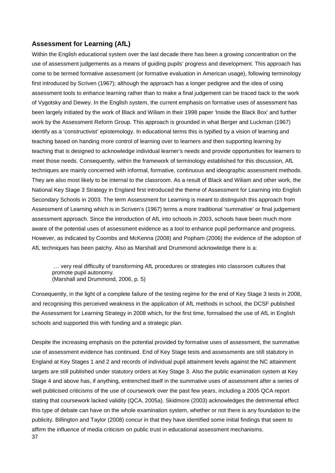## **Assessment for Learning (AfL)**

Within the English educational system over the last decade there has been a growing concentration on the use of assessment judgements as a means of guiding pupils' progress and development. This approach has come to be termed formative assessment (or formative evaluation in American usage), following terminology first introduced by Scriven (1967); although the approach has a longer pedigree and the idea of using assessment tools to enhance learning rather than to make a final judgement can be traced back to the work of Vygotsky and Dewey. In the English system, the current emphasis on formative uses of assessment has been largely initiated by the work of Black and Wiliam in their 1998 paper 'Inside the Black Box' and further work by the Assessment Reform Group. This approach is grounded in what Berger and Luckman (1967) identify as a 'constructivist' epistemology. In educational terms this is typified by a vision of learning and teaching based on handing more control of learning over to learners and then supporting learning by teaching that is designed to acknowledge individual learner's needs and provide opportunities for learners to meet those needs. Consequently, within the framework of terminology established for this discussion, AfL techniques are mainly concerned with informal, formative, continuous and ideographic assessment methods. They are also most likely to be internal to the classroom. As a result of Black and Wiliam and other work, the National Key Stage 3 Strategy in England first introduced the theme of Assessment for Learning into English Secondary Schools in 2003. The term Assessment for Learning is meant to distinguish this approach from Assessment of Learning which is in Scriven's (1967) terms a more traditional 'summative' or final judgement assessment approach. Since the introduction of AfL into schools in 2003, schools have been much more aware of the potential uses of assessment evidence as a tool to enhance pupil performance and progress. However, as indicated by Coombs and McKenna (2008) and Popham (2006) the evidence of the adoption of AfL techniques has been patchy. Also as Marshall and Drummond acknowledge there is a:

… very real difficulty of transforming AfL procedures or strategies into classroom cultures that promote pupil autonomy. (Marshall and Drummond, 2006, p. 5)

Consequently, in the light of a complete failure of the testing regime for the end of Key Stage 3 tests in 2008, and recognising this perceived weakness in the application of AfL methods in school, the DCSF published the Assessment for Learning Strategy in 2008 which, for the first time, formalised the use of AfL in English schools and supported this with funding and a strategic plan.

37 Despite the increasing emphasis on the potential provided by formative uses of assessment, the summative use of assessment evidence has continued. End of Key Stage tests and assessments are still statutory in England at Key Stages 1 and 2 and records of individual pupil attainment levels against the NC attainment targets are still published under statutory orders at Key Stage 3. Also the public examination system at Key Stage 4 and above has, if anything, entrenched itself in the summative uses of assessment after a series of well publicised criticisms of the use of coursework over the past few years, including a 2005 QCA report stating that coursework lacked validity (QCA, 2005a). Skidmore (2003) acknowledges the detrimental effect this type of debate can have on the whole examination system, whether or not there is any foundation to the publicity. Billington and Taylor (2008) concur in that they have identified some initial findings that seem to affirm the influence of media criticism on public trust in educational assessment mechanisms.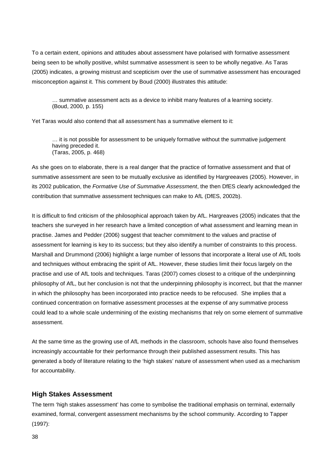To a certain extent, opinions and attitudes about assessment have polarised with formative assessment being seen to be wholly positive, whilst summative assessment is seen to be wholly negative. As Taras (2005) indicates, a growing mistrust and scepticism over the use of summative assessment has encouraged misconception against it. This comment by Boud (2000) illustrates this attitude:

… summative assessment acts as a device to inhibit many features of a learning society. (Boud, 2000, p. 155)

Yet Taras would also contend that all assessment has a summative element to it:

… it is not possible for assessment to be uniquely formative without the summative judgement having preceded it. (Taras, 2005, p. 468)

As she goes on to elaborate, there is a real danger that the practice of formative assessment and that of summative assessment are seen to be mutually exclusive as identified by Hargreeaves (2005). However, in its 2002 publication, the *Formative Use of Summative Assessment*, the then DfES clearly acknowledged the contribution that summative assessment techniques can make to AfL (DfES, 2002b).

It is difficult to find criticism of the philosophical approach taken by AfL. Hargreaves (2005) indicates that the teachers she surveyed in her research have a limited conception of what assessment and learning mean in practise. James and Pedder (2006) suggest that teacher commitment to the values and practise of assessment for learning is key to its success; but they also identify a number of constraints to this process. Marshall and Drummond (2006) highlight a large number of lessons that incorporate a literal use of AfL tools and techniques without embracing the spirit of AfL. However, these studies limit their focus largely on the practise and use of AfL tools and techniques. Taras (2007) comes closest to a critique of the underpinning philosophy of AfL, but her conclusion is not that the underpinning philosophy is incorrect, but that the manner in which the philosophy has been incorporated into practice needs to be refocused. She implies that a continued concentration on formative assessment processes at the expense of any summative process could lead to a whole scale undermining of the existing mechanisms that rely on some element of summative assessment.

At the same time as the growing use of AfL methods in the classroom, schools have also found themselves increasingly accountable for their performance through their published assessment results. This has generated a body of literature relating to the 'high stakes' nature of assessment when used as a mechanism for accountability.

#### **High Stakes Assessment**

The term 'high stakes assessment' has come to symbolise the traditional emphasis on terminal, externally examined, formal, convergent assessment mechanisms by the school community. According to Tapper (1997):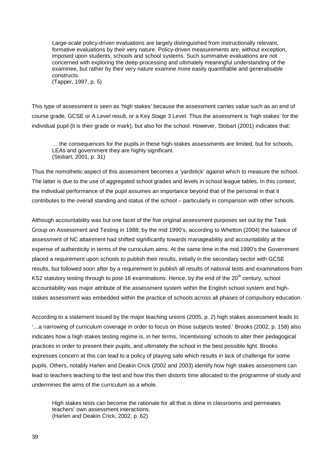Large-scale policy-driven evaluations are largely distinguished from instructionally relevant, formative evaluations by their very nature. Policy-driven measurements are, without exception, imposed upon students, schools and school systems. Such summative evaluations are not concerned with exploring the deep-processing and ultimately meaningful understanding of the examinee, but rather by their very nature examine more easily quantifiable and generalisable constructs. (Tapper, 1997, p. 5)

This type of assessment is seen as 'high stakes' because the assessment carries value such as an end of course grade, GCSE or A Level result, or a Key Stage 3 Level. Thus the assessment is 'high stakes' for the individual pupil (it is their grade or mark), but also for the school. However, Stobart (2001) indicates that:

… the consequences for the pupils in these high-stakes assessments are limited, but for schools, LEAs and government they are highly significant. (Stobart, 2001, p. 31)

Thus the nomothetic aspect of this assessment becomes a 'yardstick' against which to measure the school. The latter is due to the use of aggregated school grades and levels in school league tables. In this context, the individual performance of the pupil assumes an importance beyond that of the personal in that it contributes to the overall standing and status of the school – particularly in comparison with other schools.

Although accountability was but one facet of the five original assessment purposes set out by the Task Group on Assessment and Testing in 1988; by the mid 1990's, according to Whetton (2004) the balance of assessment of NC attainment had shifted significantly towards manageability and accountability at the expense of authenticity in terms of the curriculum aims. At the same time in the mid 1990's the Government placed a requirement upon schools to publish their results, initially in the secondary sector with GCSE results, but followed soon after by a requirement to publish all results of national tests and examinations from KS2 statutory testing through to post-16 examinations. Hence, by the end of the 20<sup>th</sup> century, school accountability was major attribute of the assessment system within the English school system and highstakes assessment was embedded within the practice of schools across all phases of compulsory education.

According to a statement issued by the major teaching unions (2005, p. 2) high stakes assessment leads to '…a narrowing of curriculum coverage in order to focus on those subjects tested.' Brooks (2002, p. 158) also indicates how a high stakes testing regime is, in her terms, 'incentivising' schools to alter their pedagogical practices in order to present their pupils, and ultimately the school in the best possible light. Brooks expresses concern at this can lead to a policy of playing safe which results in lack of challenge for some pupils. Others, notably Harlen and Deakin Crick (2002 and 2003) identify how high stakes assessment can lead to teachers teaching to the test and how this then distorts time allocated to the programme of study and undermines the aims of the curriculum as a whole.

High stakes tests can become the rationale for all that is done in classrooms and permeates teachers' own assessment interactions. (Harlen and Deakin Crick, 2002, p. 62)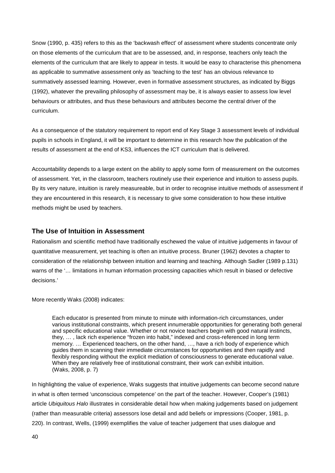<span id="page-40-0"></span>Snow (1990, p. 435) refers to this as the 'backwash effect' of assessment where students concentrate only on those elements of the curriculum that are to be assessed, and, in response, teachers only teach the elements of the curriculum that are likely to appear in tests. It would be easy to characterise this phenomena as applicable to summative assessment only as 'teaching to the test' has an obvious relevance to summatively assessed learning. However, even in formative assessment structures, as indicated by Biggs (1992), whatever the prevailing philosophy of assessment may be, it is always easier to assess low level behaviours or attributes, and thus these behaviours and attributes become the central driver of the curriculum.

As a consequence of the statutory requirement to report end of Key Stage 3 assessment levels of individual pupils in schools in England, it will be important to determine in this research how the publication of the results of assessment at the end of KS3, influences the ICT curriculum that is delivered.

Accountability depends to a large extent on the ability to apply some form of measurement on the outcomes of assessment. Yet, in the classroom, teachers routinely use their experience and intuition to assess pupils. By its very nature, intuition is rarely measureable, but in order to recognise intuitive methods of assessment if they are encountered in this research, it is necessary to give some consideration to how these intuitive methods might be used by teachers.

## **The Use of Intuition in Assessment**

Rationalism and scientific method have traditionally eschewed the value of intuitive judgements in favour of quantitative measurement, yet teaching is often an intuitive process. Bruner (1962) devotes a chapter to consideration of the relationship between intuition and learning and teaching. Although Sadler (1989 p.131) warns of the '... limitations in human information processing capacities which result in biased or defective decisions.'

More recently Waks (2008) indicates:

Each educator is presented from minute to minute with information-rich circumstances, under various institutional constraints, which present innumerable opportunities for generating both general and specific educational value. Whether or not novice teachers begin with good natural instincts, they, … , lack rich experience "frozen into habit," indexed and cross-referenced in long term memory. … Experienced teachers, on the other hand, …, have a rich body of experience which guides them in scanning their immediate circumstances for opportunities and then rapidly and flexibly responding without the explicit mediation of consciousness to generate educational value. When they are relatively free of institutional constraint, their work can exhibit intuition. (Waks, 2008, p. 7)

In highlighting the value of experience, Waks suggests that intuitive judgements can become second nature in what is often termed 'unconscious competence' on the part of the teacher. However, Cooper's (1981) article *Ubiquitous Halo* illustrates in considerable detail how when making judgements based on judgement (rather than measurable criteria) assessors lose detail and add beliefs or impressions (Cooper, 1981, p. 220). In contrast, Wells, (1999) exemplifies the value of teacher judgement that uses dialogue and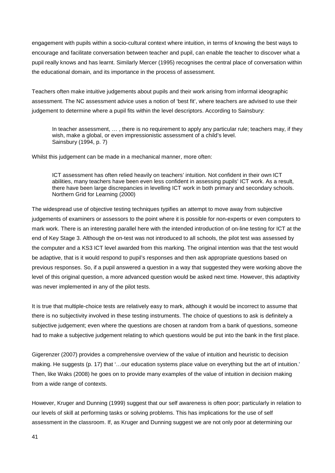engagement with pupils within a socio-cultural context where intuition, in terms of knowing the best ways to encourage and facilitate conversation between teacher and pupil, can enable the teacher to discover what a pupil really knows and has learnt. Similarly Mercer (1995) recognises the central place of conversation within the educational domain, and its importance in the process of assessment.

Teachers often make intuitive judgements about pupils and their work arising from informal ideographic assessment. The NC assessment advice uses a notion of 'best fit', where teachers are advised to use their judgement to determine where a pupil fits within the level descriptors. According to Sainsbury:

<span id="page-41-0"></span>In teacher assessment, ..., there is no requirement to apply any particular rule; teachers may, if they wish, make a global, or even impressionistic assessment of a child's level. Sainsbury (1994, p. 7)

Whilst this judgement can be made in a mechanical manner, more often:

ICT assessment has often relied heavily on teachers' intuition. Not confident in their own ICT abilities, many teachers have been even less confident in assessing pupils' ICT work. As a result, there have been large discrepancies in levelling ICT work in both primary and secondary schools. Northern Grid for Learning (2000)

The widespread use of objective testing techniques typifies an attempt to move away from subjective judgements of examiners or assessors to the point where it is possible for non-experts or even computers to mark work. There is an interesting parallel here with the intended introduction of on-line testing for ICT at the end of Key Stage 3. Although the on-test was not introduced to all schools, the pilot test was assessed by the computer and a KS3 ICT level awarded from this marking. The original intention was that the test would be adaptive, that is it would respond to pupil's responses and then ask appropriate questions based on previous responses. So, if a pupil answered a question in a way that suggested they were working above the level of this original question, a more advanced question would be asked next time. However, this adaptivity was never implemented in any of the pilot tests.

It is true that multiple-choice tests are relatively easy to mark, although it would be incorrect to assume that there is no subjectivity involved in these testing instruments. The choice of questions to ask is definitely a subjective judgement; even where the questions are chosen at random from a bank of questions, someone had to make a subjective judgement relating to which questions would be put into the bank in the first place.

Gigerenzer (2007) provides a comprehensive overview of the value of intuition and heuristic to decision making. He suggests (p. 17) that '…our education systems place value on everything but the art of intuition.' Then, like Waks (2008) he goes on to provide many examples of the value of intuition in decision making from a wide range of contexts.

However, Kruger and Dunning (1999) suggest that our self awareness is often poor; particularly in relation to our levels of skill at performing tasks or solving problems. This has implications for the use of self assessment in the classroom. If, as Kruger and Dunning suggest we are not only poor at determining our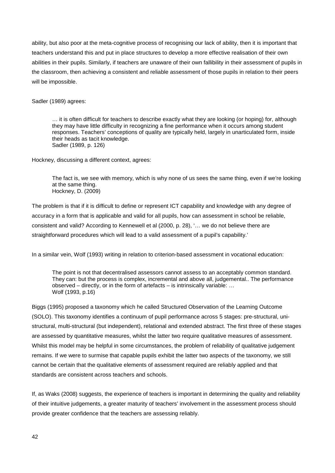ability, but also poor at the meta-cognitive process of recognising our lack of ability, then it is important that teachers understand this and put in place structures to develop a more effective realisation of their own abilities in their pupils. Similarly, if teachers are unaware of their own fallibility in their assessment of pupils in the classroom, then achieving a consistent and reliable assessment of those pupils in relation to their peers will be impossible.

Sadler (1989) agrees:

… it is often difficult for teachers to describe exactly what they are looking (or hoping) for, although they may have little difficulty in recognizing a fine performance when it occurs among student responses. Teachers' conceptions of quality are typically held, largely in unarticulated form, inside their heads as tacit knowledge. Sadler (1989, p. 126)

Hockney, discussing a different context, agrees:

The fact is, we see with memory, which is why none of us sees the same thing, even if we're looking at the same thing. Hockney, D. (2009)

The problem is that if it is difficult to define or represent ICT capability and knowledge with any degree of accuracy in a form that is applicable and valid for all pupils, how can assessment in school be reliable, consistent and valid? According to Kennewell et al (2000, p. 28), '… we do not believe there are straightforward procedures which will lead to a valid assessment of a pupil's capability.'

In a similar vein, Wolf (1993) writing in relation to criterion-based assessment in vocational education:

The point is not that decentralised assessors cannot assess to an acceptably common standard. They can: but the process is complex, incremental and above all, judgemental.. The performance observed – directly, or in the form of artefacts – is intrinsically variable: … Wolf (1993, p.16)

Biggs (1995) proposed a taxonomy which he called Structured Observation of the Learning Outcome (SOLO). This taxonomy identifies a continuum of pupil performance across 5 stages: pre-structural, unistructural, multi-structural (but independent), relational and extended abstract. The first three of these stages are assessed by quantitative measures, whilst the latter two require qualitative measures of assessment. Whilst this model may be helpful in some circumstances, the problem of reliability of qualitative judgement remains. If we were to surmise that capable pupils exhibit the latter two aspects of the taxonomy, we still cannot be certain that the qualitative elements of assessment required are reliably applied and that standards are consistent across teachers and schools.

If, as Waks (2008) suggests, the experience of teachers is important in determining the quality and reliability of their intuitive judgements, a greater maturity of teachers' involvement in the assessment process should provide greater confidence that the teachers are assessing reliably.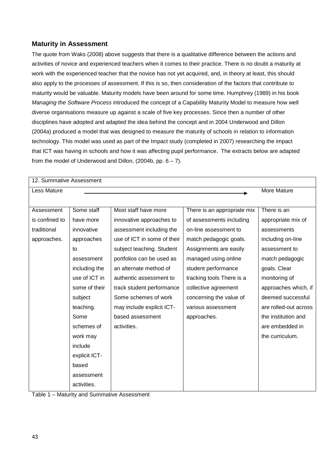## <span id="page-43-0"></span>**Maturity in Assessment**

The quote from Waks (2008) above suggests that there is a qualitative difference between the actions and activities of novice and experienced teachers when it comes to their practice. There is no doubt a maturity at work with the experienced teacher that the novice has not yet acquired, and, in theory at least, this should also apply to the processes of assessment. If this is so, then consideration of the factors that contribute to maturity would be valuable. Maturity models have been around for some time. Humphrey (1989) in his book *Managing the Software Process* introduced the concept of a Capability Maturity Model to measure how well diverse organisations measure up against a scale of five key processes. Since then a number of other disciplines have adopted and adapted the idea behind the concept and in 2004 Underwood and Dillon (2004a) produced a model that was designed to measure the maturity of schools in relation to information technology. This model was used as part of the Impact study (completed in 2007) researching the impact that ICT was having in schools and how it was affecting pupil performance. The extracts below are adapted from the model of Underwood and Dillon,  $(2004b, pp. 6 - 7)$ .

| 12. Summative Assessment |               |                             |                             |                       |
|--------------------------|---------------|-----------------------------|-----------------------------|-----------------------|
| Less Mature              | More Mature   |                             |                             |                       |
|                          |               |                             |                             |                       |
| Assessment               | Some staff    | Most staff have more        | There is an appropriate mix | There is an           |
| is confined to           | have more     | innovative approaches to    | of assessments including    | appropriate mix of    |
| traditional              | innovative    | assessment including the    | on-line assessment to       | assessments           |
| approaches.              | approaches    | use of ICT in some of their | match pedagogic goals.      | including on-line     |
|                          | to            | subject teaching. Student   | Assignments are easily      | assessment to         |
|                          | assessment    | portfolios can be used as   | managed using online        | match pedagogic       |
|                          | including the | an alternate method of      | student performance         | goals. Clear          |
|                          | use of ICT in | authentic assessment to     | tracking tools There is a   | monitoring of         |
|                          | some of their | track student performance   | collective agreement        | approaches which, if  |
|                          | subject       | Some schemes of work        | concerning the value of     | deemed successful     |
|                          | teaching.     | may include explicit ICT-   | various assessment          | are rolled-out across |
|                          | Some          | based assessment            | approaches.                 | the institution and   |
|                          | schemes of    | activities.                 |                             | are embedded in       |
|                          | work may      |                             |                             | the curriculum.       |
|                          | include       |                             |                             |                       |
|                          | explicit ICT- |                             |                             |                       |
|                          | based         |                             |                             |                       |
|                          | assessment    |                             |                             |                       |
|                          | activities.   |                             |                             |                       |

Table 1 – Maturity and Summative Assessment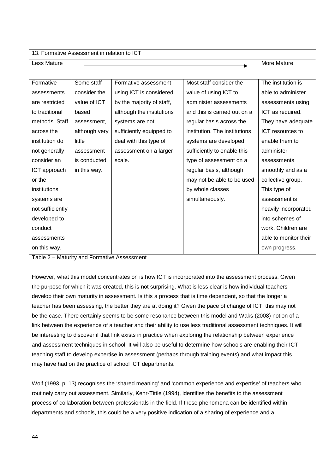| 13. Formative Assessment in relation to ICT |               |                           |                               |                       |  |  |  |  |
|---------------------------------------------|---------------|---------------------------|-------------------------------|-----------------------|--|--|--|--|
| Less Mature                                 |               |                           |                               | More Mature           |  |  |  |  |
|                                             |               |                           |                               |                       |  |  |  |  |
| Formative                                   | Some staff    | Formative assessment      | Most staff consider the       | The institution is    |  |  |  |  |
| assessments                                 | consider the  | using ICT is considered   | value of using ICT to         | able to administer    |  |  |  |  |
| are restricted                              | value of ICT  | by the majority of staff, | administer assessments        | assessments using     |  |  |  |  |
| to traditional                              | based         | although the institutions | and this is carried out on a  | ICT as required.      |  |  |  |  |
| methods. Staff                              | assessment,   | systems are not           | regular basis across the      | They have adequate    |  |  |  |  |
| across the                                  | although very | sufficiently equipped to  | institution. The institutions | ICT resources to      |  |  |  |  |
| institution do                              | little        | deal with this type of    | systems are developed         | enable them to        |  |  |  |  |
| not generally                               | assessment    | assessment on a larger    | sufficiently to enable this   | administer            |  |  |  |  |
| consider an                                 | is conducted  | scale.                    | type of assessment on a       | assessments           |  |  |  |  |
| ICT approach                                | in this way.  |                           | regular basis, although       | smoothly and as a     |  |  |  |  |
| or the                                      |               |                           | may not be able to be used    | collective group.     |  |  |  |  |
| institutions                                |               |                           | by whole classes              | This type of          |  |  |  |  |
| systems are                                 |               |                           | simultaneously.               | assessment is         |  |  |  |  |
| not sufficiently                            |               |                           |                               | heavily incorporated  |  |  |  |  |
| developed to                                |               |                           |                               | into schemes of       |  |  |  |  |
| conduct                                     |               |                           |                               | work. Children are    |  |  |  |  |
| assessments                                 |               |                           |                               | able to monitor their |  |  |  |  |
| on this way.                                |               |                           |                               | own progress.         |  |  |  |  |

Table 2 – Maturity and Formative Assessment

However, what this model concentrates on is how ICT is incorporated into the assessment process. Given the purpose for which it was created, this is not surprising. What is less clear is how individual teachers develop their own maturity in assessment. Is this a process that is time dependent, so that the longer a teacher has been assessing, the better they are at doing it? Given the pace of change of ICT, this may not be the case. There certainly seems to be some resonance between this model and Waks (2008) notion of a link between the experience of a teacher and their ability to use less traditional assessment techniques. It will be interesting to discover if that link exists in practice when exploring the relationship between experience and assessment techniques in school. It will also be useful to determine how schools are enabling their ICT teaching staff to develop expertise in assessment (perhaps through training events) and what impact this may have had on the practice of school ICT departments.

Wolf (1993, p. 13) recognises the 'shared meaning' and 'common experience and expertise' of teachers who routinely carry out assessment. Similarly, Kehr-Tittle (1994), identifies the benefits to the assessment process of collaboration between professionals in the field. If these phenomena can be identified within departments and schools, this could be a very positive indication of a sharing of experience and a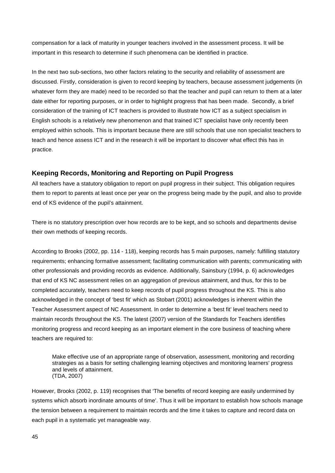compensation for a lack of maturity in younger teachers involved in the assessment process. It will be important in this research to determine if such phenomena can be identified in practice.

In the next two sub-sections, two other factors relating to the security and reliability of assessment are discussed. Firstly, consideration is given to record keeping by teachers, because assessment judgements (in whatever form they are made) need to be recorded so that the teacher and pupil can return to them at a later date either for reporting purposes, or in order to highlight progress that has been made. Secondly, a brief consideration of the training of ICT teachers is provided to illustrate how ICT as a subject specialism in English schools is a relatively new phenomenon and that trained ICT specialist have only recently been employed within schools. This is important because there are still schools that use non specialist teachers to teach and hence assess ICT and in the research it will be important to discover what effect this has in practice.

## **Keeping Records, Monitoring and Reporting on Pupil Progress**

All teachers have a statutory obligation to report on pupil progress in their subject. This obligation requires them to report to parents at least once per year on the progress being made by the pupil, and also to provide end of KS evidence of the pupil's attainment.

There is no statutory prescription over how records are to be kept, and so schools and departments devise their own methods of keeping records.

According to Brooks (2002, pp. 114 - 118), keeping records has 5 main purposes, namely: fulfilling statutory requirements; enhancing formative assessment; facilitating communication with parents; communicating with other professionals and providing records as evidence. Additionally, Sainsbury (1994, p. 6) acknowledges that end of KS NC assessment relies on an aggregation of previous attainment, and thus, for this to be completed accurately, teachers need to keep records of pupil progress throughout the KS. This is also acknowledged in the concept of 'best fit' which as Stobart (2001) acknowledges is inherent within the Teacher Assessment aspect of NC Assessment. In order to determine a 'best fit' level teachers need to maintain records throughout the KS. The latest (2007) version of the Standards for Teachers identifies monitoring progress and record keeping as an important element in the core business of teaching where teachers are required to:

Make effective use of an appropriate range of observation, assessment, monitoring and recording strategies as a basis for setting challenging learning objectives and monitoring learners' progress and levels of attainment. (TDA, 2007)

However, Brooks (2002, p. 119) recognises that 'The benefits of record keeping are easily undermined by systems which absorb inordinate amounts of time'. Thus it will be important to establish how schools manage the tension between a requirement to maintain records and the time it takes to capture and record data on each pupil in a systematic yet manageable way.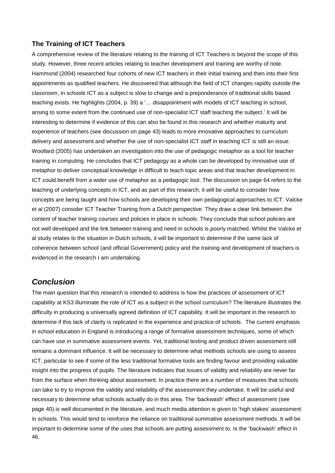## **The Training of ICT Teachers**

<span id="page-46-0"></span>A comprehensive review of the literature relating to the training of ICT Teachers is beyond the scope of this study. However, three recent articles relating to teacher development and training are worthy of note. Hammond (2004) researched four cohorts of new ICT teachers in their initial training and then into their first appointments as qualified teachers. He discovered that although the field of ICT changes rapidly outside the classroom, in schools ICT as a subject is slow to change and a preponderance of traditional skills based teaching exists. He highlights (2004, p. 39) a '… disappointment with models of ICT teaching in school, arising to some extent from the continued use of non-specialist ICT staff teaching the subject.' It will be interesting to determine if evidence of this can also be found in this research and whether maturity and experience of teachers (see discussion on page [43\)](#page-43-0) leads to more innovative approaches to curriculum delivery and assessment and whether the use of non-specialist ICT staff in teaching ICT is still an issue. Woollard (2005) has undertaken an investigation into the use of pedagogic metaphor as a tool for teacher training in computing. He concludes that ICT pedagogy as a whole can be developed by innovative use of metaphor to deliver conceptual knowledge in difficult to teach topic areas and that teacher development in ICT could benefit from a wider use of metaphor as a pedagogic tool. The discussion on page [64](#page-64-0) refers to the teaching of underlying concepts in ICT, and as part of this research, it will be useful to consider how concepts are being taught and how schools are developing their own pedagogical approaches to ICT. Valcke et al (2007) consider ICT Teacher Training from a Dutch perspective. They draw a clear link between the content of teacher training courses and policies in place in schools. They conclude that school policies are not well developed and the link between training and need in schools is poorly matched. Whilst the Valcke et al study relates to the situation in Dutch schools, it will be important to determine if the same lack of coherence between school (and official Government) policy and the training and development of teachers is evidenced in the research I am undertaking.

## *Conclusion*

46 The main question that this research is intended to address is how the practices of assessment of ICT capability at KS3 illuminate the role of ICT as a subject in the school curriculum? The literature illustrates the difficulty in producing a universally agreed definition of ICT capability. It will be important in the research to determine if this lack of clarity is replicated in the experience and practice of schools. The current emphasis in school education in England is introducing a range of formative assessment techniques, some of which can have use in summative assessment events. Yet, traditional testing and product driven assessment still remains a dominant influence. It will be necessary to determine what methods schools are using to assess ICT, particular to see if some of the less traditional formative tools are finding favour and providing valuable insight into the progress of pupils. The literature indicates that issues of validity and reliability are never far from the surface when thinking about assessment. In practice there are a number of measures that schools can take to try to improve the validity and reliability of the assessment they undertake. It will be useful and necessary to determine what schools actually do in this area. The 'backwash' effect of assessment (see page 40) is well documented in the literature, and much media attention is given to 'high stakes' assessment in schools. This would tend to reinforce the reliance on traditional summative assessment methods. It will be important to determine some of the uses that schools are putting assessment to. Is the 'backwash' effect in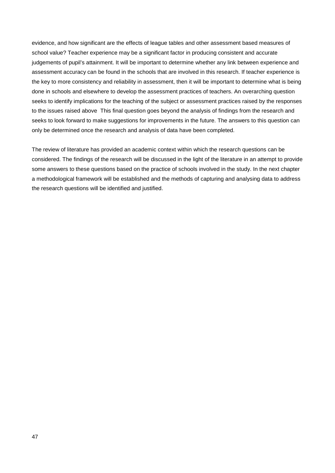evidence, and how significant are the effects of league tables and other assessment based measures of school value? Teacher experience may be a significant factor in producing consistent and accurate judgements of pupil's attainment. It will be important to determine whether any link between experience and assessment accuracy can be found in the schools that are involved in this research. If teacher experience is the key to more consistency and reliability in assessment, then it will be important to determine what is being done in schools and elsewhere to develop the assessment practices of teachers. An overarching question seeks to identify implications for the teaching of the subject or assessment practices raised by the responses to the issues raised above This final question goes beyond the analysis of findings from the research and seeks to look forward to make suggestions for improvements in the future. The answers to this question can only be determined once the research and analysis of data have been completed.

The review of literature has provided an academic context within which the research questions can be considered. The findings of the research will be discussed in the light of the literature in an attempt to provide some answers to these questions based on the practice of schools involved in the study. In the next chapter a methodological framework will be established and the methods of capturing and analysing data to address the research questions will be identified and justified.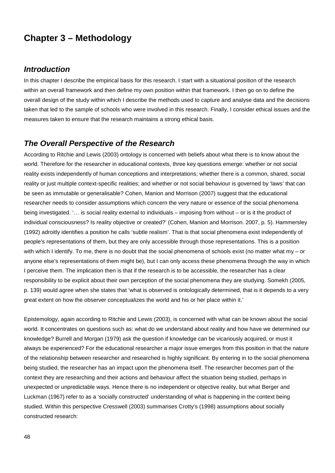# **Chapter 3 – Methodology**

## *Introduction*

In this chapter I describe the empirical basis for this research. I start with a situational position of the research within an overall framework and then define my own position within that framework. I then go on to define the overall design of the study within which I describe the methods used to capture and analyse data and the decisions taken that led to the sample of schools who were involved in this research. Finally, I consider ethical issues and the measures taken to ensure that the research maintains a strong ethical basis.

## *The Overall Perspective of the Research*

According to Ritchie and Lewis (2003) ontology is concerned with beliefs about what there is to know about the world. Therefore for the researcher in educational contexts, three key questions emerge: whether or not social reality exists independently of human conceptions and interpretations; whether there is a common, shared, social reality or just multiple context-specific realities; and whether or not social behaviour is governed by 'laws' that can be seen as immutable or generalisable? Cohen, Manion and Morrison (2007) suggest that the educational researcher needs to consider assumptions which concern the very nature or essence of the social phenomena being investigated. '… is social reality external to individuals – imposing from without – or is it the product of individual consciousness? Is reality objective or created?' (Cohen, Manion and Morrison. 2007, p. 5). Hammersley (1992) adroitly identifies a position he calls 'subtle realism'. That is that social phenomena exist independently of people's representations of them, but they are only accessible through those representations. This is a position with which I identify. To me, there is no doubt that the social phenomena of schools exist (no matter what my – or anyone else's representations of them might be), but I can only access these phenomena through the way in which I perceive them. The implication then is that if the research is to be accessible, the researcher has a clear responsibility to be explicit about their own perception of the social phenomena they are studying. Somekh (2005, p. 139) would agree when she states that 'what is observed is ontologically determined, that is it depends to a very great extent on how the observer conceptualizes the world and his or her place within it.'

Epistemology, again according to Ritchie and Lewis (2003), is concerned with what can be known about the social world. It concentrates on questions such as: what do we understand about reality and how have we determined our knowledge? Burrell and Morgan (1979) ask the question if knowledge can be vicariously acquired, or must it always be experienced? For the educational researcher a major issue emerges from this position in that the nature of the relationship between researcher and researched is highly significant. By entering in to the social phenomena being studied, the researcher has an impact upon the phenomena itself. The researcher becomes part of the context they are researching and their actions and behaviour affect the situation being studied, perhaps in unexpected or unpredictable ways. Hence there is no independent or objective reality, but what Berger and Luckman (1967) refer to as a 'socially constructed' understanding of what is happening in the context being studied. Within this perspective Cresswell (2003) summarises Crotty's (1998) assumptions about socially constructed research: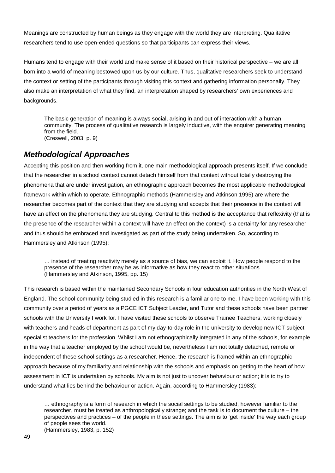Meanings are constructed by human beings as they engage with the world they are interpreting. Qualitative researchers tend to use open-ended questions so that participants can express their views.

Humans tend to engage with their world and make sense of it based on their historical perspective – we are all born into a world of meaning bestowed upon us by our culture. Thus, qualitative researchers seek to understand the context or setting of the participants through visiting this context and gathering information personally. They also make an interpretation of what they find, an interpretation shaped by researchers' own experiences and backgrounds.

<span id="page-49-0"></span>The basic generation of meaning is always social, arising in and out of interaction with a human community. The process of qualitative research is largely inductive, with the enquirer generating meaning from the field. (Creswell, 2003, p. 9)

## *Methodological Approaches*

Accepting this position and then working from it, one main methodological approach presents itself. If we conclude that the researcher in a school context cannot detach himself from that context without totally destroying the phenomena that are under investigation, an ethnographic approach becomes the most applicable methodological framework within which to operate. Ethnographic methods (Hammersley and Atkinson 1995) are where the researcher becomes part of the context that they are studying and accepts that their presence in the context will have an effect on the phenomena they are studying. Central to this method is the acceptance that reflexivity (that is the presence of the researcher within a context will have an effect on the context) is a certainty for any researcher and thus should be embraced and investigated as part of the study being undertaken. So, according to Hammersley and Atkinson (1995):

… instead of treating reactivity merely as a source of bias, we can exploit it. How people respond to the presence of the researcher may be as informative as how they react to other situations. (Hammersley and Atkinson, 1995, pp. 15)

This research is based within the maintained Secondary Schools in four education authorities in the North West of England. The school community being studied in this research is a familiar one to me. I have been working with this community over a period of years as a PGCE ICT Subject Leader, and Tutor and these schools have been partner schools with the University I work for. I have visited these schools to observe Trainee Teachers, working closely with teachers and heads of department as part of my day-to-day role in the university to develop new ICT subject specialist teachers for the profession. Whilst I am not ethnographically integrated in any of the schools, for example in the way that a teacher employed by the school would be, nevertheless I am not totally detached, remote or independent of these school settings as a researcher. Hence, the research is framed within an ethnographic approach because of my familiarity and relationship with the schools and emphasis on getting to the heart of how assessment in ICT is undertaken by schools. My aim is not just to uncover behaviour or action; it is to try to understand what lies behind the behaviour or action. Again, according to Hammersley (1983):

… ethnography is a form of research in which the social settings to be studied, however familiar to the researcher, must be treated as anthropologically strange; and the task is to document the culture – the perspectives and practices – of the people in these settings. The aim is to 'get inside' the way each group of people sees the world. (Hammersley, 1983, p. 152)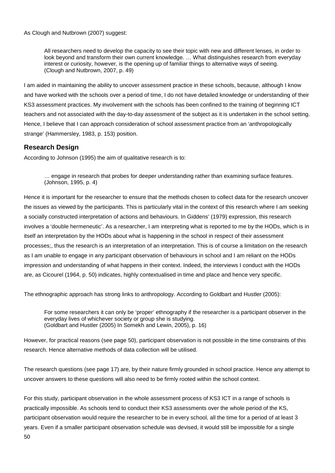As Clough and Nutbrown (2007) suggest:

All researchers need to develop the capacity to see their topic with new and different lenses, in order to look beyond and transform their own current knowledge. … What distinguishes research from everyday interest or curiosity, however, is the opening up of familiar things to alternative ways of seeing. (Clough and Nutbrown, 2007, p. 49)

I am aided in maintaining the ability to uncover assessment practice in these schools, because, although I know and have worked with the schools over a period of time, I do not have detailed knowledge or understanding of their KS3 assessment practices. My involvement with the schools has been confined to the training of beginning ICT teachers and not associated with the day-to-day assessment of the subject as it is undertaken in the school setting. Hence, I believe that I can approach consideration of school assessment practice from an 'anthropologically strange' (Hammersley, 1983, p. 153) position.

## **Research Design**

According to Johnson (1995) the aim of qualitative research is to:

… engage in research that probes for deeper understanding rather than examining surface features. (Johnson, 1995, p. 4)

Hence it is important for the researcher to ensure that the methods chosen to collect data for the research uncover the issues as viewed by the participants. This is particularly vital in the context of this research where I am seeking a socially constructed interpretation of actions and behaviours. In Giddens' (1979) expression, this research involves a 'double hermeneutic'. As a researcher, I am interpreting what is reported to me by the HODs, which is in itself an interpretation by the HODs about what is happening in the school in respect of their assessment processes;, thus the research is an interpretation of an interpretation. This is of course a limitation on the research as I am unable to engage in any participant observation of behaviours in school and I am reliant on the HODs impression and understanding of what happens in their context. Indeed, the interviews I conduct with the HODs are, as Cicourel (1964, p. 50) indicates, highly contextualised in time and place and hence very specific.

The ethnographic approach has strong links to anthropology. According to Goldbart and Hustler (2005):

<span id="page-50-1"></span>For some researchers it can only be 'proper' ethnography if the researcher is a participant observer in the everyday lives of whichever society or group she is studying. (Goldbart and Hustler (2005) In Somekh and Lewin, 2005), p. 16)

However, for practical reasons (see page [50\)](#page-50-0), participant observation is not possible in the time constraints of this research. Hence alternative methods of data collection will be utilised.

The research questions (see page [17\)](#page-17-0) are, by their nature firmly grounded in school practice. Hence any attempt to uncover answers to these questions will also need to be firmly rooted within the school context.

<span id="page-50-0"></span>50 For this study, participant observation in the whole assessment process of KS3 ICT in a range of schools is practically impossible. As schools tend to conduct their KS3 assessments over the whole period of the KS, participant observation would require the researcher to be in every school, all the time for a period of at least 3 years. Even if a smaller participant observation schedule was devised, it would still be impossible for a single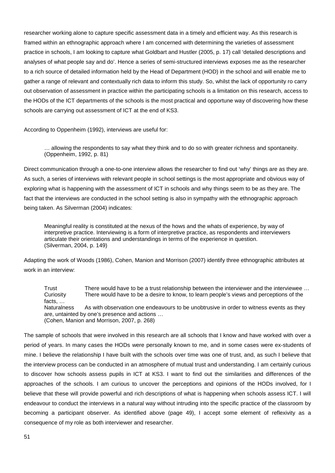researcher working alone to capture specific assessment data in a timely and efficient way. As this research is framed within an ethnographic approach where I am concerned with determining the varieties of assessment practice in schools, I am looking to capture what Goldbart and Hustler (2005, p. 17) call 'detailed descriptions and analyses of what people say and do'. Hence a series of semi-structured interviews exposes me as the researcher to a rich source of detailed information held by the Head of Department (HOD) in the school and will enable me to gather a range of relevant and contextually rich data to inform this study. So, whilst the lack of opportunity ro carry out observation of assessment in practice within the participating schools is a limitation on this research, access to the HODs of the ICT departments of the schools is the most practical and opportune way of discovering how these schools are carrying out assessment of ICT at the end of KS3.

According to Oppenheim (1992), interviews are useful for:

… allowing the respondents to say what they think and to do so with greater richness and spontaneity. (Oppenheim, 1992, p. 81)

Direct communication through a one-to-one interview allows the researcher to find out 'why' things are as they are. As such, a series of interviews with relevant people in school settings is the most appropriate and obvious way of exploring what is happening with the assessment of ICT in schools and why things seem to be as they are. The fact that the interviews are conducted in the school setting is also in sympathy with the ethnographic approach being taken. As Silverman (2004) indicates:

Meaningful reality is constituted at the nexus of the hows and the whats of experience, by way of interpretive practice. Interviewing is a form of interpretive practice, as respondents and interviewers articulate their orientations and understandings in terms of the experience in question. (Silverman, 2004, p. 149)

Adapting the work of Woods (1986), Cohen, Manion and Morrison (2007) identify three ethnographic attributes at work in an interview:

Trust There would have to be a trust relationship between the interviewer and the interviewee ... Curiosity There would have to be a desire to know, to learn people's views and perceptions of the facts, … Naturalness As with observation one endeavours to be unobtrusive in order to witness events as they are, untainted by one's presence and actions … (Cohen, Manion and Morrison, 2007, p. 268)

The sample of schools that were involved in this research are all schools that I know and have worked with over a period of years. In many cases the HODs were personally known to me, and in some cases were ex-students of mine. I believe the relationship I have built with the schools over time was one of trust, and, as such I believe that the interview process can be conducted in an atmosphere of mutual trust and understanding. I am certainly curious to discover how schools assess pupils in ICT at KS3. I want to find out the similarities and differences of the approaches of the schools. I am curious to uncover the perceptions and opinions of the HODs involved, for I believe that these will provide powerful and rich descriptions of what is happening when schools assess ICT. I will endeavour to conduct the interviews in a natural way without intruding into the specific practice of the classroom by becoming a participant observer. As identified above (page [49\)](#page-49-0), I accept some element of reflexivity as a consequence of my role as both interviewer and researcher.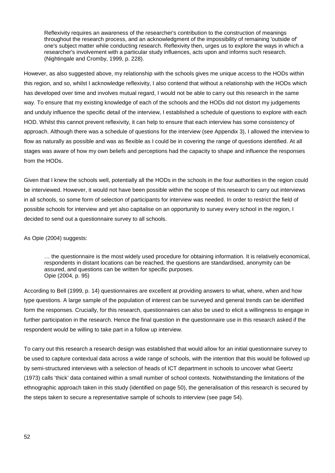Reflexivity requires an awareness of the researcher's contribution to the construction of meanings throughout the research process, and an acknowledgment of the impossibility of remaining 'outside of' one's subject matter while conducting research. Reflexivity then, urges us to explore the ways in which a researcher's involvement with a particular study influences, acts upon and informs such research. (Nightingale and Cromby, 1999, p. 228).

However, as also suggested above, my relationship with the schools gives me unique access to the HODs within this region, and so, whilst I acknowledge reflexivity, I also contend that without a relationship with the HODs which has developed over time and involves mutual regard, I would not be able to carry out this research in the same way. To ensure that my existing knowledge of each of the schools and the HODs did not distort my judgements and unduly influence the specific detail of the interview, I established a schedule of questions to explore with each HOD. Whilst this cannot prevent reflexivity, it can help to ensure that each interview has some consistency of approach. Although there was a schedule of questions for the interview (see Appendix 3), I allowed the interview to flow as naturally as possible and was as flexible as I could be in covering the range of questions identified. At all stages was aware of how my own beliefs and perceptions had the capacity to shape and influence the responses from the HODs.

Given that I knew the schools well, potentially all the HODs in the schools in the four authorities in the region could be interviewed. However, it would not have been possible within the scope of this research to carry out interviews in all schools, so some form of selection of participants for interview was needed. In order to restrict the field of possible schools for interview and yet also capitalise on an opportunity to survey every school in the region, I decided to send out a questionnaire survey to all schools.

#### As Opie (2004) suggests:

… the questionnaire is the most widely used procedure for obtaining information. It is relatively economical, respondents in distant locations can be reached, the questions are standardised, anonymity can be assured, and questions can be written for specific purposes. Opie (2004, p. 95)

According to Bell (1999, p. 14) questionnaires are excellent at providing answers to what, where, when and how type questions. A large sample of the population of interest can be surveyed and general trends can be identified form the responses. Crucially, for this research, questionnaires can also be used to elicit a willingness to engage in further participation in the research. Hence the final question in the questionnaire use in this research asked if the respondent would be willing to take part in a follow up interview.

To carry out this research a research design was established that would allow for an initial questionnaire survey to be used to capture contextual data across a wide range of schools, with the intention that this would be followed up by semi-structured interviews with a selection of heads of ICT department in schools to uncover what Geertz (1973) calls 'thick' data contained within a small number of school contexts. Notwithstanding the limitations of the ethnographic approach taken in this study (identified on page [50\)](#page-50-1), the generalisation of this research is secured by the steps taken to secure a representative sample of schools to interview (see page [54\)](#page-54-0).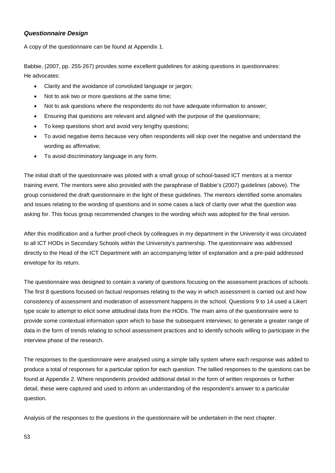## *Questionnaire Design*

A copy of the questionnaire can be found at Appendix 1.

Babbie, (2007, pp. 255-267) provides some excellent guidelines for asking questions in questionnaires: He advocates:

- Clarity and the avoidance of convoluted language or jargon;
- Not to ask two or more questions at the same time;
- Not to ask questions where the respondents do not have adequate information to answer;
- Ensuring that questions are relevant and aligned with the purpose of the questionnaire;
- To keep questions short and avoid very lengthy questions;
- To avoid negative items because very often respondents will skip over the negative and understand the wording as affirmative;
- To avoid discriminatory language in any form.

The initial draft of the questionnaire was piloted with a small group of school-based ICT mentors at a mentor training event. The mentors were also provided with the paraphrase of Babbie's (2007) guidelines (above). The group considered the draft questionnaire in the light of these guidelines. The mentors identified some anomalies and issues relating to the wording of questions and in some cases a lack of clarity over what the question was asking for. This focus group recommended changes to the wording which was adopted for the final version.

After this modification and a further proof-check by colleagues in my department in the University it was circulated to all ICT HODs in Secondary Schools within the University's partnership. The questionnaire was addressed directly to the Head of the ICT Department with an accompanying letter of explanation and a pre-paid addressed envelope for its return.

The questionnaire was designed to contain a variety of questions focusing on the assessment practices of schools. The first 8 questions focused on factual responses relating to the way in which assessment is carried out and how consistency of assessment and moderation of assessment happens in the school. Questions 9 to 14 used a Likert type scale to attempt to elicit some attitudinal data from the HODs. The main aims of the questionnaire were to provide some contextual information upon which to base the subsequent interviews; to generate a greater range of data in the form of trends relating to school assessment practices and to identify schools willing to participate in the interview phase of the research.

The responses to the questionnaire were analysed using a simple tally system where each response was added to produce a total of responses for a particular option for each question. The tallied responses to the questions can be found at Appendix 2. Where respondents provided additional detail in the form of written responses or further detail, these were captured and used to inform an understanding of the respondent's answer to a particular question.

Analysis of the responses to the questions in the questionnaire will be undertaken in the next chapter.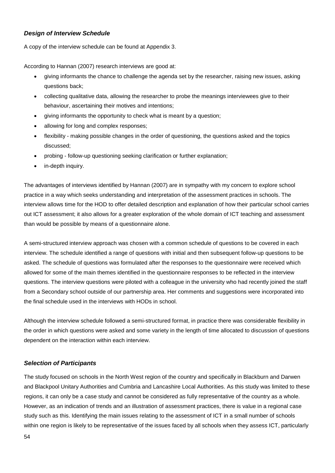## *Design of Interview Schedule*

A copy of the interview schedule can be found at Appendix 3.

According to Hannan (2007) research interviews are good at:

- giving informants the chance to challenge the agenda set by the researcher, raising new issues, asking questions back;
- collecting qualitative data, allowing the researcher to probe the meanings interviewees give to their behaviour, ascertaining their motives and intentions;
- giving informants the opportunity to check what is meant by a question;
- allowing for long and complex responses;
- flexibility making possible changes in the order of questioning, the questions asked and the topics discussed;
- probing follow-up questioning seeking clarification or further explanation;
- in-depth inquiry.

The advantages of interviews identified by Hannan (2007) are in sympathy with my concern to explore school practice in a way which seeks understanding and interpretation of the assessment practices in schools. The interview allows time for the HOD to offer detailed description and explanation of how their particular school carries out ICT assessment; it also allows for a greater exploration of the whole domain of ICT teaching and assessment than would be possible by means of a questionnaire alone.

A semi-structured interview approach was chosen with a common schedule of questions to be covered in each interview. The schedule identified a range of questions with initial and then subsequent follow-up questions to be asked. The schedule of questions was formulated after the responses to the questionnaire were received which allowed for some of the main themes identified in the questionnaire responses to be reflected in the interview questions. The interview questions were piloted with a colleague in the university who had recently joined the staff from a Secondary school outside of our partnership area. Her comments and suggestions were incorporated into the final schedule used in the interviews with HODs in school.

Although the interview schedule followed a semi-structured format, in practice there was considerable flexibility in the order in which questions were asked and some variety in the length of time allocated to discussion of questions dependent on the interaction within each interview.

## <span id="page-54-0"></span>*Selection of Participants*

The study focused on schools in the North West region of the country and specifically in Blackburn and Darwen and Blackpool Unitary Authorities and Cumbria and Lancashire Local Authorities. As this study was limited to these regions, it can only be a case study and cannot be considered as fully representative of the country as a whole. However, as an indication of trends and an illustration of assessment practices, there is value in a regional case study such as this. Identifying the main issues relating to the assessment of ICT in a small number of schools within one region is likely to be representative of the issues faced by all schools when they assess ICT, particularly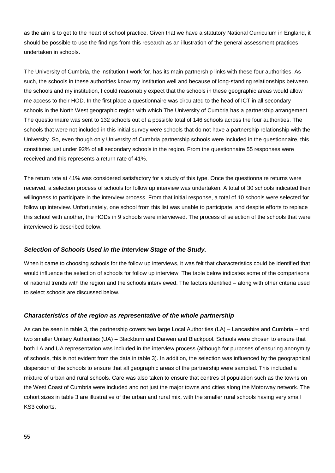as the aim is to get to the heart of school practice. Given that we have a statutory National Curriculum in England, it should be possible to use the findings from this research as an illustration of the general assessment practices undertaken in schools.

The University of Cumbria, the institution I work for, has its main partnership links with these four authorities. As such, the schools in these authorities know my institution well and because of long-standing relationships between the schools and my institution, I could reasonably expect that the schools in these geographic areas would allow me access to their HOD. In the first place a questionnaire was circulated to the head of ICT in all secondary schools in the North West geographic region with which The University of Cumbria has a partnership arrangement. The questionnaire was sent to 132 schools out of a possible total of 146 schools across the four authorities. The schools that were not included in this initial survey were schools that do not have a partnership relationship with the University. So, even though only University of Cumbria partnership schools were included in the questionnaire, this constitutes just under 92% of all secondary schools in the region. From the questionnaire 55 responses were received and this represents a return rate of 41%.

The return rate at 41% was considered satisfactory for a study of this type. Once the questionnaire returns were received, a selection process of schools for follow up interview was undertaken. A total of 30 schools indicated their willingness to participate in the interview process. From that initial response, a total of 10 schools were selected for follow up interview. Unfortunately, one school from this list was unable to participate, and despite efforts to replace this school with another, the HODs in 9 schools were interviewed. The process of selection of the schools that were interviewed is described below.

#### *Selection of Schools Used in the Interview Stage of the Study.*

When it came to choosing schools for the follow up interviews, it was felt that characteristics could be identified that would influence the selection of schools for follow up interview. The table below indicates some of the comparisons of national trends with the region and the schools interviewed. The factors identified – along with other criteria used to select schools are discussed below.

#### *Characteristics of the region as representative of the whole partnership*

As can be seen in table 3, the partnership covers two large Local Authorities (LA) – Lancashire and Cumbria – and two smaller Unitary Authorities (UA) – Blackburn and Darwen and Blackpool. Schools were chosen to ensure that both LA and UA representation was included in the interview process (although for purposes of ensuring anonymity of schools, this is not evident from the data in table 3). In addition, the selection was influenced by the geographical dispersion of the schools to ensure that all geographic areas of the partnership were sampled. This included a mixture of urban and rural schools. Care was also taken to ensure that centres of population such as the towns on the West Coast of Cumbria were included and not just the major towns and cities along the Motorway network. The cohort sizes in table 3 are illustrative of the urban and rural mix, with the smaller rural schools having very small KS3 cohorts.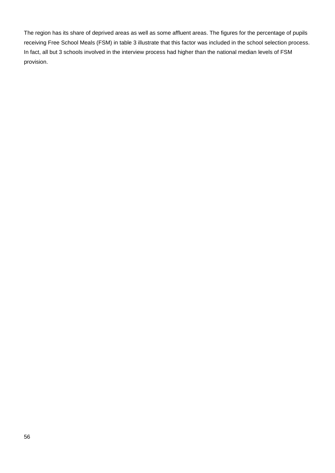The region has its share of deprived areas as well as some affluent areas. The figures for the percentage of pupils receiving Free School Meals (FSM) in table 3 illustrate that this factor was included in the school selection process. In fact, all but 3 schools involved in the interview process had higher than the national median levels of FSM provision.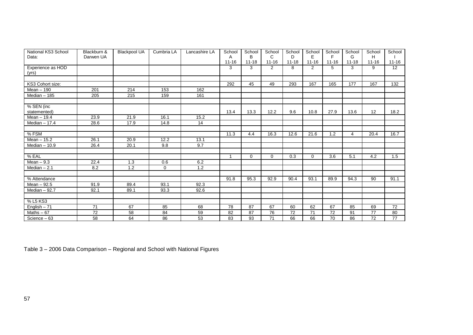| National KS3 School | Blackburn &     | <b>Blackpool UA</b> | Cumbria LA  | Lancashire LA | School    | School    | School          | School    | School    | School          | School         | School          | School          |
|---------------------|-----------------|---------------------|-------------|---------------|-----------|-----------|-----------------|-----------|-----------|-----------------|----------------|-----------------|-----------------|
| Data:               | Darwen UA       |                     |             |               | A         | B         | C               | D         | E         | F               | G              | H               |                 |
|                     |                 |                     |             |               | $11 - 16$ | $11 - 18$ | $11 - 16$       | $11 - 18$ | $11 - 16$ | $11 - 16$       | $11 - 18$      | $11 - 16$       | $11 - 16$       |
| Experience as HOD   |                 |                     |             |               | 3         | 3         | $\overline{2}$  | 8         | 2         | 5               | 3              | 9               | 12              |
| (yrs)               |                 |                     |             |               |           |           |                 |           |           |                 |                |                 |                 |
|                     |                 |                     |             |               |           |           |                 |           |           |                 |                |                 |                 |
| KS3 Cohort size:    |                 |                     |             |               | 292       | 45        | 49              | 293       | 167       | 165             | 177            | 167             | 132             |
| Mean - 190          | 201             | 214                 | 153         | 162           |           |           |                 |           |           |                 |                |                 |                 |
| Median - 185        | 205             | 215                 | 159         | 161           |           |           |                 |           |           |                 |                |                 |                 |
|                     |                 |                     |             |               |           |           |                 |           |           |                 |                |                 |                 |
| % SEN (inc          |                 |                     |             |               |           |           |                 |           |           |                 |                |                 |                 |
| statemented)        |                 |                     |             |               | 13.4      | 13.3      | 12.2            | 9.6       | 10.8      | 27.9            | 13.6           | 12              | 18.2            |
| Mean - 19.4         | 23.9            | 21.9                | 16.1        | 15.2          |           |           |                 |           |           |                 |                |                 |                 |
| Median $-17.4$      | 28.6            | 17.9                | 14.8        | 14            |           |           |                 |           |           |                 |                |                 |                 |
|                     |                 |                     |             |               |           |           |                 |           |           |                 |                |                 |                 |
| $%$ FSM             |                 |                     |             |               | 11.3      | 4.4       | 16.3            | 12.6      | 21.6      | 1.2             | $\overline{4}$ | 20.4            | 16.7            |
| Mean $-15.2$        | 26.1            | 20.9                | 12.2        | 13.1          |           |           |                 |           |           |                 |                |                 |                 |
| Median $-10.9$      | 26.4            | 20.1                | 9.8         | 9.7           |           |           |                 |           |           |                 |                |                 |                 |
|                     |                 |                     |             |               |           |           |                 |           |           |                 |                |                 |                 |
| % EAL               |                 |                     |             |               | 1         | $\Omega$  | $\Omega$        | 0.3       | $\Omega$  | 3.6             | 5.1            | 4.2             | 1.5             |
| $Mean - 9.3$        | 22.4            | 1.3                 | 0.6         | 6.2           |           |           |                 |           |           |                 |                |                 |                 |
| Median $-2.1$       | 8.2             | $\overline{1.2}$    | $\mathbf 0$ | 1.2           |           |           |                 |           |           |                 |                |                 |                 |
|                     |                 |                     |             |               |           |           |                 |           |           |                 |                |                 |                 |
| % Attendance        |                 |                     |             |               | 91.8      | 95.3      | 92.9            | 90.4      | 93.1      | 89.9            | 94.3           | 90              | 91.1            |
| Mean $-92.5$        | 91.9            | 89.4                | 93.1        | 92.3          |           |           |                 |           |           |                 |                |                 |                 |
| Median $-92.7$      | 92.1            | 89.1                | 93.3        | 92.6          |           |           |                 |           |           |                 |                |                 |                 |
|                     |                 |                     |             |               |           |           |                 |           |           |                 |                |                 |                 |
| % L5 KS3            |                 |                     |             |               |           |           |                 |           |           |                 |                |                 |                 |
| English $-71$       | $\overline{71}$ | 67                  | 85          | 68            | 78        | 87        | 67              | 60        | 62        | 67              | 85             | 69              | $\overline{72}$ |
| Maths $-67$         | 72              | 58                  | 84          | 59            | 82        | 87        | 76              | 72        | 71        | 72              | 91             | 77              | 80              |
| Science $-63$       | $\overline{58}$ | 64                  | 86          | 53            | 83        | 93        | $\overline{71}$ | 66        | 66        | $\overline{70}$ | 86             | $\overline{72}$ | $\overline{77}$ |

Table 3 – 2006 Data Comparison – Regional and School with National Figures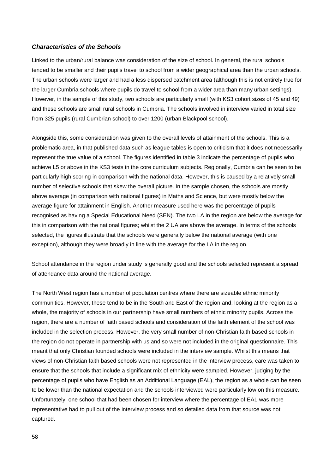#### *Characteristics of the Schools*

Linked to the urban/rural balance was consideration of the size of school. In general, the rural schools tended to be smaller and their pupils travel to school from a wider geographical area than the urban schools. The urban schools were larger and had a less dispersed catchment area (although this is not entirely true for the larger Cumbria schools where pupils do travel to school from a wider area than many urban settings). However, in the sample of this study, two schools are particularly small (with KS3 cohort sizes of 45 and 49) and these schools are small rural schools in Cumbria. The schools involved in interview varied in total size from 325 pupils (rural Cumbrian school) to over 1200 (urban Blackpool school).

Alongside this, some consideration was given to the overall levels of attainment of the schools. This is a problematic area, in that published data such as league tables is open to criticism that it does not necessarily represent the true value of a school. The figures identified in table 3 indicate the percentage of pupils who achieve L5 or above in the KS3 tests in the core curriculum subjects. Regionally, Cumbria can be seen to be particularly high scoring in comparison with the national data. However, this is caused by a relatively small number of selective schools that skew the overall picture. In the sample chosen, the schools are mostly above average (in comparison with national figures) in Maths and Science, but were mostly below the average figure for attainment in English. Another measure used here was the percentage of pupils recognised as having a Special Educational Need (SEN). The two LA in the region are below the average for this in comparison with the national figures; whilst the 2 UA are above the average. In terms of the schools selected, the figures illustrate that the schools were generally below the national average (with one exception), although they were broadly in line with the average for the LA in the region.

School attendance in the region under study is generally good and the schools selected represent a spread of attendance data around the national average.

The North West region has a number of population centres where there are sizeable ethnic minority communities. However, these tend to be in the South and East of the region and, looking at the region as a whole, the majority of schools in our partnership have small numbers of ethnic minority pupils. Across the region, there are a number of faith based schools and consideration of the faith element of the school was included in the selection process. However, the very small number of non-Christian faith based schools in the region do not operate in partnership with us and so were not included in the original questionnaire. This meant that only Christian founded schools were included in the interview sample. Whilst this means that views of non-Christian faith based schools were not represented in the interview process, care was taken to ensure that the schools that include a significant mix of ethnicity were sampled. However, judging by the percentage of pupils who have English as an Additional Language (EAL), the region as a whole can be seen to be lower than the national expectation and the schools interviewed were particularly low on this measure. Unfortunately, one school that had been chosen for interview where the percentage of EAL was more representative had to pull out of the interview process and so detailed data from that source was not captured.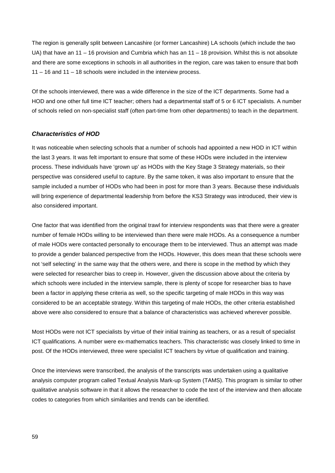The region is generally split between Lancashire (or former Lancashire) LA schools (which include the two UA) that have an 11 – 16 provision and Cumbria which has an 11 – 18 provision. Whilst this is not absolute and there are some exceptions in schools in all authorities in the region, care was taken to ensure that both 11 – 16 and 11 – 18 schools were included in the interview process.

Of the schools interviewed, there was a wide difference in the size of the ICT departments. Some had a HOD and one other full time ICT teacher; others had a departmental staff of 5 or 6 ICT specialists. A number of schools relied on non-specialist staff (often part-time from other departments) to teach in the department.

#### *Characteristics of HOD*

It was noticeable when selecting schools that a number of schools had appointed a new HOD in ICT within the last 3 years. It was felt important to ensure that some of these HODs were included in the interview process. These individuals have 'grown up' as HODs with the Key Stage 3 Strategy materials, so their perspective was considered useful to capture. By the same token, it was also important to ensure that the sample included a number of HODs who had been in post for more than 3 years. Because these individuals will bring experience of departmental leadership from before the KS3 Strategy was introduced, their view is also considered important.

One factor that was identified from the original trawl for interview respondents was that there were a greater number of female HODs willing to be interviewed than there were male HODs. As a consequence a number of male HODs were contacted personally to encourage them to be interviewed. Thus an attempt was made to provide a gender balanced perspective from the HODs. However, this does mean that these schools were not 'self selecting' in the same way that the others were, and there is scope in the method by which they were selected for researcher bias to creep in. However, given the discussion above about the criteria by which schools were included in the interview sample, there is plenty of scope for researcher bias to have been a factor in applying these criteria as well, so the specific targeting of male HODs in this way was considered to be an acceptable strategy. Within this targeting of male HODs, the other criteria established above were also considered to ensure that a balance of characteristics was achieved wherever possible.

Most HODs were not ICT specialists by virtue of their initial training as teachers, or as a result of specialist ICT qualifications. A number were ex-mathematics teachers. This characteristic was closely linked to time in post. Of the HODs interviewed, three were specialist ICT teachers by virtue of qualification and training.

Once the interviews were transcribed, the analysis of the transcripts was undertaken using a qualitative analysis computer program called Textual Analysis Mark-up System (TAMS). This program is similar to other qualitative analysis software in that it allows the researcher to code the text of the interview and then allocate codes to categories from which similarities and trends can be identified.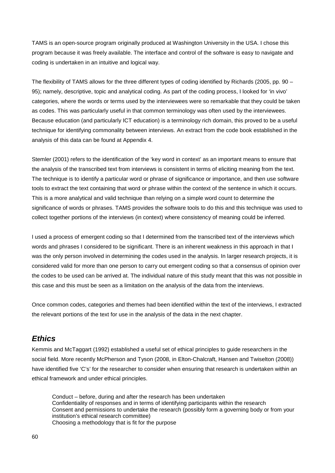TAMS is an open-source program originally produced at Washington University in the USA. I chose this program because it was freely available. The interface and control of the software is easy to navigate and coding is undertaken in an intuitive and logical way.

The flexibility of TAMS allows for the three different types of coding identified by Richards (2005, pp. 90 – 95); namely, descriptive, topic and analytical coding. As part of the coding process, I looked for 'in vivo' categories, where the words or terms used by the interviewees were so remarkable that they could be taken as codes. This was particularly useful in that common terminology was often used by the interviewees. Because education (and particularly ICT education) is a terminology rich domain, this proved to be a useful technique for identifying commonality between interviews. An extract from the code book established in the analysis of this data can be found at Appendix 4.

Stemler (2001) refers to the identification of the 'key word in context' as an important means to ensure that the analysis of the transcribed text from interviews is consistent in terms of eliciting meaning from the text. The technique is to identify a particular word or phrase of significance or importance, and then use software tools to extract the text containing that word or phrase within the context of the sentence in which it occurs. This is a more analytical and valid technique than relying on a simple word count to determine the significance of words or phrases. TAMS provides the software tools to do this and this technique was used to collect together portions of the interviews (in context) where consistency of meaning could be inferred.

I used a process of emergent coding so that I determined from the transcribed text of the interviews which words and phrases I considered to be significant. There is an inherent weakness in this approach in that I was the only person involved in determining the codes used in the analysis. In larger research projects, it is considered valid for more than one person to carry out emergent coding so that a consensus of opinion over the codes to be used can be arrived at. The individual nature of this study meant that this was not possible in this case and this must be seen as a limitation on the analysis of the data from the interviews.

Once common codes, categories and themes had been identified within the text of the interviews, I extracted the relevant portions of the text for use in the analysis of the data in the next chapter.

## *Ethics*

Kemmis and McTaggart (1992) established a useful set of ethical principles to guide researchers in the social field. More recently McPherson and Tyson (2008, in Elton-Chalcraft, Hansen and Twiselton (2008)) have identified five 'C's' for the researcher to consider when ensuring that research is undertaken within an ethical framework and under ethical principles.

Conduct – before, during and after the research has been undertaken Confidentiality of responses and in terms of identifying participants within the research Consent and permissions to undertake the research (possibly form a governing body or from your institution's ethical research committee) Choosing a methodology that is fit for the purpose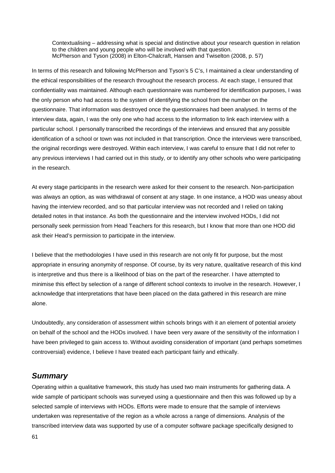Contextualising – addressing what is special and distinctive about your research question in relation to the children and young people who will be involved with that question. McPherson and Tyson (2008) in Elton-Chalcraft, Hansen and Twiselton (2008, p. 57)

In terms of this research and following McPherson and Tyson's 5 C's, I maintained a clear understanding of the ethical responsibilities of the research throughout the research process. At each stage, I ensured that confidentiality was maintained. Although each questionnaire was numbered for identification purposes, I was the only person who had access to the system of identifying the school from the number on the questionnaire. That information was destroyed once the questionnaires had been analysed. In terms of the interview data, again, I was the only one who had access to the information to link each interview with a particular school. I personally transcribed the recordings of the interviews and ensured that any possible identification of a school or town was not included in that transcription. Once the interviews were transcribed, the original recordings were destroyed. Within each interview, I was careful to ensure that I did not refer to any previous interviews I had carried out in this study, or to identify any other schools who were participating in the research.

At every stage participants in the research were asked for their consent to the research. Non-participation was always an option, as was withdrawal of consent at any stage. In one instance, a HOD was uneasy about having the interview recorded, and so that particular interview was not recorded and I relied on taking detailed notes in that instance. As both the questionnaire and the interview involved HODs, I did not personally seek permission from Head Teachers for this research, but I know that more than one HOD did ask their Head's permission to participate in the interview.

I believe that the methodologies I have used in this research are not only fit for purpose, but the most appropriate in ensuring anonymity of response. Of course, by its very nature, qualitative research of this kind is interpretive and thus there is a likelihood of bias on the part of the researcher. I have attempted to minimise this effect by selection of a range of different school contexts to involve in the research. However, I acknowledge that interpretations that have been placed on the data gathered in this research are mine alone.

Undoubtedly, any consideration of assessment within schools brings with it an element of potential anxiety on behalf of the school and the HODs involved. I have been very aware of the sensitivity of the information I have been privileged to gain access to. Without avoiding consideration of important (and perhaps sometimes controversial) evidence, I believe I have treated each participant fairly and ethically.

## *Summary*

Operating within a qualitative framework, this study has used two main instruments for gathering data. A wide sample of participant schools was surveyed using a questionnaire and then this was followed up by a selected sample of interviews with HODs. Efforts were made to ensure that the sample of interviews undertaken was representative of the region as a whole across a range of dimensions. Analysis of the transcribed interview data was supported by use of a computer software package specifically designed to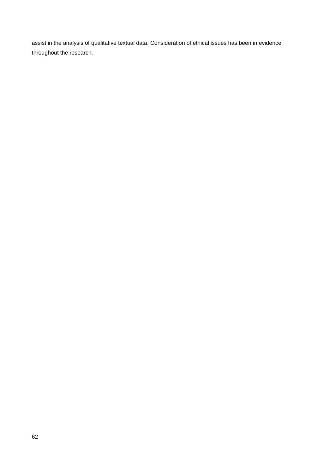assist in the analysis of qualitative textual data. Consideration of ethical issues has been in evidence throughout the research.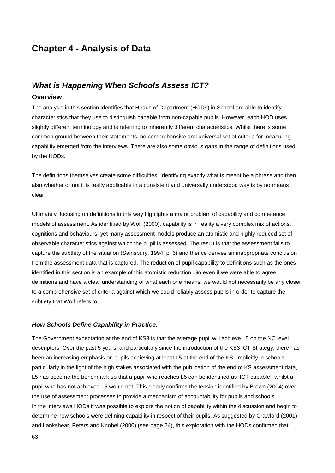# **Chapter 4 - Analysis of Data**

# *What is Happening When Schools Assess ICT?*

## **Overview**

The analysis in this section identifies that Heads of Department (HODs) in School are able to identify characteristics that they use to distinguish capable from non-capable pupils. However, each HOD uses slightly different terminology and is referring to inherently different characteristics. Whilst there is some common ground between their statements, no comprehensive and universal set of criteria for measuring capability emerged from the interviews. There are also some obvious gaps in the range of definitions used by the HODs.

The definitions themselves create some difficulties. Identifying exactly what is meant be a phrase and then also whether or not it is really applicable in a consistent and universally understood way is by no means clear.

Ultimately, focusing on definitions in this way highlights a major problem of capability and competence models of assessment. As identified by Wolf (2000), capability is in reality a very complex mix of actions, cognitions and behaviours, yet many assessment models produce an atomistic and highly reduced set of observable characteristics against which the pupil is assessed. The result is that the assessment fails to capture the subtlety of the situation (Sainsbury, 1994, p. 6) and thence derives an inappropriate conclusion from the assessment data that is captured. The reduction of pupil capability to definitions such as the ones identified in this section is an example of this atomistic reduction. So even if we were able to agree definitions and have a clear understanding of what each one means, we would not necessarily be any closer to a comprehensive set of criteria against which we could reliably assess pupils in order to capture the subtlety that Wolf refers to.

#### *How Schools Define Capability in Practice.*

The Government expectation at the end of KS3 is that the average pupil will achieve L5 on the NC level descriptors. Over the past 5 years, and particularly since the introduction of the KS3 ICT Strategy, there has been an increasing emphasis on pupils achieving at least L5 at the end of the KS. Implicitly in schools, particularly in the light of the high stakes associated with the publication of the end of KS assessment data, L5 has become the benchmark so that a pupil who reaches L5 can be identified as 'ICT capable', whilst a pupil who has not achieved L5 would not. This clearly confirms the tension identified by Brown (2004) over the use of assessment processes to provide a mechanism of accountability for pupils and schools. In the interviews HODs it was possible to explore the notion of capability within the discussion and begin to determine how schools were defining capability in respect of their pupils. As suggested by Crawford (2001) and Lankshear, Peters and Knobel (2000) (see page [24\)](#page-24-0), this exploration with the HODs confirmed that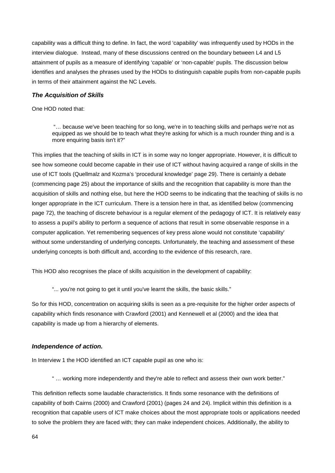capability was a difficult thing to define. In fact, the word 'capability' was infrequently used by HODs in the interview dialogue. Instead, many of these discussions centred on the boundary between L4 and L5 attainment of pupils as a measure of identifying 'capable' or 'non-capable' pupils. The discussion below identifies and analyses the phrases used by the HODs to distinguish capable pupils from non-capable pupils in terms of their attainment against the NC Levels.

## *The Acquisition of Skills*

#### One HOD noted that:

"… because we've been teaching for so long, we're in to teaching skills and perhaps we're not as equipped as we should be to teach what they're asking for which is a much rounder thing and is a more enquiring basis isn't it?"

This implies that the teaching of skills in ICT is in some way no longer appropriate. However, it is difficult to see how someone could become capable in their use of ICT without having acquired a range of skills in the use of ICT tools (Quellmalz and Kozma's 'procedural knowledge' page [29\)](#page-29-0). There is certainly a debate (commencing page [25\)](#page-25-0) about the importance of skills and the recognition that capability is more than the acquisition of skills and nothing else, but here the HOD seems to be indicating that the teaching of skills is no longer appropriate in the ICT curriculum. There is a tension here in that, as identified below (commencing page [72\)](#page-72-0), the teaching of discrete behaviour is a regular element of the pedagogy of ICT. It is relatively easy to assess a pupil's ability to perform a sequence of actions that result in some observable response in a computer application. Yet remembering sequences of key press alone would not constitute 'capability' without some understanding of underlying concepts. Unfortunately, the teaching and assessment of these underlying concepts is both difficult and, according to the evidence of this research, rare.

This HOD also recognises the place of skills acquisition in the development of capability:

<span id="page-64-0"></span>"... you're not going to get it until you've learnt the skills, the basic skills."

So for this HOD, concentration on acquiring skills is seen as a pre-requisite for the higher order aspects of capability which finds resonance with Crawford (2001) and Kennewell et al (2000) and the idea that capability is made up from a hierarchy of elements.

#### *Independence of action.*

In Interview 1 the HOD identified an ICT capable pupil as one who is:

" … working more independently and they're able to reflect and assess their own work better."

This definition reflects some laudable characteristics. It finds some resonance with the definitions of capability of both Cairns (2000) and Crawford (2001) (pages [24](#page-24-1) and [24\)](#page-24-0). Implicit within this definition is a recognition that capable users of ICT make choices about the most appropriate tools or applications needed to solve the problem they are faced with; they can make independent choices. Additionally, the ability to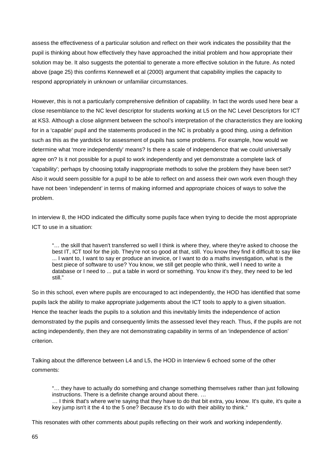assess the effectiveness of a particular solution and reflect on their work indicates the possibility that the pupil is thinking about how effectively they have approached the initial problem and how appropriate their solution may be. It also suggests the potential to generate a more effective solution in the future. As noted above (page [25\)](#page-25-1) this confirms Kennewell et al (2000) argument that capability implies the capacity to respond appropriately in unknown or unfamiliar circumstances.

However, this is not a particularly comprehensive definition of capability. In fact the words used here bear a close resemblance to the NC level descriptor for students working at L5 on the NC Level Descriptors for ICT at KS3. Although a close alignment between the school's interpretation of the characteristics they are looking for in a 'capable' pupil and the statements produced in the NC is probably a good thing, using a definition such as this as the yardstick for assessment of pupils has some problems. For example, how would we determine what 'more independently' means? Is there a scale of independence that we could universally agree on? Is it not possible for a pupil to work independently and yet demonstrate a complete lack of 'capability'; perhaps by choosing totally inappropriate methods to solve the problem they have been set? Also it would seem possible for a pupil to be able to reflect on and assess their own work even though they have not been 'independent' in terms of making informed and appropriate choices of ways to solve the problem.

In interview 8, the HOD indicated the difficulty some pupils face when trying to decide the most appropriate ICT to use in a situation:

"… the skill that haven't transferred so well I think is where they, where they're asked to choose the best IT, ICT tool for the job. They're not so good at that, still. You know they find it difficult to say like ... I want to, I want to say er produce an invoice, or I want to do a maths investigation, what is the best piece of software to use? You know, we still get people who think, well I need to write a database or I need to ... put a table in word or something. You know it's they, they need to be led still."

So in this school, even where pupils are encouraged to act independently, the HOD has identified that some pupils lack the ability to make appropriate judgements about the ICT tools to apply to a given situation. Hence the teacher leads the pupils to a solution and this inevitably limits the independence of action demonstrated by the pupils and consequently limits the assessed level they reach. Thus, if the pupils are not acting independently, then they are not demonstrating capability in terms of an 'independence of action' criterion.

Talking about the difference between L4 and L5, the HOD in Interview 6 echoed some of the other comments:

"… they have to actually do something and change something themselves rather than just following instructions. There is a definite change around about there. …

… I think that's where we're saying that they have to do that bit extra, you know. It's quite, it's quite a key jump isn't it the 4 to the 5 one? Because it's to do with their ability to think."

This resonates with other comments about pupils reflecting on their work and working independently.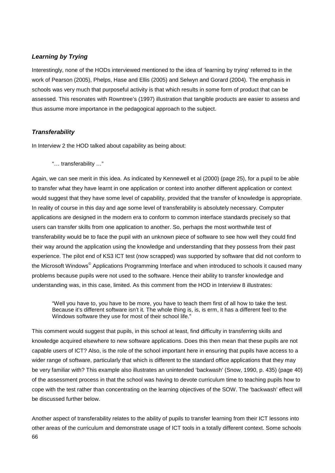## *Learning by Trying*

Interestingly, none of the HODs interviewed mentioned to the idea of 'learning by trying' referred to in the work of Pearson (2005), Phelps, Hase and Ellis (2005) and Selwyn and Gorard (2004). The emphasis in schools was very much that purposeful activity is that which results in some form of product that can be assessed. This resonates with Rowntree's (1997) illustration that tangible products are easier to assess and thus assume more importance in the pedagogical approach to the subject.

### *Transferability*

In Interview 2 the HOD talked about capability as being about:

"… transferability …"

Again, we can see merit in this idea. As indicated by Kennewell et al (2000) (page [25\)](#page-25-2), for a pupil to be able to transfer what they have learnt in one application or context into another different application or context would suggest that they have some level of capability, provided that the transfer of knowledge is appropriate. In reality of course in this day and age some level of transferability is absolutely necessary. Computer applications are designed in the modern era to conform to common interface standards precisely so that users can transfer skills from one application to another. So, perhaps the most worthwhile test of transferability would be to face the pupil with an unknown piece of software to see how well they could find their way around the application using the knowledge and understanding that they possess from their past experience. The pilot end of KS3 ICT test (now scrapped) was supported by software that did not conform to the Microsoft Windows© Applications Programming Interface and when introduced to schools it caused many problems because pupils were not used to the software. Hence their ability to transfer knowledge and understanding was, in this case, limited. As this comment from the HOD in Interview 8 illustrates:

"Well you have to, you have to be more, you have to teach them first of all how to take the test. Because it's different software isn't it. The whole thing is, is, is erm, it has a different feel to the Windows software they use for most of their school life."

This comment would suggest that pupils, in this school at least, find difficulty in transferring skills and knowledge acquired elsewhere to new software applications. Does this then mean that these pupils are not capable users of ICT? Also, is the role of the school important here in ensuring that pupils have access to a wider range of software, particularly that which is different to the standard office applications that they may be very familiar with? This example also illustrates an unintended 'backwash' (Snow, 1990, p. 435) (page [40\)](#page-40-0) of the assessment process in that the school was having to devote curriculum time to teaching pupils how to cope with the test rather than concentrating on the learning objectives of the SOW. The 'backwash' effect will be discussed further below.

66 Another aspect of transferability relates to the ability of pupils to transfer learning from their ICT lessons into other areas of the curriculum and demonstrate usage of ICT tools in a totally different context. Some schools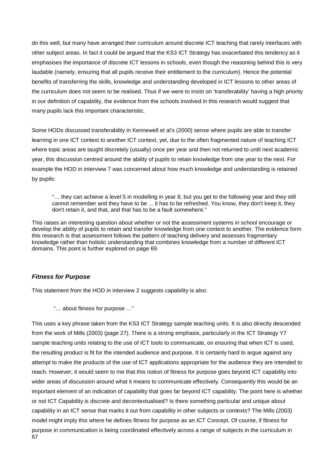do this well, but many have arranged their curriculum around discrete ICT teaching that rarely interfaces with other subject areas. In fact it could be argued that the KS3 ICT Strategy has exacerbated this tendency as it emphasises the importance of discrete ICT lessons in schools, even though the reasoning behind this is very laudable (namely, ensuring that all pupils receive their entitlement to the curriculum). Hence the potential benefits of transferring the skills, knowledge and understanding developed in ICT lessons to other areas of the curriculum does not seem to be realised. Thus if we were to insist on 'transferability' having a high priority in our definition of capability, the evidence from the schools involved in this research would suggest that many pupils lack this important characteristic.

Some HODs discussed transferability in Kennewell et al's (2000) sense where pupils are able to transfer learning in one ICT context to another ICT context, yet, due to the often fragmented nature of teaching ICT where topic areas are taught discretely (usually) once per year and then not returned to until next academic year, this discussion centred around the ability of pupils to retain knowledge from one year to the next. For example the HOD in interview 7 was concerned about how much knowledge and understanding is retained by pupils:

"… they can achieve a level 5 in modelling in year 8, but you get to the following year and they still cannot remember and they have to be ... it has to be refreshed. You know, they don't keep it, they don't retain it, and that, and that has to be a fault somewhere."

This raises an interesting question about whether or not the assessment systems in school encourage or develop the ability of pupils to retain and transfer knowledge from one context to another. The evidence form this research is that assessment follows the pattern of teaching delivery and assesses fragmentary knowledge rather than holistic understanding that combines knowledge from a number of different ICT domains. This point is further explored on page [69.](#page-69-0)

#### *Fitness for Purpose*

This statement from the HOD in interview 2 suggests capability is also:

"… about fitness for purpose …"

67 This uses a key phrase taken from the KS3 ICT Strategy sample teaching units. It is also directly descended from the work of Mills (2003) (page [27\)](#page-27-0). There is a strong emphasis, particularly in the ICT Strategy Y7 sample teaching units relating to the use of ICT tools to communicate, on ensuring that when ICT is used, the resulting product is fit for the intended audience and purpose. It is certainly hard to argue against any attempt to make the products of the use of ICT applications appropriate for the audience they are intended to reach. However, it would seem to me that this notion of fitness for purpose goes beyond ICT capability into wider areas of discussion around what it means to communicate effectively. Consequently this would be an important element of an indication of capability that goes far beyond ICT capability. The point here is whether or not ICT Capability is discrete and decontextualised? Is there something particular and unique about capability in an ICT sense that marks it out from capability in other subjects or contexts? The Mills (2003) model might imply this where he defines fitness for purpose as an ICT Concept. Of course, if fitness for purpose in communication is being coordinated effectively across a range of subjects in the curriculum in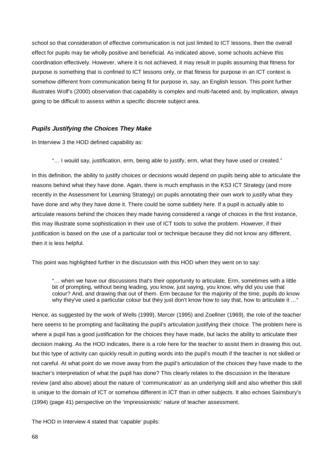school so that consideration of effective communication is not just limited to ICT lessons, then the overall effect for pupils may be wholly positive and beneficial. As indicated above, some schools achieve this coordination effectively. However, where it is not achieved, it may result in pupils assuming that fitness for purpose is something that is confined to ICT lessons only, or that fitness for purpose in an ICT context is somehow different from communication being fit for purpose in, say, an English lesson. This point further illustrates Wolf's (2000) observation that capability is complex and multi-faceted and, by implication, always going to be difficult to assess within a specific discrete subject area.

### *Pupils Justifying the Choices They Make*

In Interview 3 the HOD defined capability as:

"… I would say, justification, erm, being able to justify, erm, what they have used or created."

In this definition, the ability to justify choices or decisions would depend on pupils being able to articulate the reasons behind what they have done. Again, there is much emphasis in the KS3 ICT Strategy (and more recently in the Assessment for Learning Strategy) on pupils annotating their own work to justify what they have done and why they have done it. There could be some subtlety here. If a pupil is actually able to articulate reasons behind the choices they made having considered a range of choices in the first instance, this may illustrate some sophistication in their use of ICT tools to solve the problem. However, if their justification is based on the use of a particular tool or technique because they did not know any different, then it is less helpful.

This point was highlighted further in the discussion with this HOD when they went on to say:

"… when we have our discussions that's their opportunity to articulate. Erm, sometimes with a little bit of prompting, without being leading, you know, just saying, you know, why did you use that colour? And, and drawing that out of them. Erm because for the majority of the time, pupils do know why they've used a particular colour but they just don't know how to say that, how to articulate it …"

Hence, as suggested by the work of Wells (1999), Mercer (1995) and Zoellner (1969), the role of the teacher here seems to be prompting and facilitating the pupil's articulation justifying their choice. The problem here is where a pupil has a good justification for the choices they have made, but lacks the ability to articulate their decision making. As the HOD indicates, there is a role here for the teacher to assist them in drawing this out, but this type of activity can quickly result in putting words into the pupil's mouth if the teacher is not skilled or not careful. At what point do we move away from the pupil's articulation of the choices they have made to the teacher's interpretation of what the pupil has done? This clearly relates to the discussion in the literature review (and also above) about the nature of 'communication' as an underlying skill and also whether this skill is unique to the domain of ICT or somehow different in ICT than in other subjects. It also echoes Sainsbury's (1994) (page [41\)](#page-41-0) perspective on the 'impressionistic' nature of teacher assessment.

The HOD in Interview 4 stated that 'capable' pupils: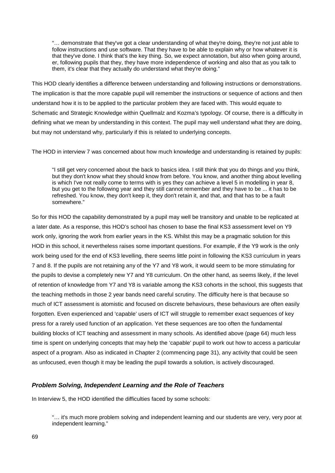"… demonstrate that they've got a clear understanding of what they're doing, they're not just able to follow instructions and use software. That they have to be able to explain why or how whatever it is that they've done. I think that's the key thing. So, we expect annotation, but also when going around, er, following pupils that they, they have more independence of working and also that as you talk to them, it's clear that they actually do understand what they're doing."

This HOD clearly identifies a difference between understanding and following instructions or demonstrations. The implication is that the more capable pupil will remember the instructions or sequence of actions and then understand how it is to be applied to the particular problem they are faced with. This would equate to Schematic and Strategic Knowledge within Quellmalz and Kozma's typology. Of course, there is a difficulty in defining what we mean by understanding in this context. The pupil may well understand what they are doing, but may not understand why, particularly if this is related to underlying concepts.

The HOD in interview 7 was concerned about how much knowledge and understanding is retained by pupils:

"I still get very concerned about the back to basics idea. I still think that you do things and you think, but they don't know what they should know from before. You know, and another thing about levelling is which I've not really come to terms with is yes they can achieve a level 5 in modelling in year 8, but you get to the following year and they still cannot remember and they have to be ... it has to be refreshed. You know, they don't keep it, they don't retain it, and that, and that has to be a fault somewhere."

<span id="page-69-0"></span>So for this HOD the capability demonstrated by a pupil may well be transitory and unable to be replicated at a later date. As a response, this HOD's school has chosen to base the final KS3 assessment level on Y9 work only, ignoring the work from earlier years in the KS. Whilst this may be a pragmatic solution for this HOD in this school, it nevertheless raises some important questions. For example, if the Y9 work is the only work being used for the end of KS3 levelling, there seems little point in following the KS3 curriculum in years 7 and 8. If the pupils are not retaining any of the Y7 and Y8 work, it would seem to be more stimulating for the pupils to devise a completely new Y7 and Y8 curriculum. On the other hand, as seems likely, if the level of retention of knowledge from Y7 and Y8 is variable among the KS3 cohorts in the school, this suggests that the teaching methods in those 2 year bands need careful scrutiny. The difficulty here is that because so much of ICT assessment is atomistic and focused on discrete behaviours, these behaviours are often easily forgotten. Even experienced and 'capable' users of ICT will struggle to remember exact sequences of key press for a rarely used function of an application. Yet these sequences are too often the fundamental building blocks of ICT teaching and assessment in many schools. As identified above (page [64\)](#page-64-0) much less time is spent on underlying concepts that may help the 'capable' pupil to work out how to access a particular aspect of a program. Also as indicated in Chapter 2 (commencing page [31\)](#page-31-0), any activity that could be seen as unfocused, even though it may be leading the pupil towards a solution, is actively discouraged.

#### *Problem Solving, Independent Learning and the Role of Teachers*

In Interview 5, the HOD identified the difficulties faced by some schools:

"… it's much more problem solving and independent learning and our students are very, very poor at independent learning."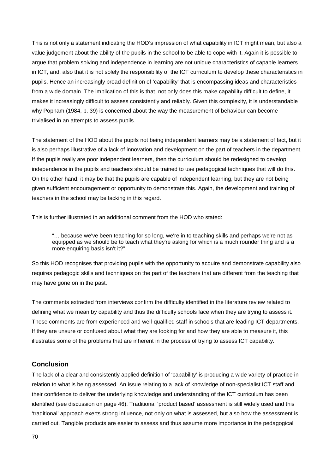This is not only a statement indicating the HOD's impression of what capability in ICT might mean, but also a value judgement about the ability of the pupils in the school to be able to cope with it. Again it is possible to argue that problem solving and independence in learning are not unique characteristics of capable learners in ICT, and, also that it is not solely the responsibility of the ICT curriculum to develop these characteristics in pupils. Hence an increasingly broad definition of 'capability' that is encompassing ideas and characteristics from a wide domain. The implication of this is that, not only does this make capability difficult to define, it makes it increasingly difficult to assess consistently and reliably. Given this complexity, it is understandable why Popham (1984, p. 39) is concerned about the way the measurement of behaviour can become trivialised in an attempts to assess pupils.

The statement of the HOD about the pupils not being independent learners may be a statement of fact, but it is also perhaps illustrative of a lack of innovation and development on the part of teachers in the department. If the pupils really are poor independent learners, then the curriculum should be redesigned to develop independence in the pupils and teachers should be trained to use pedagogical techniques that will do this. On the other hand, it may be that the pupils are capable of independent learning, but they are not being given sufficient encouragement or opportunity to demonstrate this. Again, the development and training of teachers in the school may be lacking in this regard.

This is further illustrated in an additional comment from the HOD who stated:

"… because we've been teaching for so long, we're in to teaching skills and perhaps we're not as equipped as we should be to teach what they're asking for which is a much rounder thing and is a more enquiring basis isn't it?"

So this HOD recognises that providing pupils with the opportunity to acquire and demonstrate capability also requires pedagogic skills and techniques on the part of the teachers that are different from the teaching that may have gone on in the past.

The comments extracted from interviews confirm the difficulty identified in the literature review related to defining what we mean by capability and thus the difficulty schools face when they are trying to assess it. These comments are from experienced and well-qualified staff in schools that are leading ICT departments. If they are unsure or confused about what they are looking for and how they are able to measure it, this illustrates some of the problems that are inherent in the process of trying to assess ICT capability.

## **Conclusion**

The lack of a clear and consistently applied definition of 'capability' is producing a wide variety of practice in relation to what is being assessed. An issue relating to a lack of knowledge of non-specialist ICT staff and their confidence to deliver the underlying knowledge and understanding of the ICT curriculum has been identified (see discussion on page [46\)](#page-46-0). Traditional 'product based' assessment is still widely used and this 'traditional' approach exerts strong influence, not only on what is assessed, but also how the assessment is carried out. Tangible products are easier to assess and thus assume more importance in the pedagogical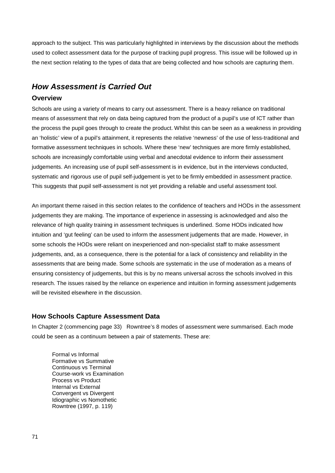approach to the subject. This was particularly highlighted in interviews by the discussion about the methods used to collect assessment data for the purpose of tracking pupil progress. This issue will be followed up in the next section relating to the types of data that are being collected and how schools are capturing them.

# *How Assessment is Carried Out*

## **Overview**

Schools are using a variety of means to carry out assessment. There is a heavy reliance on traditional means of assessment that rely on data being captured from the product of a pupil's use of ICT rather than the process the pupil goes through to create the product. Whilst this can be seen as a weakness in providing an 'holistic' view of a pupil's attainment, it represents the relative 'newness' of the use of less-traditional and formative assessment techniques in schools. Where these 'new' techniques are more firmly established, schools are increasingly comfortable using verbal and anecdotal evidence to inform their assessment judgements. An increasing use of pupil self-assessment is in evidence, but in the interviews conducted, systematic and rigorous use of pupil self-judgement is yet to be firmly embedded in assessment practice. This suggests that pupil self-assessment is not yet providing a reliable and useful assessment tool.

An important theme raised in this section relates to the confidence of teachers and HODs in the assessment judgements they are making. The importance of experience in assessing is acknowledged and also the relevance of high quality training in assessment techniques is underlined. Some HODs indicated how intuition and 'gut feeling' can be used to inform the assessment judgements that are made. However, in some schools the HODs were reliant on inexperienced and non-specialist staff to make assessment judgements, and, as a consequence, there is the potential for a lack of consistency and reliability in the assessments that are being made. Some schools are systematic in the use of moderation as a means of ensuring consistency of judgements, but this is by no means universal across the schools involved in this research. The issues raised by the reliance on experience and intuition in forming assessment judgements will be revisited elsewhere in the discussion.

## **How Schools Capture Assessment Data**

In Chapter 2 (commencing page [33\)](#page-33-0) Rowntree's 8 modes of assessment were summarised. Each mode could be seen as a continuum between a pair of statements. These are:

Formal vs Informal Formative vs Summative Continuous vs Terminal Course-work vs Examination Process vs Product Internal vs External Convergent vs Divergent Idiographic vs Nomothetic Rowntree (1997, p. 119)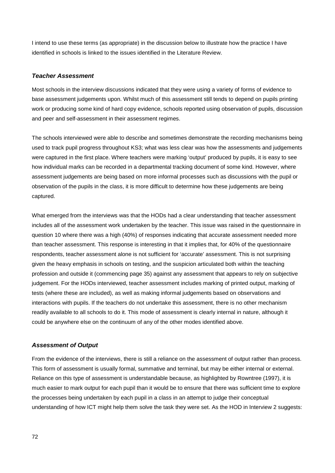I intend to use these terms (as appropriate) in the discussion below to illustrate how the practice I have identified in schools is linked to the issues identified in the Literature Review.

## *Teacher Assessment*

Most schools in the interview discussions indicated that they were using a variety of forms of evidence to base assessment judgements upon. Whilst much of this assessment still tends to depend on pupils printing work or producing some kind of hard copy evidence, schools reported using observation of pupils, discussion and peer and self-assessment in their assessment regimes.

The schools interviewed were able to describe and sometimes demonstrate the recording mechanisms being used to track pupil progress throughout KS3; what was less clear was how the assessments and judgements were captured in the first place. Where teachers were marking 'output' produced by pupils, it is easy to see how individual marks can be recorded in a departmental tracking document of some kind. However, where assessment judgements are being based on more informal processes such as discussions with the pupil or observation of the pupils in the class, it is more difficult to determine how these judgements are being captured.

What emerged from the interviews was that the HODs had a clear understanding that teacher assessment includes all of the assessment work undertaken by the teacher. This issue was raised in the questionnaire in question 10 where there was a high (40%) of responses indicating that accurate assessment needed more than teacher assessment. This response is interesting in that it implies that, for 40% of the questionnaire respondents, teacher assessment alone is not sufficient for 'accurate' assessment. This is not surprising given the heavy emphasis in schools on testing, and the suspicion articulated both within the teaching profession and outside it (commencing page [35\)](#page-35-0) against any assessment that appears to rely on subjective judgement. For the HODs interviewed, teacher assessment includes marking of printed output, marking of tests (where these are included), as well as making informal judgements based on observations and interactions with pupils. If the teachers do not undertake this assessment, there is no other mechanism readily available to all schools to do it. This mode of assessment is clearly internal in nature, although it could be anywhere else on the continuum of any of the other modes identified above.

## *Assessment of Output*

From the evidence of the interviews, there is still a reliance on the assessment of output rather than process. This form of assessment is usually formal, summative and terminal, but may be either internal or external. Reliance on this type of assessment is understandable because, as highlighted by Rowntree (1997), it is much easier to mark output for each pupil than it would be to ensure that there was sufficient time to explore the processes being undertaken by each pupil in a class in an attempt to judge their conceptual understanding of how ICT might help them solve the task they were set. As the HOD in Interview 2 suggests: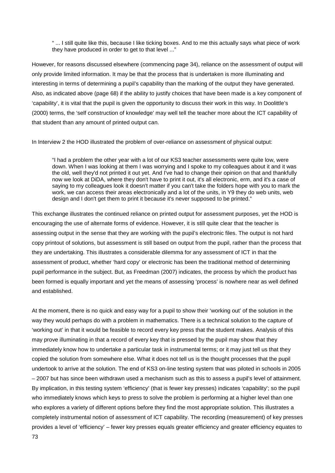" ... I still quite like this, because I like ticking boxes. And to me this actually says what piece of work they have produced in order to get to that level ..."

However, for reasons discussed elsewhere (commencing page [34\)](#page-34-0), reliance on the assessment of output will only provide limited information. It may be that the process that is undertaken is more illuminating and interesting in terms of determining a pupil's capability than the marking of the output they have generated. Also, as indicated above (page [68\)](#page-68-0) if the ability to justify choices that have been made is a key component of 'capability', it is vital that the pupil is given the opportunity to discuss their work in this way. In Doolittle's (2000) terms, the 'self construction of knowledge' may well tell the teacher more about the ICT capability of that student than any amount of printed output can.

In Interview 2 the HOD illustrated the problem of over-reliance on assessment of physical output:

<span id="page-73-0"></span>"I had a problem the other year with a lot of our KS3 teacher assessments were quite low, were down. When I was looking at them I was worrying and I spoke to my colleagues about it and it was the old, well they'd not printed it out yet. And I've had to change their opinion on that and thankfully now we look at DiDA, where they don't have to print it out, it's all electronic, erm, and it's a case of saying to my colleagues look it doesn't matter if you can't take the folders hope with you to mark the work, we can access their areas electronically and a lot of the units, in Y9 they do web units, web design and I don't get them to print it because it's never supposed to be printed."

This exchange illustrates the continued reliance on printed output for assessment purposes, yet the HOD is encouraging the use of alternate forms of evidence. However, it is still quite clear that the teacher is assessing output in the sense that they are working with the pupil's electronic files. The output is not hard copy printout of solutions, but assessment is still based on output from the pupil, rather than the process that they are undertaking. This illustrates a considerable dilemma for any assessment of ICT in that the assessment of product, whether 'hard copy' or electronic has been the traditional method of determining pupil performance in the subject. But, as Freedman (2007) indicates, the process by which the product has been formed is equally important and yet the means of assessing 'process' is nowhere near as well defined and established.

At the moment, there is no quick and easy way for a pupil to show their 'working out' of the solution in the way they would perhaps do with a problem in mathematics. There is a technical solution to the capture of 'working out' in that it would be feasible to record every key press that the student makes. Analysis of this may prove illuminating in that a record of every key that is pressed by the pupil may show that they immediately know how to undertake a particular task in instrumental terms; or it may just tell us that they copied the solution from somewhere else. What it does not tell us is the thought processes that the pupil undertook to arrive at the solution. The end of KS3 on-line testing system that was piloted in schools in 2005 – 2007 but has since been withdrawn used a mechanism such as this to assess a pupil's level of attainment. By implication, in this testing system 'efficiency' (that is fewer key presses) indicates 'capability'; so the pupil who immediately knows which keys to press to solve the problem is performing at a higher level than one who explores a variety of different options before they find the most appropriate solution. This illustrates a completely instrumental notion of assessment of ICT capability. The recording (measurement) of key presses provides a level of 'efficiency' – fewer key presses equals greater efficiency and greater efficiency equates to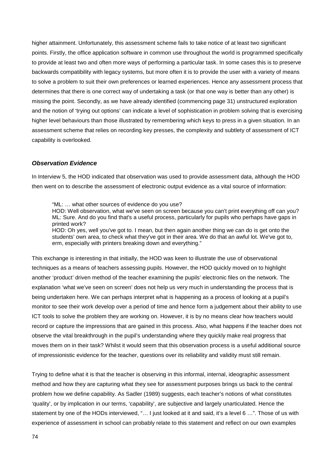higher attainment. Unfortunately, this assessment scheme fails to take notice of at least two significant points. Firstly, the office application software in common use throughout the world is programmed specifically to provide at least two and often more ways of performing a particular task. In some cases this is to preserve backwards compatibility with legacy systems, but more often it is to provide the user with a variety of means to solve a problem to suit their own preferences or learned experiences. Hence any assessment process that determines that there is one correct way of undertaking a task (or that one way is better than any other) is missing the point. Secondly, as we have already identified (commencing page [31\)](#page-31-0) unstructured exploration and the notion of 'trying out options' can indicate a level of sophistication in problem solving that is exercising higher level behaviours than those illustrated by remembering which keys to press in a given situation. In an assessment scheme that relies on recording key presses, the complexity and subtlety of assessment of ICT capability is overlooked.

#### <span id="page-74-0"></span>*Observation Evidence*

In Interview 5, the HOD indicated that observation was used to provide assessment data, although the HOD then went on to describe the assessment of electronic output evidence as a vital source of information:

"ML: … what other sources of evidence do you use?

HOD: Well observation, what we've seen on screen because you can't print everything off can you? ML: Sure. And do you find that's a useful process, particularly for pupils who perhaps have gaps in printed work?

HOD: Oh yes, well you've got to. I mean, but then again another thing we can do is get onto the students' own area, to check what they've got in their area. We do that an awful lot. We've got to, erm, especially with printers breaking down and everything."

This exchange is interesting in that initially, the HOD was keen to illustrate the use of observational techniques as a means of teachers assessing pupils. However, the HOD quickly moved on to highlight another 'product' driven method of the teacher examining the pupils' electronic files on the network. The explanation 'what we've seen on screen' does not help us very much in understanding the process that is being undertaken here. We can perhaps interpret what is happening as a process of looking at a pupil's monitor to see their work develop over a period of time and hence form a judgement about their ability to use ICT tools to solve the problem they are working on. However, it is by no means clear how teachers would record or capture the impressions that are gained in this process. Also, what happens if the teacher does not observe the vital breakthrough in the pupil's understanding where they quickly make real progress that moves them on in their task? Whilst it would seem that this observation process is a useful additional source of impressionistic evidence for the teacher, questions over its reliability and validity must still remain.

Trying to define what it is that the teacher is observing in this informal, internal, ideographic assessment method and how they are capturing what they see for assessment purposes brings us back to the central problem how we define capability. As Sadler (1989) suggests, each teacher's notions of what constitutes 'quality', or by implication in our terms, 'capability', are subjective and largely unarticulated. Hence the statement by one of the HODs interviewed, "… I just looked at it and said, it's a level 6 …". Those of us with experience of assessment in school can probably relate to this statement and reflect on our own examples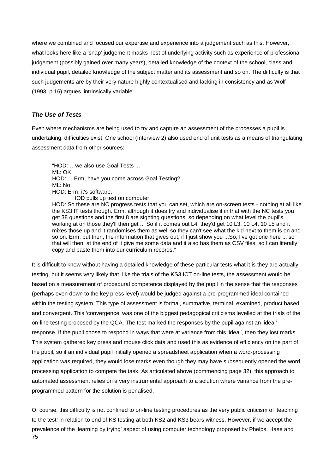where we combined and focused our expertise and experience into a judgement such as this. However, what looks here like a 'snap' judgement masks host of underlying activity such as experience of professional judgement (possibly gained over many years), detailed knowledge of the context of the school, class and individual pupil, detailed knowledge of the subject matter and its assessment and so on. The difficulty is that such judgements are by their very nature highly contextualised and lacking in consistency and as Wolf (1993, p.16) argues 'intrinsically variable'.

## <span id="page-75-0"></span>*The Use of Tests*

Even where mechanisms are being used to try and capture an assessment of the processes a pupil is undertaking, difficulties exist. One school (Interview 2) also used end of unit tests as a means of triangulating assessment data from other sources:

"HOD: …we also use Goal Tests ... ML: OK. HOD: ... Erm, have you come across Goal Testing? ML: No. HOD: Erm, it's software. HOD pulls up test on computer

HOD: So these are NC progress tests that you can set, which are on-screen tests - nothing at all like the KS3 IT tests though. Erm, although it does try and individualise it in that with the NC tests you get 38 questions and the first 8 are sighting questions, so depending on what level the pupil's working at on those they'll then get ... So if it comes out L4, they'd get 10 L3, 10 L4, 10 L5 and it mixes those up and it randomises them as well so they can't see what the kid next to them is on and so on. Erm, but then, the information that gives out, if I just show you ...So, I've got one here ... so that will then, at the end of it give me some data and it also has them as CSV files, so I can literally copy and paste them into our curriculum records."

It is difficult to know without having a detailed knowledge of these particular tests what it is they are actually testing, but it seems very likely that, like the trials of the KS3 ICT on-line tests, the assessment would be based on a measurement of procedural competence displayed by the pupil in the sense that the responses (perhaps even down to the key press level) would be judged against a pre-programmed ideal contained within the testing system. This type of assessment is formal, summative, terminal, examined, product based and convergent. This 'convergence' was one of the biggest pedagogical criticisms levelled at the trials of the on-line testing proposed by the QCA. The test marked the responses by the pupil against an 'ideal' response. If the pupil chose to respond in ways that were at variance from this 'ideal', then they lost marks. This system gathered key press and mouse click data and used this as evidence of efficiency on the part of the pupil, so if an individual pupil initially opened a spreadsheet application when a word-processing application was required, they would lose marks even though they may have subsequently opened the word processing application to compete the task. As articulated above (commencing page [32\)](#page-32-0), this approach to automated assessment relies on a very instrumental approach to a solution where variance from the preprogrammed pattern for the solution is penalised.

75 Of course, this difficulty is not confined to on-line testing procedures as the very public criticism of 'teaching to the test' in relation to end of KS testing at both KS2 and KS3 bears witness. However, if we accept the prevalence of the 'learning by trying' aspect of using computer technology proposed by Phelps, Hase and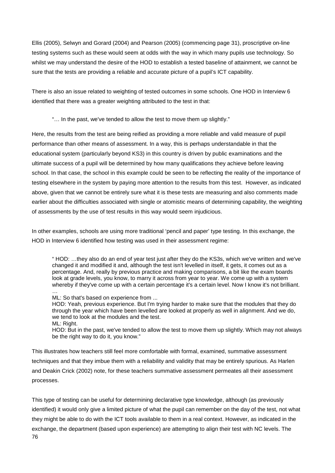Ellis (2005), Selwyn and Gorard (2004) and Pearson (2005) (commencing page [31\)](#page-31-0), proscriptive on-line testing systems such as these would seem at odds with the way in which many pupils use technology. So whilst we may understand the desire of the HOD to establish a tested baseline of attainment, we cannot be sure that the tests are providing a reliable and accurate picture of a pupil's ICT capability.

There is also an issue related to weighting of tested outcomes in some schools. One HOD in Interview 6 identified that there was a greater weighting attributed to the test in that:

"… In the past, we've tended to allow the test to move them up slightly."

Here, the results from the test are being reified as providing a more reliable and valid measure of pupil performance than other means of assessment. In a way, this is perhaps understandable in that the educational system (particularly beyond KS3) in this country is driven by public examinations and the ultimate success of a pupil will be determined by how many qualifications they achieve before leaving school. In that case, the school in this example could be seen to be reflecting the reality of the importance of testing elsewhere in the system by paying more attention to the results from this test. However, as indicated above, given that we cannot be entirely sure what it is these tests are measuring and also comments made earlier about the difficulties associated with single or atomistic means of determining capability, the weighting of assessments by the use of test results in this way would seem injudicious.

In other examples, schools are using more traditional 'pencil and paper' type testing. In this exchange, the HOD in Interview 6 identified how testing was used in their assessment regime:

" HOD: …they also do an end of year test just after they do the KS3s, which we've written and we've changed it and modified it and, although the test isn't levelled in itself, it gets, it comes out as a percentage. And, really by previous practice and making comparisons, a bit like the exam boards look at grade levels, you know, to marry it across from year to year. We come up with a system whereby if they've come up with a certain percentage it's a certain level. Now I know it's not brilliant.

… ML: So that's based on experience from ...

HOD: Yeah, previous experience. But I'm trying harder to make sure that the modules that they do through the year which have been levelled are looked at properly as well in alignment. And we do, we tend to look at the modules and the test. ML: Right.

HOD: But in the past, we've tended to allow the test to move them up slightly. Which may not always be the right way to do it, you know."

This illustrates how teachers still feel more comfortable with formal, examined, summative assessment techniques and that they imbue them with a reliability and validity that may be entirely spurious. As Harlen and Deakin Crick (2002) note, for these teachers summative assessment permeates all their assessment processes.

76 This type of testing can be useful for determining declarative type knowledge, although (as previously identified) it would only give a limited picture of what the pupil can remember on the day of the test, not what they might be able to do with the ICT tools available to them in a real context. However, as indicated in the exchange, the department (based upon experience) are attempting to align their test with NC levels. The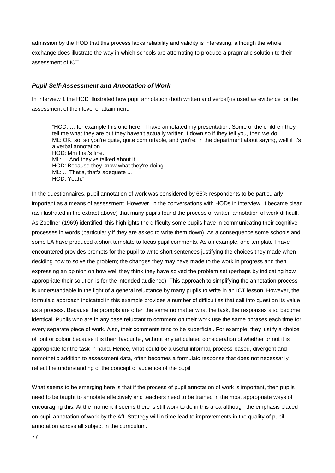admission by the HOD that this process lacks reliability and validity is interesting, although the whole exchange does illustrate the way in which schools are attempting to produce a pragmatic solution to their assessment of ICT.

#### *Pupil Self-Assessment and Annotation of Work*

In Interview 1 the HOD illustrated how pupil annotation (both written and verbal) is used as evidence for the assessment of their level of attainment:

"HOD: … for example this one here - I have annotated my presentation. Some of the children they tell me what they are but they haven't actually written it down so if they tell you, then we do … ML: OK, so, so you're quite, quite comfortable, and you're, in the department about saying, well if it's a verbal annotation ... HOD: Mm that's fine. ML: ... And they've talked about it ... HOD: Because they know what they're doing. ML: ... That's, that's adequate ... HOD: Yeah."

In the questionnaires, pupil annotation of work was considered by 65% respondents to be particularly important as a means of assessment. However, in the conversations with HODs in interview, it became clear (as illustrated in the extract above) that many pupils found the process of written annotation of work difficult. As Zoellner (1969) identified, this highlights the difficulty some pupils have in communicating their cognitive processes in words (particularly if they are asked to write them down). As a consequence some schools and some LA have produced a short template to focus pupil comments. As an example, one template I have encountered provides prompts for the pupil to write short sentences justifying the choices they made when deciding how to solve the problem; the changes they may have made to the work in progress and then expressing an opinion on how well they think they have solved the problem set (perhaps by indicating how appropriate their solution is for the intended audience). This approach to simplifying the annotation process is understandable in the light of a general reluctance by many pupils to write in an ICT lesson. However, the formulaic approach indicated in this example provides a number of difficulties that call into question its value as a process. Because the prompts are often the same no matter what the task, the responses also become identical. Pupils who are in any case reluctant to comment on their work use the same phrases each time for every separate piece of work. Also, their comments tend to be superficial. For example, they justify a choice of font or colour because it is their 'favourite', without any articulated consideration of whether or not it is appropriate for the task in hand. Hence, what could be a useful informal, process-based, divergent and nomothetic addition to assessment data, often becomes a formulaic response that does not necessarily reflect the understanding of the concept of audience of the pupil.

What seems to be emerging here is that if the process of pupil annotation of work is important, then pupils need to be taught to annotate effectively and teachers need to be trained in the most appropriate ways of encouraging this. At the moment it seems there is still work to do in this area although the emphasis placed on pupil annotation of work by the AfL Strategy will in time lead to improvements in the quality of pupil annotation across all subject in the curriculum.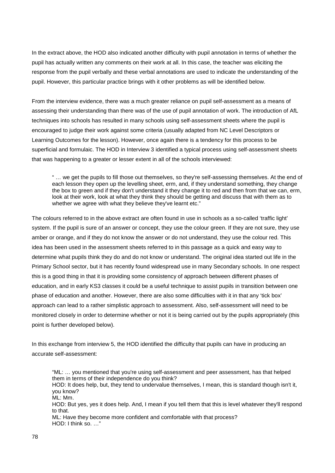In the extract above, the HOD also indicated another difficulty with pupil annotation in terms of whether the pupil has actually written any comments on their work at all. In this case, the teacher was eliciting the response from the pupil verbally and these verbal annotations are used to indicate the understanding of the pupil. However, this particular practice brings with it other problems as will be identified below.

From the interview evidence, there was a much greater reliance on pupil self-assessment as a means of assessing their understanding than there was of the use of pupil annotation of work. The introduction of AfL techniques into schools has resulted in many schools using self-assessment sheets where the pupil is encouraged to judge their work against some criteria (usually adapted from NC Level Descriptors or Learning Outcomes for the lesson). However, once again there is a tendency for this process to be superficial and formulaic. The HOD in Interview 3 identified a typical process using self-assessment sheets that was happening to a greater or lesser extent in all of the schools interviewed:

" … we get the pupils to fill those out themselves, so they're self-assessing themselves. At the end of each lesson they open up the levelling sheet, erm, and, if they understand something, they change the box to green and if they don't understand it they change it to red and then from that we can, erm, look at their work, look at what they think they should be getting and discuss that with them as to whether we agree with what they believe they've learnt etc."

The colours referred to in the above extract are often found in use in schools as a so-called 'traffic light' system. If the pupil is sure of an answer or concept, they use the colour green. If they are not sure, they use amber or orange, and if they do not know the answer or do not understand, they use the colour red. This idea has been used in the assessment sheets referred to in this passage as a quick and easy way to determine what pupils think they do and do not know or understand. The original idea started out life in the Primary School sector, but it has recently found widespread use in many Secondary schools. In one respect this is a good thing in that it is providing some consistency of approach between different phases of education, and in early KS3 classes it could be a useful technique to assist pupils in transition between one phase of education and another. However, there are also some difficulties with it in that any 'tick box' approach can lead to a rather simplistic approach to assessment. Also, self-assessment will need to be monitored closely in order to determine whether or not it is being carried out by the pupils appropriately (this point is further developed below).

In this exchange from interview 5, the HOD identified the difficulty that pupils can have in producing an accurate self-assessment:

<span id="page-78-0"></span>"ML: … you mentioned that you're using self-assessment and peer assessment, has that helped them in terms of their independence do you think? HOD: It does help, but, they tend to undervalue themselves, I mean, this is standard though isn't it, you know? ML: Mm. HOD: But yes, yes it does help. And, I mean if you tell them that this is level whatever they'll respond to that.

ML: Have they become more confident and comfortable with that process? HOD: I think so. …"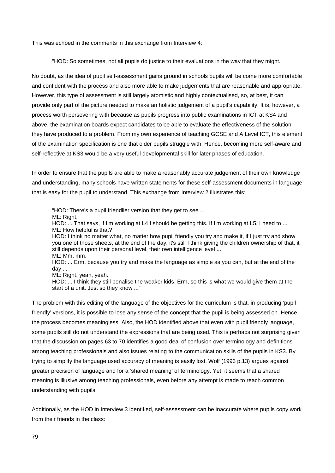This was echoed in the comments in this exchange from Interview 4:

"HOD: So sometimes, not all pupils do justice to their evaluations in the way that they might."

No doubt, as the idea of pupil self-assessment gains ground in schools pupils will be come more comfortable and confident with the process and also more able to make judgements that are reasonable and appropriate. However, this type of assessment is still largely atomistic and highly contextualised, so, at best, it can provide only part of the picture needed to make an holistic judgement of a pupil's capability. It is, however, a process worth persevering with because as pupils progress into public examinations in ICT at KS4 and above, the examination boards expect candidates to be able to evaluate the effectiveness of the solution they have produced to a problem. From my own experience of teaching GCSE and A Level ICT, this element of the examination specification is one that older pupils struggle with. Hence, becoming more self-aware and self-reflective at KS3 would be a very useful developmental skill for later phases of education.

In order to ensure that the pupils are able to make a reasonably accurate judgement of their own knowledge and understanding, many schools have written statements for these self-assessment documents in language that is easy for the pupil to understand. This exchange from Interview 2 illustrates this:

"HOD: There's a pupil friendlier version that they get to see ... ML: Right. HOD: ... That says, if I'm working at L4 I should be getting this. If I'm working at L5, I need to ... ML: How helpful is that? HOD: I think no matter what, no matter how pupil friendly you try and make it, if I just try and show you one of those sheets, at the end of the day, it's still I think giving the children ownership of that, it still depends upon their personal level, their own intelligence level ... ML: Mm, mm. HOD: ... Erm, because you try and make the language as simple as you can, but at the end of the day ... ML: Right, yeah, yeah. HOD: ... I think they still penalise the weaker kids. Erm, so this is what we would give them at the start of a unit. Just so they know ..."

The problem with this editing of the language of the objectives for the curriculum is that, in producing 'pupil friendly' versions, it is possible to lose any sense of the concept that the pupil is being assessed on. Hence the process becomes meaningless. Also, the HOD identified above that even with pupil friendly language, some pupils still do not understand the expressions that are being used. This is perhaps not surprising given that the discussion on pages [63](#page-63-0) to [70](#page-70-0) identifies a good deal of confusion over terminology and definitions among teaching professionals and also issues relating to the communication skills of the pupils in KS3. By trying to simplify the language used accuracy of meaning is easily lost. Wolf (1993 p.13) argues against greater precision of language and for a 'shared meaning' of terminology. Yet, it seems that a shared meaning is illusive among teaching professionals, even before any attempt is made to reach common understanding with pupils.

Additionally, as the HOD in Interview 3 identified, self-assessment can be inaccurate where pupils copy work from their friends in the class: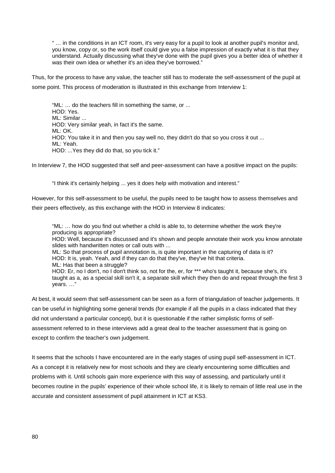" … in the conditions in an ICT room, it's very easy for a pupil to look at another pupil's monitor and, you know, copy or, so the work itself could give you a false impression of exactly what it is that they understand. Actually discussing what they've done with the pupil gives you a better idea of whether it was their own idea or whether it's an idea they've borrowed.'

Thus, for the process to have any value, the teacher still has to moderate the self-assessment of the pupil at some point. This process of moderation is illustrated in this exchange from Interview 1:

"ML: … do the teachers fill in something the same, or ... HOD: Yes. ML: Similar ... HOD: Very similar yeah, in fact it's the same. ML: OK. HOD: You take it in and then you say well no, they didn't do that so you cross it out ... ML: Yeah. HOD: ...Yes they did do that, so you tick it."

In Interview 7, the HOD suggested that self and peer-assessment can have a positive impact on the pupils:

"I think it's certainly helping ... yes it does help with motivation and interest."

However, for this self-assessment to be useful, the pupils need to be taught how to assess themselves and their peers effectively, as this exchange with the HOD in Interview 8 indicates:

"ML: … how do you find out whether a child is able to, to determine whether the work they're producing is appropriate?

HOD: Well, because it's discussed and it's shown and people annotate their work you know annotate slides with handwritten notes or call outs with ...

ML: So that process of pupil annotation is, is quite important in the capturing of data is it? HOD: It is, yeah. Yeah, and if they can do that they've, they've hit that criteria. ML: Has that been a struggle?

HOD: Er, no I don't, no I don't think so, not for the, er, for \*\*\* who's taught it, because she's, it's taught as a, as a special skill isn't it, a separate skill which they then do and repeat through the first 3 years. …"

At best, it would seem that self-assessment can be seen as a form of triangulation of teacher judgements. It can be useful in highlighting some general trends (for example if all the pupils in a class indicated that they did not understand a particular concept), but it is questionable if the rather simplistic forms of selfassessment referred to in these interviews add a great deal to the teacher assessment that is going on except to confirm the teacher's own judgement.

It seems that the schools I have encountered are in the early stages of using pupil self-assessment in ICT. As a concept it is relatively new for most schools and they are clearly encountering some difficulties and problems with it. Until schools gain more experience with this way of assessing, and particularly until it becomes routine in the pupils' experience of their whole school life, it is likely to remain of little real use in the accurate and consistent assessment of pupil attainment in ICT at KS3.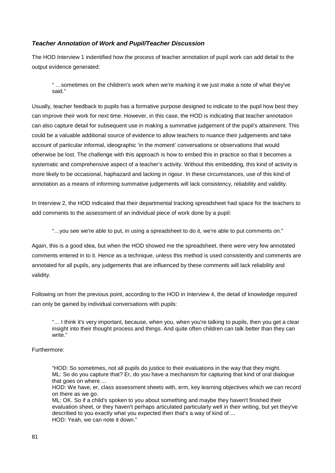## *Teacher Annotation of Work and Pupil/Teacher Discussion*

The HOD Interview 1 indentified how the process of teacher annotation of pupil work can add detail to the output evidence generated:

" …sometimes on the children's work when we're marking it we just make a note of what they've said."

Usually, teacher feedback to pupils has a formative purpose designed to indicate to the pupil how best they can improve their work for next time. However, in this case, the HOD is indicating that teacher annotation can also capture detail for subsequent use in making a summative judgement of the pupil's attainment. This could be a valuable additional source of evidence to allow teachers to nuance their judgements and take account of particular informal, ideographic 'in the moment' conversations or observations that would otherwise be lost. The challenge with this approach is how to embed this in practice so that it becomes a systematic and comprehensive aspect of a teacher's activity. Without this embedding, this kind of activity is more likely to be occasional, haphazard and lacking in rigour. In these circumstances, use of this kind of annotation as a means of informing summative judgements will lack consistency, reliability and validity.

In Interview 2, the HOD indicated that their departmental tracking spreadsheet had space for the teachers to add comments to the assessment of an individual piece of work done by a pupil:

"…you see we're able to put, in using a spreadsheet to do it, we're able to put comments on."

Again, this is a good idea, but when the HOD showed me the spreadsheet, there were very few annotated comments entered in to it. Hence as a technique, unless this method is used consistently and comments are annotated for all pupils, any judgements that are influenced by these comments will lack reliability and validity.

Following on from the previous point, according to the HOD in Interview 4, the detail of knowledge required can only be gained by individual conversations with pupils:

"… I think it's very important, because, when you, when you're talking to pupils, then you get a clear insight into their thought process and things. And quite often children can talk better than they can write."

## Furthermore:

"HOD: So sometimes, not all pupils do justice to their evaluations in the way that they might. ML: So do you capture that? Er, do you have a mechanism for capturing that kind of oral dialogue that goes on where ...

HOD: We have, er, class assessment sheets with, erm, key learning objectives which we can record on there as we go.

ML: OK. So if a child's spoken to you about something and maybe they haven't finished their evaluation sheet, or they haven't perhaps articulated particularly well in their writing, but yet they've described to you exactly what you expected then that's a way of kind of ... HOD: Yeah, we can note it down."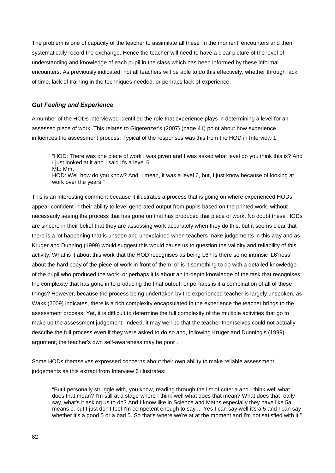The problem is one of capacity of the teacher to assimilate all these 'in the moment' encounters and then systematically record the exchange. Hence the teacher will need to have a clear picture of the level of understanding and knowledge of each pupil in the class which has been informed by these informal encounters. As previously indicated, not all teachers will be able to do this effectively, whether through lack of time, lack of training in the techniques needed, or perhaps lack of experience.

# <span id="page-82-0"></span>*Gut Feeling and Experience*

A number of the HODs interviewed identified the role that experience plays in determining a level for an assessed piece of work. This relates to Gigerenzer's (2007) (page [41\)](#page-41-0) point about how experience influences the assessment process. Typical of the responses was this from the HOD in Interview 1:

"HOD: There was one piece of work I was given and I was asked what level do you think this is? And I just looked at it and I said it's a level 6. ML: Mm.

HOD: Well how do you know? And, I mean, it was a level 6, but, I just know because of looking at work over the years."

This is an interesting comment because it illustrates a process that is going on where experienced HODs appear confident in their ability to level generated output from pupils based on the printed work, without necessarily seeing the process that has gone on that has produced that piece of work. No doubt these HODs are sincere in their belief that they are assessing work accurately when they do this, but it seems clear that there is a lot happening that is unseen and unexplained when teachers make judgements in this way and as Kruger and Dunning (1999) would suggest this would cause us to question the validity and reliability of this activity. What is it about this work that the HOD recognises as being L6? Is there some intrinsic 'L6'ness' about the hard copy of the piece of work in front of them; or is it something to do with a detailed knowledge of the pupil who produced the work; or perhaps it is about an in-depth knowledge of the task that recognises the complexity that has gone in to producing the final output; or perhaps is it a combination of all of these things? However, because the process being undertaken by the experienced teacher is largely unspoken, as Waks (2009) indicates, there is a rich complexity encapsulated in the experience the teacher brings to the assessment process. Yet, it is difficult to determine the full complexity of the multiple activities that go to make up the assessment judgement. Indeed, it may well be that the teacher themselves could not actually describe the full process even if they were asked to do so and, following Kruger and Dunning's (1999) argument, the teacher's own self-awareness may be poor .

<span id="page-82-1"></span>Some HODs themselves expressed concerns about their own ability to make reliable assessment judgements as this extract from Interview 6 illustrates:

"But I personally struggle with, you know, reading through the list of criteria and I think well what does that mean? I'm still at a stage where I think well what does that mean? What does that really say, what's it asking us to do? And I know like in Science and Maths especially they have like 5a means c, but I just don't feel I'm competent enough to say ... Yes I can say well it's a 5 and I can say whether it's a good 5 or a bad 5. So that's where we're at at the moment and I'm not satisfied with it."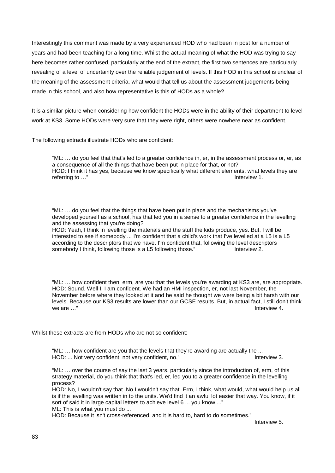Interestingly this comment was made by a very experienced HOD who had been in post for a number of years and had been teaching for a long time. Whilst the actual meaning of what the HOD was trying to say here becomes rather confused, particularly at the end of the extract, the first two sentences are particularly revealing of a level of uncertainty over the reliable judgement of levels. If this HOD in this school is unclear of the meaning of the assessment criteria, what would that tell us about the assessment judgements being made in this school, and also how representative is this of HODs as a whole?

It is a similar picture when considering how confident the HODs were in the ability of their department to level work at KS3. Some HODs were very sure that they were right, others were nowhere near as confident.

The following extracts illustrate HODs who are confident:

"ML: … do you feel that that's led to a greater confidence in, er, in the assessment process or, er, as a consequence of all the things that have been put in place for that, or not? HOD: I think it has yes, because we know specifically what different elements, what levels they are referring to ..." referring to  $\dots$ "

"ML: … do you feel that the things that have been put in place and the mechanisms you've developed yourself as a school, has that led you in a sense to a greater confidence in the levelling and the assessing that you're doing?

HOD: Yeah, I think in levelling the materials and the stuff the kids produce, yes. But, I will be interested to see if somebody ... I'm confident that a child's work that I've levelled at a L5 is a L5 according to the descriptors that we have. I'm confident that, following the level descriptors<br>somebody I think, following those is a L5 following those." Interview 2. somebody I think, following those is a L5 following those."

"ML: … how confident then, erm, are you that the levels you're awarding at KS3 are, are appropriate. HOD: Sound. Well I, I am confident. We had an HMI inspection, er, not last November, the November before where they looked at it and he said he thought we were being a bit harsh with our levels. Because our KS3 results are lower than our GCSE results. But, in actual fact, I still don't think we are …" Interview 4.

Whilst these extracts are from HODs who are not so confident:

"ML: … how confident are you that the levels that they're awarding are actually the ... HOD: ... Not very confident, not very confident, no." 
Interview 3.

"ML: … over the course of say the last 3 years, particularly since the introduction of, erm, of this strategy material, do you think that that's led, er, led you to a greater confidence in the levelling process?

HOD: No, I wouldn't say that. No I wouldn't say that. Erm, I think, what would, what would help us all is if the levelling was written in to the units. We'd find it an awful lot easier that way. You know, if it sort of said it in large capital letters to achieve level 6 ... you know ..."

ML: This is what you must do ...

HOD: Because it isn't cross-referenced, and it is hard to, hard to do sometimes."

Interview 5.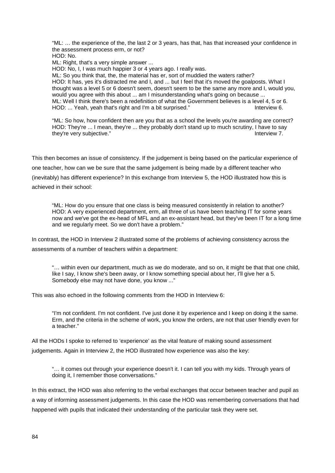"ML: … the experience of the, the last 2 or 3 years, has that, has that increased your confidence in the assessment process erm, or not? HOD: No.

ML: Right, that's a very simple answer ...

HOD: No, I, I was much happier 3 or 4 years ago. I really was.

ML: So you think that, the, the material has er, sort of muddied the waters rather? HOD: It has, yes it's distracted me and I, and ... but I feel that it's moved the goalposts. What I thought was a level 5 or 6 doesn't seem, doesn't seem to be the same any more and I, would you, would you agree with this about ... am I misunderstanding what's going on because ... ML: Well I think there's been a redefinition of what the Government believes is a level 4, 5 or 6.<br>HOD: ... Yeah. veah that's right and I'm a bit surprised."<br>Interview 6. HOD: ... Yeah, yeah that's right and I'm a bit surprised."

"ML: So how, how confident then are you that as a school the levels you're awarding are correct? HOD: They're ... I mean, they're ... they probably don't stand up to much scrutiny, I have to say they're very subjective." The same state of the state of the state of the state of the state of the state of the state of the state of the state of the state of the state of the state of the state of the state of the state

This then becomes an issue of consistency. If the judgement is being based on the particular experience of one teacher, how can we be sure that the same judgement is being made by a different teacher who (inevitably) has different experience? In this exchange from Interview 5, the HOD illustrated how this is achieved in their school:

"ML: How do you ensure that one class is being measured consistently in relation to another? HOD: A very experienced department, erm, all three of us have been teaching IT for some years now and we've got the ex-head of MFL and an ex-assistant head, but they've been IT for a long time and we regularly meet. So we don't have a problem."

In contrast, the HOD in Interview 2 illustrated some of the problems of achieving consistency across the assessments of a number of teachers within a department:

"… within even our department, much as we do moderate, and so on, it might be that that one child, like I say, I know she's been away, or I know something special about her, I'll give her a 5. Somebody else may not have done, you know ..."

This was also echoed in the following comments from the HOD in Interview 6:

"I'm not confident. I'm not confident. I've just done it by experience and I keep on doing it the same. Erm, and the criteria in the scheme of work, you know the orders, are not that user friendly even for a teacher."

All the HODs I spoke to referred to 'experience' as the vital feature of making sound assessment judgements. Again in Interview 2, the HOD illustrated how experience was also the key:

"… it comes out through your experience doesn't it. I can tell you with my kids. Through years of doing it, I remember those conversations."

In this extract, the HOD was also referring to the verbal exchanges that occur between teacher and pupil as a way of informing assessment judgements. In this case the HOD was remembering conversations that had happened with pupils that indicated their understanding of the particular task they were set.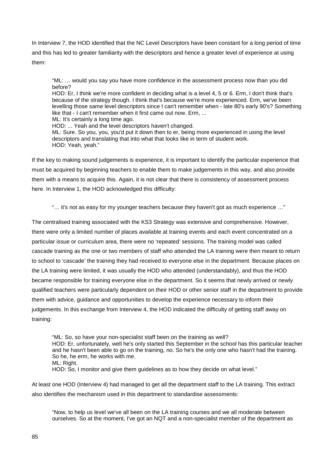In Interview 7, the HOD identified that the NC Level Descriptors have been constant for a long period of time and this has led to greater familiarity with the descriptors and hence a greater level of experience at using them:

"ML: … would you say you have more confidence in the assessment process now than you did before?

HOD: Er, I think we're more confident in deciding what is a level 4, 5 or 6. Erm, I don't think that's because of the strategy though. I think that's because we're more experienced. Erm, we've been levelling those same level descriptors since I can't remember when - late 80's early 90's? Something like that - I can't remember when it first came out now. Erm, ...

ML: It's certainly a long time ago.

HOD: ... Yeah and the level descriptors haven't changed. ML: Sure. So you, you, you'd put it down then to er, being more experienced in using the level descriptors and translating that into what that looks like in term of student work. HOD: Yeah, yeah."

If the key to making sound judgements is experience, it is important to identify the particular experience that must be acquired by beginning teachers to enable them to make judgements in this way, and also provide them with a means to acquire this. Again, it is not clear that there is consistency of assessment process here. In Interview 1, the HOD acknowledged this difficulty:

"… it's not as easy for my younger teachers because they haven't got as much experience …"

<span id="page-85-0"></span>The centralised training associated with the KS3 Strategy was extensive and comprehensive. However, there were only a limited number of places available at training events and each event concentrated on a particular issue or curriculum area, there were no 'repeated' sessions. The training model was called cascade training as the one or two members of staff who attended the LA training were then meant to return to school to 'cascade' the training they had received to everyone else in the department. Because places on the LA training were limited, it was usually the HOD who attended (understandably), and thus the HOD became responsible for training everyone else in the department. So it seems that newly arrived or newly qualified teachers were particularly dependent on their HOD or other senior staff in the department to provide them with advice, guidance and opportunities to develop the experience necessary to inform their judgements. In this exchange from Interview 4, the HOD indicated the difficulty of getting staff away on training:

"ML: So, so have your non-specialist staff been on the training as well? HOD: Er, unfortunately, well he's only started this September in the school has this particular teacher and he hasn't been able to go on the training, no. So he's the only one who hasn't had the training. So he, he erm, he works with me. ML: Right. HOD: So, I monitor and give them guidelines as to how they decide on what level."

At least one HOD (Interview 4) had managed to get all the department staff to the LA training. This extract also identifies the mechanism used in this department to standardise assessments:

"Now, to help us level we've all been on the LA training courses and we all moderate between ourselves. So at the moment, I've got an NQT and a non-specialist member of the department as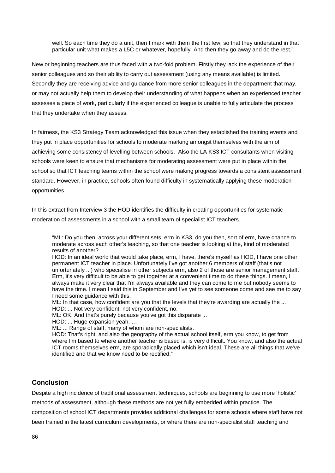well. So each time they do a unit, then I mark with them the first few, so that they understand in that particular unit what makes a L5C or whatever, hopefully! And then they go away and do the rest."

New or beginning teachers are thus faced with a two-fold problem. Firstly they lack the experience of their senior colleagues and so their ability to carry out assessment (using any means available) is limited. Secondly they are receiving advice and guidance from more senior colleagues in the department that may, or may not actually help them to develop their understanding of what happens when an experienced teacher assesses a piece of work, particularly if the experienced colleague is unable to fully articulate the process that they undertake when they assess.

In fairness, the KS3 Strategy Team acknowledged this issue when they established the training events and they put in place opportunities for schools to moderate marking amongst themselves with the aim of achieving some consistency of levelling between schools. Also the LA KS3 ICT consultants when visiting schools were keen to ensure that mechanisms for moderating assessment were put in place within the school so that ICT teaching teams within the school were making progress towards a consistent assessment standard. However, in practice, schools often found difficulty in systematically applying these moderation opportunities.

In this extract from Interview 3 the HOD identifies the difficulty in creating opportunities for systematic moderation of assessments in a school with a small team of specialist ICT teachers.

"ML: Do you then, across your different sets, erm in KS3, do you then, sort of erm, have chance to moderate across each other's teaching, so that one teacher is looking at the, kind of moderated results of another?

HOD: In an ideal world that would take place, erm, I have, there's myself as HOD, I have one other permanent ICT teacher in place. Unfortunately I've got another 6 members of staff (that's not unfortunately ...) who specialise in other subjects erm, also 2 of those are senior management staff. Erm, it's very difficult to be able to get together at a convenient time to do these things. I mean, I always make it very clear that I'm always available and they can come to me but nobody seems to have the time. I mean I said this in September and I've yet to see someone come and see me to say I need some guidance with this.

ML: In that case, how confident are you that the levels that they're awarding are actually the ... HOD: ... Not very confident, not very confident, no.

ML: OK. And that's purely because you've got this disparate ...

HOD: ... Huge expansion yeah. …

ML: ... Range of staff, many of whom are non-specialists.

HOD: That's right, and also the geography of the actual school itself, erm you know, to get from where I'm based to where another teacher is based is, is very difficult. You know, and also the actual ICT rooms themselves erm, are sporadically placed which isn't ideal. These are all things that we've identified and that we know need to be rectified."

# **Conclusion**

Despite a high incidence of traditional assessment techniques, schools are beginning to use more 'holistic'

methods of assessment, although these methods are not yet fully embedded within practice. The

composition of school ICT departments provides additional challenges for some schools where staff have not

been trained in the latest curriculum developments, or where there are non-specialist staff teaching and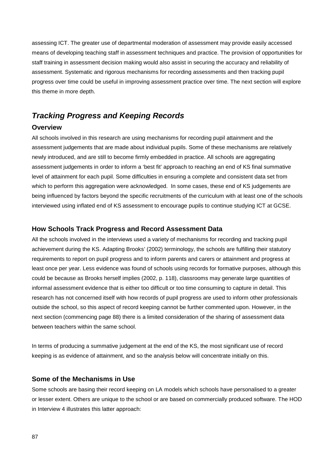assessing ICT. The greater use of departmental moderation of assessment may provide easily accessed means of developing teaching staff in assessment techniques and practice. The provision of opportunities for staff training in assessment decision making would also assist in securing the accuracy and reliability of assessment. Systematic and rigorous mechanisms for recording assessments and then tracking pupil progress over time could be useful in improving assessment practice over time. The next section will explore this theme in more depth.

# *Tracking Progress and Keeping Records*

## **Overview**

All schools involved in this research are using mechanisms for recording pupil attainment and the assessment judgements that are made about individual pupils. Some of these mechanisms are relatively newly introduced, and are still to become firmly embedded in practice. All schools are aggregating assessment judgements in order to inform a 'best fit' approach to reaching an end of KS final summative level of attainment for each pupil. Some difficulties in ensuring a complete and consistent data set from which to perform this aggregation were acknowledged. In some cases, these end of KS judgements are being influenced by factors beyond the specific recruitments of the curriculum with at least one of the schools interviewed using inflated end of KS assessment to encourage pupils to continue studying ICT at GCSE.

## **How Schools Track Progress and Record Assessment Data**

All the schools involved in the interviews used a variety of mechanisms for recording and tracking pupil achievement during the KS. Adapting Brooks' (2002) terminology, the schools are fulfilling their statutory requirements to report on pupil progress and to inform parents and carers or attainment and progress at least once per year. Less evidence was found of schools using records for formative purposes, although this could be because as Brooks herself implies (2002, p. 118), classrooms may generate large quantities of informal assessment evidence that is either too difficult or too time consuming to capture in detail. This research has not concerned itself with how records of pupil progress are used to inform other professionals outside the school, so this aspect of record keeping cannot be further commented upon. However, in the next section (commencing page [88\)](#page-88-0) there is a limited consideration of the sharing of assessment data between teachers within the same school.

In terms of producing a summative judgement at the end of the KS, the most significant use of record keeping is as evidence of attainment, and so the analysis below will concentrate initially on this.

## **Some of the Mechanisms in Use**

Some schools are basing their record keeping on LA models which schools have personalised to a greater or lesser extent. Others are unique to the school or are based on commercially produced software. The HOD in Interview 4 illustrates this latter approach: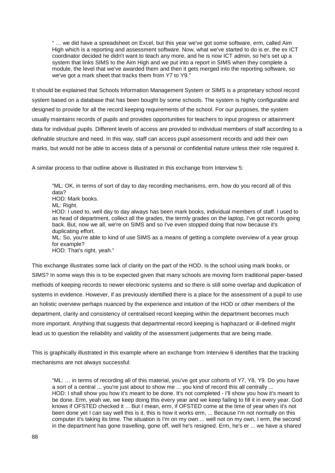" … we did have a spreadsheet on Excel, but this year we've got some software, erm, called Aim High which is a reporting and assessment software. Now, what we've started to do is er, the ex ICT coordinator decided he didn't want to teach any more, and he is now ICT admin, so he's set up a system that links SIMS to the Aim High and we put into a report in SIMS when they complete a module, the level that we've awarded them and then it gets merged into the reporting software, so we've got a mark sheet that tracks them from Y7 to Y9."

It should be explained that Schools Information Management System or SIMS is a proprietary school record system based on a database that has been bought by some schools. The system is highly configurable and designed to provide for all the record keeping requirements of the school. For our purposes, the system usually maintains records of pupils and provides opportunities for teachers to input progress or attainment data for individual pupils. Different levels of access are provided to individual members of staff according to a definable structure and need. In this way, staff can access pupil assessment records and add their own marks, but would not be able to access data of a personal or confidential nature unless their role required it.

A similar process to that outline above is illustrated in this exchange from Interview 5:

"ML: OK, in terms of sort of day to day recording mechanisms, erm, how do you record all of this data? HOD: Mark books. ML: Right. HOD: I used to, well day to day always has been mark books, individual members of staff. I used to as head of department, collect all the grades, the termly grades on the laptop, I've got records going back. But, now we all, we're on SIMS and so I've even stopped doing that now because it's duplicating effort. ML: So, you're able to kind of use SIMS as a means of getting a complete overview of a year group for example? HOD: That's right, yeah."

This exchange illustrates some lack of clarity on the part of the HOD. Is the school using mark books, or SIMS? In some ways this is to be expected given that many schools are moving form traditional paper-based methods of keeping records to newer electronic systems and so there is still some overlap and duplication of systems in evidence. However, if as previously identified there is a place for the assessment of a pupil to use an holistic overview perhaps nuanced by the experience and intuition of the HOD or other members of the department, clarity and consistency of centralised record keeping within the department becomes much more important. Anything that suggests that departmental record keeping is haphazard or ill-defined might lead us to question the reliability and validity of the assessment judgements that are being made.

This is graphically illustrated in this example where an exchange from Interview 6 identifies that the tracking mechanisms are not always successful:

<span id="page-88-0"></span>"ML: … in terms of recording all of this material, you've got your cohorts of Y7, Y8, Y9. Do you have a sort of a central ... you're just about to show me ... you kind of record this all centrally ... HOD: I shall show you how it's meant to be done. It's not completed - I'll show you how it's meant to be done. Erm, yeah we, we keep doing this every year and we keep failing to fill it in every year. God knows if OFSTED checked it ... But I mean, erm, if OFSTED come at the time of year when it's not been done yet I can say well this is it, this is how it works erm, ... Because I'm not normally on this computer it's taking its time. The situation is I'm on my own ... well not on my own, I erm, the second in the department has gone travelling, gone off, well he's resigned. Erm, he's er ... we have a shared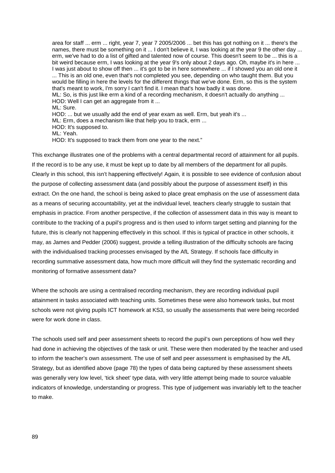area for staff ... erm ... right, year 7, year 7 2005/2006 ... bet this has got nothing on it ... there's the names, there must be something on it ... I don't believe it, I was looking at the year 9 the other day ... erm, we've had to do a list of gifted and talented now of course. This doesn't seem to be ... this is a bit weird because erm, I was looking at the year 9's only about 2 days ago. Oh, maybe it's in here ... I was just about to show off then ... it's got to be in here somewhere ... if I showed you an old one it ... This is an old one, even that's not completed you see, depending on who taught them. But you would be filling in here the levels for the different things that we've done. Erm, so this is the system that's meant to work, I'm sorry I can't find it. I mean that's how badly it was done. ML: So, is this just like erm a kind of a recording mechanism, it doesn't actually do anything ... HOD: Well I can get an aggregate from it ... ML: Sure. HOD: ... but we usually add the end of year exam as well. Erm, but yeah it's ... ML: Erm, does a mechanism like that help you to track, erm ... HOD: It's supposed to. ML: Yeah.

HOD: It's supposed to track them from one year to the next."

This exchange illustrates one of the problems with a central departmental record of attainment for all pupils. If the record is to be any use, it must be kept up to date by all members of the department for all pupils. Clearly in this school, this isn't happening effectively! Again, it is possible to see evidence of confusion about the purpose of collecting assessment data (and possibly about the purpose of assessment itself) in this extract. On the one hand, the school is being asked to place great emphasis on the use of assessment data as a means of securing accountability, yet at the individual level, teachers clearly struggle to sustain that emphasis in practice. From another perspective, if the collection of assessment data in this way is meant to contribute to the tracking of a pupil's progress and is then used to inform target setting and planning for the future, this is clearly not happening effectively in this school. If this is typical of practice in other schools, it may, as James and Pedder (2006) suggest, provide a telling illustration of the difficulty schools are facing with the individualised tracking processes envisaged by the AfL Strategy. If schools face difficulty in recording summative assessment data, how much more difficult will they find the systematic recording and monitoring of formative assessment data?

Where the schools are using a centralised recording mechanism, they are recording individual pupil attainment in tasks associated with teaching units. Sometimes these were also homework tasks, but most schools were not giving pupils ICT homework at KS3, so usually the assessments that were being recorded were for work done in class.

The schools used self and peer assessment sheets to record the pupil's own perceptions of how well they had done in achieving the objectives of the task or unit. These were then moderated by the teacher and used to inform the teacher's own assessment. The use of self and peer assessment is emphasised by the AfL Strategy, but as identified above (page [78\)](#page-78-0) the types of data being captured by these assessment sheets was generally very low level, 'tick sheet' type data, with very little attempt being made to source valuable indicators of knowledge, understanding or progress. This type of judgement was invariably left to the teacher to make.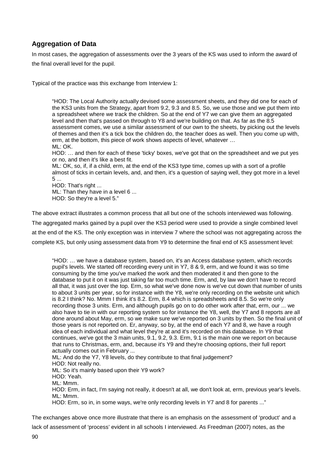# **Aggregation of Data**

In most cases, the aggregation of assessments over the 3 years of the KS was used to inform the award of the final overall level for the pupil.

Typical of the practice was this exchange from Interview 1:

"HOD: The Local Authority actually devised some assessment sheets, and they did one for each of the KS3 units from the Strategy, apart from 9.2, 9.3 and 8.5. So, we use those and we put them into a spreadsheet where we track the children. So at the end of Y7 we can give them an aggregated level and then that's passed on through to Y8 and we're building on that. As far as the 8.5 assessment comes, we use a similar assessment of our own to the sheets, by picking out the levels of themes and then it's a tick box the children do, the teacher does as well. Then you come up with, erm, at the bottom, this piece of work shows aspects of level, whatever … ML: OK.

HOD: … and then for each of these 'ticky' boxes, we've got that on the spreadsheet and we put yes or no, and then it's like a best fit.

ML: OK, so, if, if a child, erm, at the end of the KS3 type time, comes up with a sort of a profile almost of ticks in certain levels, and, and then, it's a question of saying well, they got more in a level 5 ...

HOD: That's right ... ML: Than they have in a level 6 ... HOD: So they're a level 5."

The above extract illustrates a common process that all but one of the schools interviewed was following.

The aggregated marks gained by a pupil over the KS3 period were used to provide a single combined level

at the end of the KS. The only exception was in interview 7 where the school was not aggregating across the

complete KS, but only using assessment data from Y9 to determine the final end of KS assessment level:

"HOD: … we have a database system, based on, it's an Access database system, which records pupil's levels. We started off recording every unit in Y7, 8 & 9, erm, and we found it was so time consuming by the time you've marked the work and then moderated it and then gone to the database to put it on it was just taking far too much time. Erm, and, by law we don't have to record all that, it was just over the top. Erm, so what we've done now is we've cut down that number of units to about 3 units per year, so for instance with the Y8, we're only recording on the website unit which is 8.2 I think? No. Mmm I think it's 8.2. Erm, 8.4 which is spreadsheets and 8.5. So we're only recording those 3 units. Erm, and although pupils go on to do other work after that, erm, our ... we also have to tie in with our reporting system so for instance the Y8, well, the Y7 and 8 reports are all done around about May, erm, so we make sure we've reported on 3 units by then. So the final unit of those years is not reported on. Er, anyway, so by, at the end of each Y7 and 8, we have a rough idea of each individual and what level they're at and it's recorded on this database. In Y9 that continues, we've got the 3 main units, 9.1, 9.2, 9.3. Erm, 9.1 is the main one we report on because that runs to Christmas, erm, and, because it's Y9 and they're choosing options, their full report actually comes out in February ...

ML: And do the Y7, Y8 levels, do they contribute to that final judgement? HOD: Not really no. ML: So it's mainly based upon their Y9 work? HOD: Yeah.

ML: Mmm.

HOD: Erm, in fact, I'm saying not really, it doesn't at all, we don't look at, erm, previous year's levels. ML: Mmm.

HOD: Erm, so in, in some ways, we're only recording levels in Y7 and 8 for parents ..."

The exchanges above once more illustrate that there is an emphasis on the assessment of 'product' and a lack of assessment of 'process' evident in all schools I interviewed. As Freedman (2007) notes, as the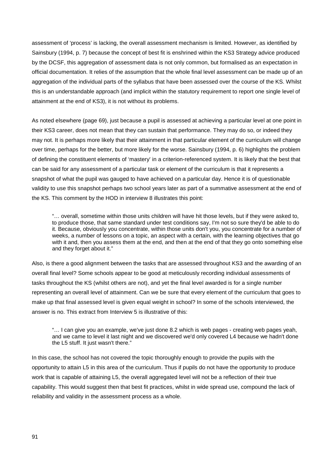assessment of 'process' is lacking, the overall assessment mechanism is limited. However, as identified by Sainsbury (1994, p. 7) because the concept of best fit is enshrined within the KS3 Strategy advice produced by the DCSF, this aggregation of assessment data is not only common, but formalised as an expectation in official documentation. It relies of the assumption that the whole final level assessment can be made up of an aggregation of the individual parts of the syllabus that have been assessed over the course of the KS. Whilst this is an understandable approach (and implicit within the statutory requirement to report one single level of attainment at the end of KS3), it is not without its problems.

As noted elsewhere (page [69\)](#page-69-0), just because a pupil is assessed at achieving a particular level at one point in their KS3 career, does not mean that they can sustain that performance. They may do so, or indeed they may not. It is perhaps more likely that their attainment in that particular element of the curriculum will change over time, perhaps for the better, but more likely for the worse. Sainsbury (1994, p. 6) highlights the problem of defining the constituent elements of 'mastery' in a criterion-referenced system. It is likely that the best that can be said for any assessment of a particular task or element of the curriculum is that it represents a snapshot of what the pupil was gauged to have achieved on a particular day. Hence it is of questionable validity to use this snapshot perhaps two school years later as part of a summative assessment at the end of the KS. This comment by the HOD in interview 8 illustrates this point:

"… overall, sometime within those units children will have hit those levels, but if they were asked to, to produce those, that same standard under test conditions say, I'm not so sure they'd be able to do it. Because, obviously you concentrate, within those units don't you, you concentrate for a number of weeks, a number of lessons on a topic, an aspect with a certain, with the learning objectives that go with it and, then you assess them at the end, and then at the end of that they go onto something else and they forget about it."

Also, is there a good alignment between the tasks that are assessed throughout KS3 and the awarding of an overall final level? Some schools appear to be good at meticulously recording individual assessments of tasks throughout the KS (whilst others are not), and yet the final level awarded is for a single number representing an overall level of attainment. Can we be sure that every element of the curriculum that goes to make up that final assessed level is given equal weight in school? In some of the schools interviewed, the answer is no. This extract from Interview 5 is illustrative of this:

<span id="page-91-0"></span>"… I can give you an example, we've just done 8.2 which is web pages - creating web pages yeah, and we came to level it last night and we discovered we'd only covered L4 because we hadn't done the L5 stuff. It just wasn't there."

In this case, the school has not covered the topic thoroughly enough to provide the pupils with the opportunity to attain L5 in this area of the curriculum. Thus if pupils do not have the opportunity to produce work that is capable of attaining L5, the overall aggregated level will not be a reflection of their true capability. This would suggest then that best fit practices, whilst in wide spread use, compound the lack of reliability and validity in the assessment process as a whole.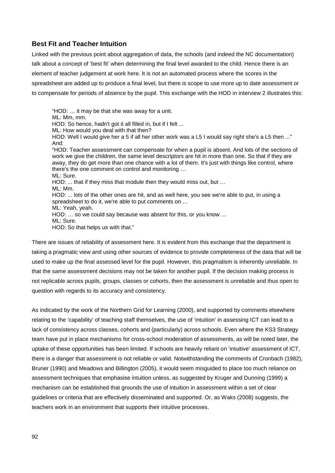# <span id="page-92-0"></span>**Best Fit and Teacher Intuition**

Linked with the previous point about aggregation of data, the schools (and indeed the NC documentation) talk about a concept of 'best fit' when determining the final level awarded to the child. Hence there is an element of teacher judgement at work here. It is not an automated process where the scores in the spreadsheet are added up to produce a final level, but there is scope to use more up to date assessment or to compensate for periods of absence by the pupil. This exchange with the HOD in interview 2 illustrates this:

"HOD: … it may be that she was away for a unit. ML: Mm, mm. HOD: So hence, hadn't got it all filled in, but if I felt ... ML: How would you deal with that then? HOD: Well I would give her a 5 if all her other work was a L5 I would say right she's a L5 then ..." And: "HOD: Teacher assessment can compensate for when a pupil is absent. And lots of the sections of work we give the children, the same level descriptors are hit in more than one. So that if they are away, they do get more than one chance with a lot of them. It's just with things like control, where there's the one comment on control and monitoring … ML: Sure. HOD: ... that if they miss that module then they would miss out, but … ML: Mm. HOD: ... lots of the other ones are hit, and as well here, you see we're able to put, in using a spreadsheet to do it, we're able to put comments on … ML: Yeah, yeah. HOD: … so we could say because was absent for this, or you know … ML: Sure. HOD: So that helps us with that."

There are issues of reliability of assessment here. It is evident from this exchange that the department is taking a pragmatic view and using other sources of evidence to provide completeness of the data that will be used to make up the final assessed level for the pupil. However, this pragmatism is inherently unreliable. In that the same assessment decisions may not be taken for another pupil. If the decision making process is not replicable across pupils, groups, classes or cohorts, then the assessment is unreliable and thus open to question with regards to its accuracy and consistency.

As indicated by the work of the Northern Grid for Learning (2000), and supported by comments elsewhere relating to the 'capability' of teaching staff themselves, the use of 'intuition' in assessing ICT can lead to a lack of consistency across classes, cohorts and (particularly) across schools. Even where the KS3 Strategy team have put in place mechanisms for cross-school moderation of assessments, as will be noted later, the uptake of these opportunities has been limited. If schools are heavily reliant on 'intuitive' assessment of ICT, there is a danger that assessment is not reliable or valid. Notwithstanding the comments of Cronbach (1982), Bruner (1990) and Meadows and Billington (2005), it would seem misguided to place too much reliance on assessment techniques that emphasise intuition unless, as suggested by Kruger and Dunning (1999) a mechanism can be established that grounds the use of intuition in assessment within a set of clear guidelines or criteria that are effectively disseminated and supported. Or, as Waks (2008) suggests, the teachers work in an environment that supports their intuitive processes.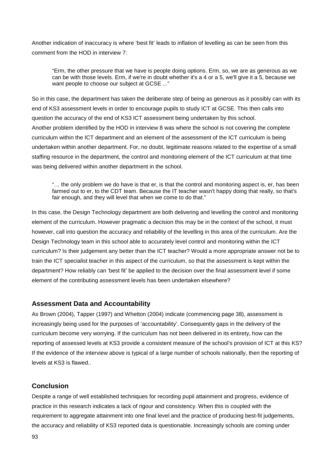Another indication of inaccuracy is where 'best fit' leads to inflation of levelling as can be seen from this comment from the HOD in interview 7:

<span id="page-93-0"></span>"Erm, the other pressure that we have is people doing options. Erm, so, we are as generous as we can be with those levels. Erm, if we're in doubt whether it's a 4 or a 5, we'll give it a 5, because we want people to choose our subject at GCSE ..."

So in this case, the department has taken the deliberate step of being as generous as it possibly can with its end of KS3 assessment levels in order to encourage pupils to study ICT at GCSE. This then calls into question the accuracy of the end of KS3 ICT assessment being undertaken by this school. Another problem identified by the HOD in interview 8 was where the school is not covering the complete curriculum within the ICT department and an element of the assessment of the ICT curriculum is being undertaken within another department. For, no doubt, legitimate reasons related to the expertise of a small staffing resource in the department, the control and monitoring element of the ICT curriculum at that time was being delivered within another department in the school.

"… the only problem we do have is that er, is that the control and monitoring aspect is, er, has been farmed out to er, to the CDT team. Because the IT teacher wasn't happy doing that really, so that's fair enough, and they will level that when we come to do that."

In this case, the Design Technology department are both delivering and levelling the control and monitoring element of the curriculum. However pragmatic a decision this may be in the context of the school, it must however, call into question the accuracy and reliability of the levelling in this area of the curriculum. Are the Design Technology team in this school able to accurately level control and monitoring within the ICT curriculum? Is their judgement any better than the ICT teacher? Would a more appropriate answer not be to train the ICT specialist teacher in this aspect of the curriculum, so that the assessment is kept within the department? How reliably can 'best fit' be applied to the decision over the final assessment level if some element of the contributing assessment levels has been undertaken elsewhere?

## **Assessment Data and Accountability**

As Brown (2004), Tapper (1997) and Whetton (2004) indicate (commencing page [38\)](#page-38-0), assessment is increasingly being used for the purposes of 'accountability'. Consequently gaps in the delivery of the curriculum become very worrying. If the curriculum has not been delivered in its entirety, how can the reporting of assessed levels at KS3 provide a consistent measure of the school's provision of ICT at this KS? If the evidence of the interview above is typical of a large number of schools nationally, then the reporting of levels at KS3 is flawed..

# **Conclusion**

Despite a range of well established techniques for recording pupil attainment and progress, evidence of practice in this research indicates a lack of rigour and consistency. When this is coupled with the requirement to aggregate attainment into one final level and the practice of producing best-fit judgements, the accuracy and reliability of KS3 reported data is questionable. Increasingly schools are coming under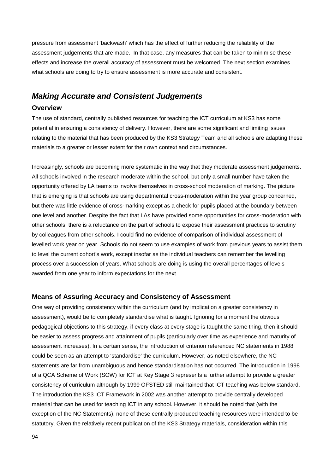pressure from assessment 'backwash' which has the effect of further reducing the reliability of the assessment judgements that are made. In that case, any measures that can be taken to minimise these effects and increase the overall accuracy of assessment must be welcomed. The next section examines what schools are doing to try to ensure assessment is more accurate and consistent.

# *Making Accurate and Consistent Judgements*

## **Overview**

The use of standard, centrally published resources for teaching the ICT curriculum at KS3 has some potential in ensuring a consistency of delivery. However, there are some significant and limiting issues relating to the material that has been produced by the KS3 Strategy Team and all schools are adapting these materials to a greater or lesser extent for their own context and circumstances.

Increasingly, schools are becoming more systematic in the way that they moderate assessment judgements. All schools involved in the research moderate within the school, but only a small number have taken the opportunity offered by LA teams to involve themselves in cross-school moderation of marking. The picture that is emerging is that schools are using departmental cross-moderation within the year group concerned, but there was little evidence of cross-marking except as a check for pupils placed at the boundary between one level and another. Despite the fact that LAs have provided some opportunities for cross-moderation with other schools, there is a reluctance on the part of schools to expose their assessment practices to scrutiny by colleagues from other schools. I could find no evidence of comparison of individual assessment of levelled work year on year. Schools do not seem to use examples of work from previous years to assist them to level the current cohort's work, except insofar as the individual teachers can remember the levelling process over a succession of years. What schools are doing is using the overall percentages of levels awarded from one year to inform expectations for the next.

## **Means of Assuring Accuracy and Consistency of Assessment**

One way of providing consistency within the curriculum (and by implication a greater consistency in assessment), would be to completely standardise what is taught. Ignoring for a moment the obvious pedagogical objections to this strategy, if every class at every stage is taught the same thing, then it should be easier to assess progress and attainment of pupils (particularly over time as experience and maturity of assessment increases). In a certain sense, the introduction of criterion referenced NC statements in 1988 could be seen as an attempt to 'standardise' the curriculum. However, as noted elsewhere, the NC statements are far from unambiguous and hence standardisation has not occurred. The introduction in 1998 of a QCA Scheme of Work (SOW) for ICT at Key Stage 3 represents a further attempt to provide a greater consistency of curriculum although by 1999 OFSTED still maintained that ICT teaching was below standard. The introduction the KS3 ICT Framework in 2002 was another attempt to provide centrally developed material that can be used for teaching ICT in any school. However, it should be noted that (with the exception of the NC Statements), none of these centrally produced teaching resources were intended to be statutory. Given the relatively recent publication of the KS3 Strategy materials, consideration within this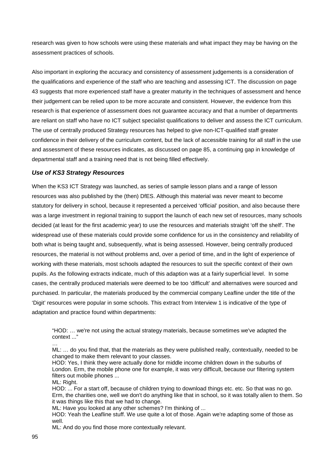research was given to how schools were using these materials and what impact they may be having on the assessment practices of schools.

Also important in exploring the accuracy and consistency of assessment judgements is a consideration of the qualifications and experience of the staff who are teaching and assessing ICT. The discussion on page [43](#page-43-0) suggests that more experienced staff have a greater maturity in the techniques of assessment and hence their judgement can be relied upon to be more accurate and consistent. However, the evidence from this research is that experience of assessment does not guarantee accuracy and that a number of departments are reliant on staff who have no ICT subject specialist qualifications to deliver and assess the ICT curriculum. The use of centrally produced Strategy resources has helped to give non-ICT-qualified staff greater confidence in their delivery of the curriculum content, but the lack of accessible training for all staff in the use and assessment of these resources indicates, as discussed on page [85,](#page-85-0) a continuing gap in knowledge of departmental staff and a training need that is not being filled effectively.

## <span id="page-95-0"></span>*Use of KS3 Strategy Resources*

When the KS3 ICT Strategy was launched, as series of sample lesson plans and a range of lesson resources was also published by the (then) DfES. Although this material was never meant to become statutory for delivery in school, because it represented a perceived 'official' position, and also because there was a large investment in regional training to support the launch of each new set of resources, many schools decided (at least for the first academic year) to use the resources and materials straight 'off the shelf'. The widespread use of these materials could provide some confidence for us in the consistency and reliability of both what is being taught and, subsequently, what is being assessed. However, being centrally produced resources, the material is not without problems and, over a period of time, and in the light of experience of working with these materials, most schools adapted the resources to suit the specific context of their own pupils. As the following extracts indicate, much of this adaption was at a fairly superficial level. In some cases, the centrally produced materials were deemed to be too 'difficult' and alternatives were sourced and purchased. In particular, the materials produced by the commercial company Leafline under the title of the 'Digit' resources were popular in some schools. This extract from Interview 1 is indicative of the type of adaptation and practice found within departments:

"HOD: … we're not using the actual strategy materials, because sometimes we've adapted the context ..."

… ML: … do you find that, that the materials as they were published really, contextually, needed to be changed to make them relevant to your classes.

HOD: Yes, I think they were actually done for middle income children down in the suburbs of London. Erm, the mobile phone one for example, it was very difficult, because our filtering system filters out mobile phones ...

ML: Right.

HOD: ... For a start off, because of children trying to download things etc. etc. So that was no go. Erm, the charities one, well we don't do anything like that in school, so it was totally alien to them. So it was things like this that we had to change.

ML: Have you looked at any other schemes? I'm thinking of ...

HOD: Yeah the Leafline stuff. We use quite a lot of those. Again we're adapting some of those as well.

ML: And do you find those more contextually relevant.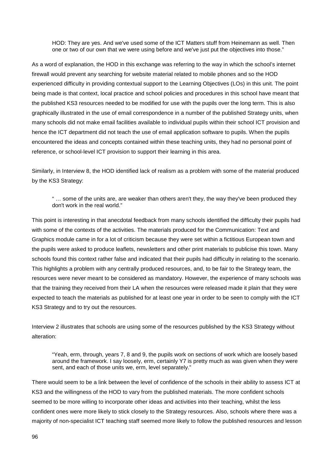HOD: They are yes. And we've used some of the ICT Matters stuff from Heinemann as well. Then one or two of our own that we were using before and we've just put the objectives into those."

As a word of explanation, the HOD in this exchange was referring to the way in which the school's internet firewall would prevent any searching for website material related to mobile phones and so the HOD experienced difficulty in providing contextual support to the Learning Objectives (LOs) in this unit. The point being made is that context, local practice and school policies and procedures in this school have meant that the published KS3 resources needed to be modified for use with the pupils over the long term. This is also graphically illustrated in the use of email correspondence in a number of the published Strategy units, when many schools did not make email facilities available to individual pupils within their school ICT provision and hence the ICT department did not teach the use of email application software to pupils. When the pupils encountered the ideas and concepts contained within these teaching units, they had no personal point of reference, or school-level ICT provision to support their learning in this area.

Similarly, in Interview 8, the HOD identified lack of realism as a problem with some of the material produced by the KS3 Strategy:

" … some of the units are, are weaker than others aren't they, the way they've been produced they don't work in the real world."

This point is interesting in that anecdotal feedback from many schools identified the difficulty their pupils had with some of the contexts of the activities. The materials produced for the Communication: Text and Graphics module came in for a lot of criticism because they were set within a fictitious European town and the pupils were asked to produce leaflets, newsletters and other print materials to publicise this town. Many schools found this context rather false and indicated that their pupils had difficulty in relating to the scenario. This highlights a problem with any centrally produced resources, and, to be fair to the Strategy team, the resources were never meant to be considered as mandatory. However, the experience of many schools was that the training they received from their LA when the resources were released made it plain that they were expected to teach the materials as published for at least one year in order to be seen to comply with the ICT KS3 Strategy and to try out the resources.

Interview 2 illustrates that schools are using some of the resources published by the KS3 Strategy without alteration:

"Yeah, erm, through, years 7, 8 and 9, the pupils work on sections of work which are loosely based around the framework. I say loosely, erm, certainly Y7 is pretty much as was given when they were sent, and each of those units we, erm, level separately."

There would seem to be a link between the level of confidence of the schools in their ability to assess ICT at KS3 and the willingness of the HOD to vary from the published materials. The more confident schools seemed to be more willing to incorporate other ideas and activities into their teaching, whilst the less confident ones were more likely to stick closely to the Strategy resources. Also, schools where there was a majority of non-specialist ICT teaching staff seemed more likely to follow the published resources and lesson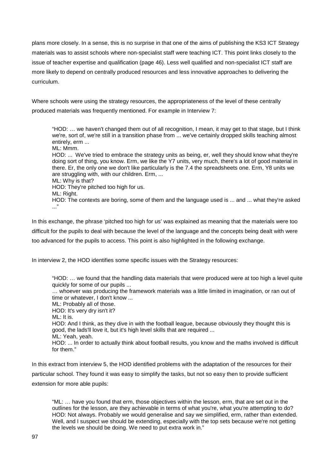plans more closely. In a sense, this is no surprise in that one of the aims of publishing the KS3 ICT Strategy materials was to assist schools where non-specialist staff were teaching ICT. This point links closely to the issue of teacher expertise and qualification (page [46\)](#page-46-0). Less well qualified and non-specialist ICT staff are more likely to depend on centrally produced resources and less innovative approaches to delivering the curriculum.

Where schools were using the strategy resources, the appropriateness of the level of these centrally produced materials was frequently mentioned. For example in Interview 7:

"HOD: … we haven't changed them out of all recognition, I mean, it may get to that stage, but I think we're, sort of, we're still in a transition phase from ... we've certainly dropped skills teaching almost entirely, erm ...

ML: Mmm.

HOD: ... We've tried to embrace the strategy units as being, er, well they should know what they're doing sort of thing, you know. Erm, we like the Y7 units, very much, there's a lot of good material in there. Er, the only one we don't like particularly is the 7.4 the spreadsheets one. Erm, Y8 units we are struggling with, with our children. Erm, ...

ML: Why is that?

HOD: They're pitched too high for us.

ML: Right.

HOD: The contexts are boring, some of them and the language used is ... and ... what they're asked ..."

In this exchange, the phrase 'pitched too high for us' was explained as meaning that the materials were too difficult for the pupils to deal with because the level of the language and the concepts being dealt with were too advanced for the pupils to access. This point is also highlighted in the following exchange.

In interview 2, the HOD identifies some specific issues with the Strategy resources:

"HOD: … we found that the handling data materials that were produced were at too high a level quite quickly for some of our pupils ...

… whoever was producing the framework materials was a little limited in imagination, or ran out of time or whatever, I don't know ...

ML: Probably all of those.

HOD: It's very dry isn't it?

ML: It is.

HOD: And I think, as they dive in with the football league, because obviously they thought this is good, the lads'll love it, but it's high level skills that are required ...

ML: Yeah, yeah.

HOD: ... In order to actually think about football results, you know and the maths involved is difficult for them."

In this extract from interview 5, the HOD identified problems with the adaptation of the resources for their particular school. They found it was easy to simplify the tasks, but not so easy then to provide sufficient extension for more able pupils:

"ML: … have you found that erm, those objectives within the lesson, erm, that are set out in the outlines for the lesson, are they achievable in terms of what you're, what you're attempting to do? HOD: Not always. Probably we would generalise and say we simplified, erm, rather than extended. Well, and I suspect we should be extending, especially with the top sets because we're not getting the levels we should be doing. We need to put extra work in."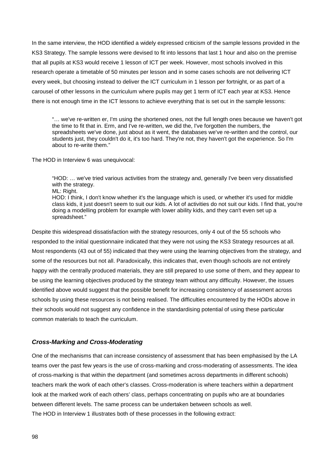In the same interview, the HOD identified a widely expressed criticism of the sample lessons provided in the KS3 Strategy. The sample lessons were devised to fit into lessons that last 1 hour and also on the premise that all pupils at KS3 would receive 1 lesson of ICT per week. However, most schools involved in this research operate a timetable of 50 minutes per lesson and in some cases schools are not delivering ICT every week, but choosing instead to deliver the ICT curriculum in 1 lesson per fortnight, or as part of a carousel of other lessons in the curriculum where pupils may get 1 term of ICT each year at KS3. Hence there is not enough time in the ICT lessons to achieve everything that is set out in the sample lessons:

"… we've re-written er, I'm using the shortened ones, not the full length ones because we haven't got the time to fit that in. Erm, and I've re-written, we did the, I've forgotten the numbers, the spreadsheets we've done, just about as it went, the databases we've re-written and the control, our students just, they couldn't do it, it's too hard. They're not, they haven't got the experience. So I'm about to re-write them."

The HOD in Interview 6 was unequivocal:

"HOD: … we've tried various activities from the strategy and, generally I've been very dissatisfied with the strategy.

ML: Right.

HOD: I think, I don't know whether it's the language which is used, or whether it's used for middle class kids, it just doesn't seem to suit our kids. A lot of activities do not suit our kids. I find that, you're doing a modelling problem for example with lower ability kids, and they can't even set up a spreadsheet."

Despite this widespread dissatisfaction with the strategy resources, only 4 out of the 55 schools who responded to the initial questionnaire indicated that they were not using the KS3 Strategy resources at all. Most respondents (43 out of 55) indicated that they were using the learning objectives from the strategy, and some of the resources but not all. Paradoxically, this indicates that, even though schools are not entirely happy with the centrally produced materials, they are still prepared to use some of them, and they appear to be using the learning objectives produced by the strategy team without any difficulty. However, the issues identified above would suggest that the possible benefit for increasing consistency of assessment across schools by using these resources is not being realised. The difficulties encountered by the HODs above in their schools would not suggest any confidence in the standardising potential of using these particular common materials to teach the curriculum.

## <span id="page-98-0"></span>*Cross-Marking and Cross-Moderating*

One of the mechanisms that can increase consistency of assessment that has been emphasised by the LA teams over the past few years is the use of cross-marking and cross-moderating of assessments. The idea of cross-marking is that within the department (and sometimes across departments in different schools) teachers mark the work of each other's classes. Cross-moderation is where teachers within a department look at the marked work of each others' class, perhaps concentrating on pupils who are at boundaries between different levels. The same process can be undertaken between schools as well. The HOD in Interview 1 illustrates both of these processes in the following extract: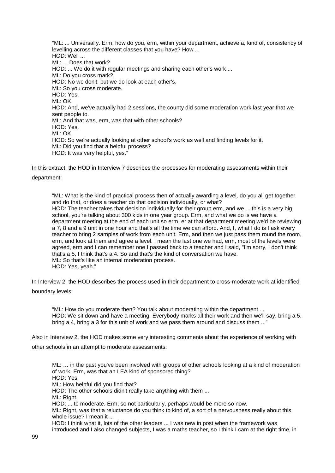"ML: ... Universally. Erm, how do you, erm, within your department, achieve a, kind of, consistency of levelling across the different classes that you have? How ... HOD: Well ... ML: ... Does that work? HOD: ... We do it with regular meetings and sharing each other's work ... ML: Do you cross mark? HOD: No we don't, but we do look at each other's. ML: So you cross moderate. HOD: Yes. ML: OK. HOD: And, we've actually had 2 sessions, the county did some moderation work last year that we sent people to. ML: And that was, erm, was that with other schools? HOD: Yes. ML: OK. HOD: So we're actually looking at other school's work as well and finding levels for it. ML: Did you find that a helpful process? HOD: It was very helpful, yes."

In this extract, the HOD in Interview 7 describes the processes for moderating assessments within their department:

"ML: What is the kind of practical process then of actually awarding a level, do you all get together and do that, or does a teacher do that decision individually, or what? HOD: The teacher takes that decision individually for their group erm, and we ... this is a very big school, you're talking about 300 kids in one year group. Erm, and what we do is we have a department meeting at the end of each unit so erm, er at that department meeting we'd be reviewing a 7, 8 and a 9 unit in one hour and that's all the time we can afford. And, I, what I do is I ask every teacher to bring 2 samples of work from each unit. Erm, and then we just pass them round the room, erm, and look at them and agree a level. I mean the last one we had, erm, most of the levels were agreed, erm and I can remember one I passed back to a teacher and I said, "I'm sorry, I don't think that's a 5, I think that's a 4. So and that's the kind of conversation we have. ML: So that's like an internal moderation process. HOD: Yes, yeah."

In Interview 2, the HOD describes the process used in their department to cross-moderate work at identified boundary levels:

"ML: How do you moderate then? You talk about moderating within the department ... HOD: We sit down and have a meeting. Everybody marks all their work and then we'll say, bring a 5, bring a 4, bring a 3 for this unit of work and we pass them around and discuss them ..."

Also in Interview 2, the HOD makes some very interesting comments about the experience of working with other schools in an attempt to moderate assessments:

ML: … in the past you've been involved with groups of other schools looking at a kind of moderation of work. Erm, was that an LEA kind of sponsored thing? HOD: Yes.

ML: How helpful did you find that?

HOD: The other schools didn't really take anything with them ...

ML: Right.

HOD: ... to moderate. Erm, so not particularly, perhaps would be more so now.

ML: Right, was that a reluctance do you think to kind of, a sort of a nervousness really about this whole issue? I mean it

HOD: I think what it, lots of the other leaders ... I was new in post when the framework was introduced and I also changed subjects, I was a maths teacher, so I think I cam at the right time, in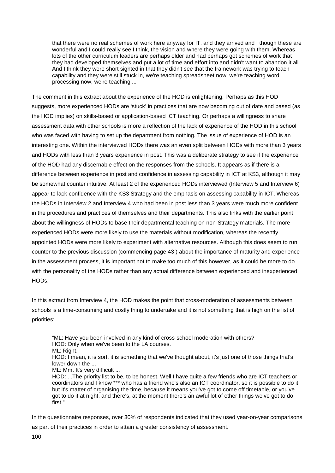that there were no real schemes of work here anyway for IT, and they arrived and I though these are wonderful and I could really see I think, the vision and where they were going with them. Whereas lots of the other curriculum leaders are perhaps older and had perhaps got schemes of work that they had developed themselves and put a lot of time and effort into and didn't want to abandon it all. And I think they were short sighted in that they didn't see that the framework was trying to teach capability and they were still stuck in, we're teaching spreadsheet now, we're teaching word processing now, we're teaching ..."

The comment in this extract about the experience of the HOD is enlightening. Perhaps as this HOD suggests, more experienced HODs are 'stuck' in practices that are now becoming out of date and based (as the HOD implies) on skills-based or application-based ICT teaching. Or perhaps a willingness to share assessment data with other schools is more a reflection of the lack of experience of the HOD in this school who was faced with having to set up the department from nothing. The issue of experience of HOD is an interesting one. Within the interviewed HODs there was an even split between HODs with more than 3 years and HODs with less than 3 years experience in post. This was a deliberate strategy to see if the experience of the HOD had any discernable effect on the responses from the schools. It appears as if there is a difference between experience in post and confidence in assessing capability in ICT at KS3, although it may be somewhat counter intuitive. At least 2 of the experienced HODs interviewed (Interview 5 and Interview 6) appear to lack confidence with the KS3 Strategy and the emphasis on assessing capability in ICT. Whereas the HODs in Interview 2 and Interview 4 who had been in post less than 3 years were much more confident in the procedures and practices of themselves and their departments. This also links with the earlier point about the willingness of HODs to base their departmental teaching on non-Strategy materials. The more experienced HODs were more likely to use the materials without modification, whereas the recently appointed HODs were more likely to experiment with alternative resources. Although this does seem to run counter to the previous discussion (commencing page [43](#page-43-0) ) about the importance of maturity and experience in the assessment process, it is important not to make too much of this however, as it could be more to do with the personality of the HODs rather than any actual difference between experienced and inexperienced HODs.

In this extract from Interview 4, the HOD makes the point that cross-moderation of assessments between schools is a time-consuming and costly thing to undertake and it is not something that is high on the list of priorities:

"ML: Have you been involved in any kind of cross-school moderation with others? HOD: Only when we've been to the LA courses.

ML: Right.

HOD: I mean, it is sort, it is something that we've thought about, it's just one of those things that's lower down the ...

ML: Mm. It's very difficult ...

HOD: ...The priority list to be, to be honest. Well I have quite a few friends who are ICT teachers or coordinators and I know \*\*\* who has a friend who's also an ICT coordinator, so it is possible to do it, but it's matter of organising the time, because it means you've got to come off timetable, or you've got to do it at night, and there's, at the moment there's an awful lot of other things we've got to do first."

In the questionnaire responses, over 30% of respondents indicated that they used year-on-year comparisons as part of their practices in order to attain a greater consistency of assessment.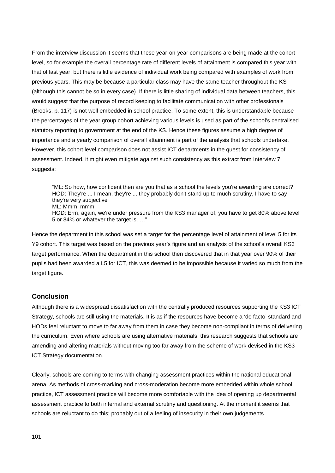From the interview discussion it seems that these year-on-year comparisons are being made at the cohort level, so for example the overall percentage rate of different levels of attainment is compared this year with that of last year, but there is little evidence of individual work being compared with examples of work from previous years. This may be because a particular class may have the same teacher throughout the KS (although this cannot be so in every case). If there is little sharing of individual data between teachers, this would suggest that the purpose of record keeping to facilitate communication with other professionals (Brooks, p. 117) is not well embedded in school practice. To some extent, this is understandable because the percentages of the year group cohort achieving various levels is used as part of the school's centralised statutory reporting to government at the end of the KS. Hence these figures assume a high degree of importance and a yearly comparison of overall attainment is part of the analysis that schools undertake. However, this cohort level comparison does not assist ICT departments in the quest for consistency of assessment. Indeed, it might even mitigate against such consistency as this extract from Interview 7 suggests:

"ML: So how, how confident then are you that as a school the levels you're awarding are correct? HOD: They're ... I mean, they're ... they probably don't stand up to much scrutiny, I have to say they're very subjective

ML: Mmm, mmm

HOD: Erm, again, we're under pressure from the KS3 manager of, you have to get 80% above level 5 or 84% or whatever the target is. …"

Hence the department in this school was set a target for the percentage level of attainment of level 5 for its Y9 cohort. This target was based on the previous year's figure and an analysis of the school's overall KS3 target performance. When the department in this school then discovered that in that year over 90% of their pupils had been awarded a L5 for ICT, this was deemed to be impossible because it varied so much from the target figure.

## **Conclusion**

Although there is a widespread dissatisfaction with the centrally produced resources supporting the KS3 ICT Strategy, schools are still using the materials. It is as if the resources have become a 'de facto' standard and HODs feel reluctant to move to far away from them in case they become non-compliant in terms of delivering the curriculum. Even where schools are using alternative materials, this research suggests that schools are amending and altering materials without moving too far away from the scheme of work devised in the KS3 ICT Strategy documentation.

Clearly, schools are coming to terms with changing assessment practices within the national educational arena. As methods of cross-marking and cross-moderation become more embedded within whole school practice, ICT assessment practice will become more comfortable with the idea of opening up departmental assessment practice to both internal and external scrutiny and questioning. At the moment it seems that schools are reluctant to do this; probably out of a feeling of insecurity in their own judgements.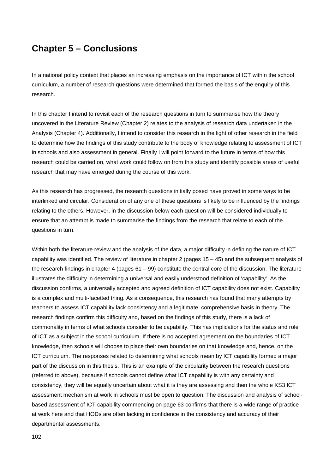# **Chapter 5 – Conclusions**

In a national policy context that places an increasing emphasis on the importance of ICT within the school curriculum, a number of research questions were determined that formed the basis of the enquiry of this research.

In this chapter I intend to revisit each of the research questions in turn to summarise how the theory uncovered in the Literature Review (Chapter 2) relates to the analysis of research data undertaken in the Analysis (Chapter 4). Additionally, I intend to consider this research in the light of other research in the field to determine how the findings of this study contribute to the body of knowledge relating to assessment of ICT in schools and also assessment in general. Finally I will point forward to the future in terms of how this research could be carried on, what work could follow on from this study and identify possible areas of useful research that may have emerged during the course of this work.

As this research has progressed, the research questions initially posed have proved in some ways to be interlinked and circular. Consideration of any one of these questions is likely to be influenced by the findings relating to the others. However, in the discussion below each question will be considered individually to ensure that an attempt is made to summarise the findings from the research that relate to each of the questions in turn.

Within both the literature review and the analysis of the data, a major difficulty in defining the nature of ICT capability was identified. The review of literature in chapter 2 (pages 15 – 45) and the subsequent analysis of the research findings in chapter 4 (pages  $61 - 99$ ) constitute the central core of the discussion. The literature illustrates the difficulty in determining a universal and easily understood definition of 'capability'. As the discussion confirms, a universally accepted and agreed definition of ICT capability does not exist. Capability is a complex and multi-facetted thing. As a consequence, this research has found that many attempts by teachers to assess ICT capability lack consistency and a legitimate, comprehensive basis in theory. The research findings confirm this difficulty and, based on the findings of this study, there is a lack of commonality in terms of what schools consider to be capability. This has implications for the status and role of ICT as a subject in the school curriculum. If there is no accepted agreement on the boundaries of ICT knowledge, then schools will choose to place their own boundaries on that knowledge and, hence, on the ICT curriculum. The responses related to determining what schools mean by ICT capability formed a major part of the discussion in this thesis. This is an example of the circularity between the research questions (referred to above), because if schools cannot define what ICT capability is with any certainty and consistency, they will be equally uncertain about what it is they are assessing and then the whole KS3 ICT assessment mechanism at work in schools must be open to question. The discussion and analysis of schoolbased assessment of ICT capability commencing on page [63](#page-63-0) confirms that there is a wide range of practice at work here and that HODs are often lacking in confidence in the consistency and accuracy of their departmental assessments.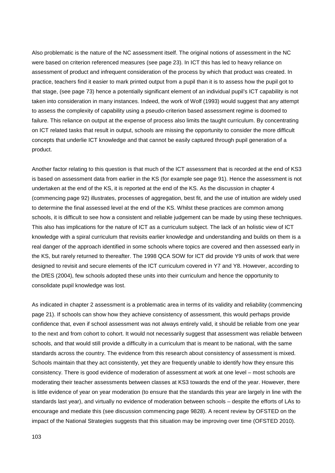Also problematic is the nature of the NC assessment itself. The original notions of assessment in the NC were based on criterion referenced measures (see page [23\)](#page-23-0). In ICT this has led to heavy reliance on assessment of product and infrequent consideration of the process by which that product was created. In practice, teachers find it easier to mark printed output from a pupil than it is to assess how the pupil got to that stage, (see page [73\)](#page-73-0) hence a potentially significant element of an individual pupil's ICT capability is not taken into consideration in many instances. Indeed, the work of Wolf (1993) would suggest that any attempt to assess the complexity of capability using a pseudo-criterion based assessment regime is doomed to failure. This reliance on output at the expense of process also limits the taught curriculum. By concentrating on ICT related tasks that result in output, schools are missing the opportunity to consider the more difficult concepts that underlie ICT knowledge and that cannot be easily captured through pupil generation of a product.

Another factor relating to this question is that much of the ICT assessment that is recorded at the end of KS3 is based on assessment data from earlier in the KS (for example see page [91\)](#page-91-0). Hence the assessment is not undertaken at the end of the KS, it is reported at the end of the KS. As the discussion in chapter 4 (commencing page [92\)](#page-92-0) illustrates, processes of aggregation, best fit, and the use of intuition are widely used to determine the final assessed level at the end of the KS. Whilst these practices are common among schools, it is difficult to see how a consistent and reliable judgement can be made by using these techniques. This also has implications for the nature of ICT as a curriculum subject. The lack of an holistic view of ICT knowledge with a spiral curriculum that revisits earlier knowledge and understanding and builds on them is a real danger of the approach identified in some schools where topics are covered and then assessed early in the KS, but rarely returned to thereafter. The 1998 QCA SOW for ICT did provide Y9 units of work that were designed to revisit and secure elements of the ICT curriculum covered in Y7 and Y8. However, according to the DfES (2004), few schools adopted these units into their curriculum and hence the opportunity to consolidate pupil knowledge was lost.

As indicated in chapter 2 assessment is a problematic area in terms of its validity and reliability (commencing page [21\)](#page-21-0). If schools can show how they achieve consistency of assessment, this would perhaps provide confidence that, even if school assessment was not always entirely valid, it should be reliable from one year to the next and from cohort to cohort. It would not necessarily suggest that assessment was reliable between schools, and that would still provide a difficulty in a curriculum that is meant to be national, with the same standards across the country. The evidence from this research about consistency of assessment is mixed. Schools maintain that they act consistently, yet they are frequently unable to identify how they ensure this consistency. There is good evidence of moderation of assessment at work at one level – most schools are moderating their teacher assessments between classes at KS3 towards the end of the year. However, there is little evidence of year on year moderation (to ensure that the standards this year are largely in line with the standards last year), and virtually no evidence of moderation between schools – despite the efforts of LAs to encourage and mediate this (see discussion commencing page [9828\)](#page-98-0). A recent review by OFSTED on the impact of the National Strategies suggests that this situation may be improving over time (OFSTED 2010).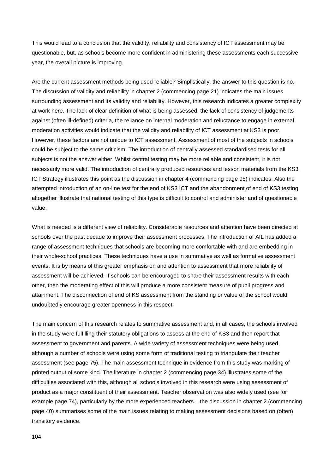This would lead to a conclusion that the validity, reliability and consistency of ICT assessment may be questionable, but, as schools become more confident in administering these assessments each successive year, the overall picture is improving.

Are the current assessment methods being used reliable? Simplistically, the answer to this question is no. The discussion of validity and reliability in chapter 2 (commencing page [21\)](#page-21-0) indicates the main issues surrounding assessment and its validity and reliability. However, this research indicates a greater complexity at work here. The lack of clear definition of what is being assessed, the lack of consistency of judgements against (often ill-defined) criteria, the reliance on internal moderation and reluctance to engage in external moderation activities would indicate that the validity and reliability of ICT assessment at KS3 is poor. However, these factors are not unique to ICT assessment. Assessment of most of the subjects in schools could be subject to the same criticism. The introduction of centrally assessed standardised tests for all subjects is not the answer either. Whilst central testing may be more reliable and consistent, it is not necessarily more valid. The introduction of centrally produced resources and lesson materials from the KS3 ICT Strategy illustrates this point as the discussion in chapter 4 (commencing page [95\)](#page-95-0) indicates. Also the attempted introduction of an on-line test for the end of KS3 ICT and the abandonment of end of KS3 testing altogether illustrate that national testing of this type is difficult to control and administer and of questionable value.

What is needed is a different view of reliability. Considerable resources and attention have been directed at schools over the past decade to improve their assessment processes. The introduction of AfL has added a range of assessment techniques that schools are becoming more comfortable with and are embedding in their whole-school practices. These techniques have a use in summative as well as formative assessment events. It is by means of this greater emphasis on and attention to assessment that more reliability of assessment will be achieved. If schools can be encouraged to share their assessment results with each other, then the moderating effect of this will produce a more consistent measure of pupil progress and attainment. The disconnection of end of KS assessment from the standing or value of the school would undoubtedly encourage greater openness in this respect.

The main concern of this research relates to summative assessment and, in all cases, the schools involved in the study were fulfilling their statutory obligations to assess at the end of KS3 and then report that assessment to government and parents. A wide variety of assessment techniques were being used, although a number of schools were using some form of traditional testing to triangulate their teacher assessment (see page [75\)](#page-75-0). The main assessment technique in evidence from this study was marking of printed output of some kind. The literature in chapter 2 (commencing page [34\)](#page-34-0) illustrates some of the difficulties associated with this, although all schools involved in this research were using assessment of product as a major constituent of their assessment. Teacher observation was also widely used (see for example page [74\)](#page-74-0), particularly by the more experienced teachers – the discussion in chapter 2 (commencing page [40\)](#page-40-0) summarises some of the main issues relating to making assessment decisions based on (often) transitory evidence.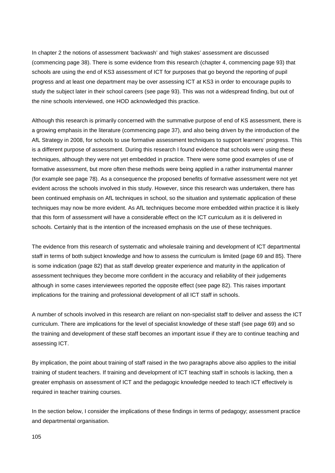In chapter 2 the notions of assessment 'backwash' and 'high stakes' assessment are discussed (commencing page [38\)](#page-38-0). There is some evidence from this research (chapter 4, commencing page [93\)](#page-93-0) that schools are using the end of KS3 assessment of ICT for purposes that go beyond the reporting of pupil progress and at least one department may be over assessing ICT at KS3 in order to encourage pupils to study the subject later in their school careers (see page [93\)](#page-93-0). This was not a widespread finding, but out of the nine schools interviewed, one HOD acknowledged this practice.

Although this research is primarily concerned with the summative purpose of end of KS assessment, there is a growing emphasis in the literature (commencing page [37\)](#page-37-0), and also being driven by the introduction of the AfL Strategy in 2008, for schools to use formative assessment techniques to support learners' progress. This is a different purpose of assessment. During this research I found evidence that schools were using these techniques, although they were not yet embedded in practice. There were some good examples of use of formative assessment, but more often these methods were being applied in a rather instrumental manner (for example see page [78\)](#page-78-0). As a consequence the proposed benefits of formative assessment were not yet evident across the schools involved in this study. However, since this research was undertaken, there has been continued emphasis on AfL techniques in school, so the situation and systematic application of these techniques may now be more evident. As AfL techniques become more embedded within practice it is likely that this form of assessment will have a considerable effect on the ICT curriculum as it is delivered in schools. Certainly that is the intention of the increased emphasis on the use of these techniques.

The evidence from this research of systematic and wholesale training and development of ICT departmental staff in terms of both subject knowledge and how to assess the curriculum is limited (page [69](#page-69-1) and [85\)](#page-85-0). There is some indication (page [82\)](#page-82-0) that as staff develop greater experience and maturity in the application of assessment techniques they become more confident in the accuracy and reliability of their judgements although in some cases interviewees reported the opposite effect (see page [82\)](#page-82-1). This raises important implications for the training and professional development of all ICT staff in schools.

A number of schools involved in this research are reliant on non-specialist staff to deliver and assess the ICT curriculum. There are implications for the level of specialist knowledge of these staff (see page [69\)](#page-69-1) and so the training and development of these staff becomes an important issue if they are to continue teaching and assessing ICT.

By implication, the point about training of staff raised in the two paragraphs above also applies to the initial training of student teachers. If training and development of ICT teaching staff in schools is lacking, then a greater emphasis on assessment of ICT and the pedagogic knowledge needed to teach ICT effectively is required in teacher training courses.

In the section below, I consider the implications of these findings in terms of pedagogy; assessment practice and departmental organisation.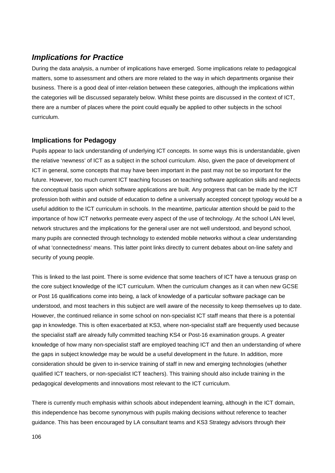# *Implications for Practice*

During the data analysis, a number of implications have emerged. Some implications relate to pedagogical matters, some to assessment and others are more related to the way in which departments organise their business. There is a good deal of inter-relation between these categories, although the implications within the categories will be discussed separately below. Whilst these points are discussed in the context of ICT, there are a number of places where the point could equally be applied to other subjects in the school curriculum.

# **Implications for Pedagogy**

Pupils appear to lack understanding of underlying ICT concepts. In some ways this is understandable, given the relative 'newness' of ICT as a subject in the school curriculum. Also, given the pace of development of ICT in general, some concepts that may have been important in the past may not be so important for the future. However, too much current ICT teaching focuses on teaching software application skills and neglects the conceptual basis upon which software applications are built. Any progress that can be made by the ICT profession both within and outside of education to define a universally accepted concept typology would be a useful addition to the ICT curriculum in schools. In the meantime, particular attention should be paid to the importance of how ICT networks permeate every aspect of the use of technology. At the school LAN level, network structures and the implications for the general user are not well understood, and beyond school, many pupils are connected through technology to extended mobile networks without a clear understanding of what 'connectedness' means. This latter point links directly to current debates about on-line safety and security of young people.

This is linked to the last point. There is some evidence that some teachers of ICT have a tenuous grasp on the core subject knowledge of the ICT curriculum. When the curriculum changes as it can when new GCSE or Post 16 qualifications come into being, a lack of knowledge of a particular software package can be understood, and most teachers in this subject are well aware of the necessity to keep themselves up to date. However, the continued reliance in some school on non-specialist ICT staff means that there is a potential gap in knowledge. This is often exacerbated at KS3, where non-specialist staff are frequently used because the specialist staff are already fully committed teaching KS4 or Post-16 examination groups. A greater knowledge of how many non-specialist staff are employed teaching ICT and then an understanding of where the gaps in subject knowledge may be would be a useful development in the future. In addition, more consideration should be given to in-service training of staff in new and emerging technologies (whether qualified ICT teachers, or non-specialist ICT teachers). This training should also include training in the pedagogical developments and innovations most relevant to the ICT curriculum.

There is currently much emphasis within schools about independent learning, although in the ICT domain, this independence has become synonymous with pupils making decisions without reference to teacher guidance. This has been encouraged by LA consultant teams and KS3 Strategy advisors through their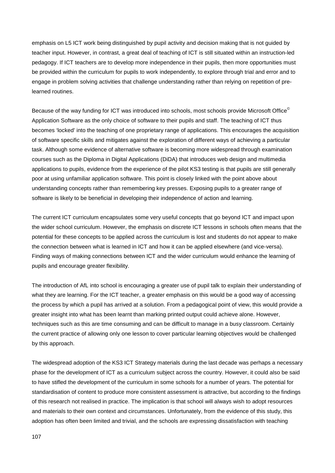emphasis on L5 ICT work being distinguished by pupil activity and decision making that is not guided by teacher input. However, in contrast, a great deal of teaching of ICT is still situated within an instruction-led pedagogy. If ICT teachers are to develop more independence in their pupils, then more opportunities must be provided within the curriculum for pupils to work independently, to explore through trial and error and to engage in problem solving activities that challenge understanding rather than relying on repetition of prelearned routines.

Because of the way funding for ICT was introduced into schools, most schools provide Microsoft Office<sup>®</sup> Application Software as the only choice of software to their pupils and staff. The teaching of ICT thus becomes 'locked' into the teaching of one proprietary range of applications. This encourages the acquisition of software specific skills and mitigates against the exploration of different ways of achieving a particular task. Although some evidence of alternative software is becoming more widespread through examination courses such as the Diploma in Digital Applications (DiDA) that introduces web design and multimedia applications to pupils, evidence from the experience of the pilot KS3 testing is that pupils are still generally poor at using unfamiliar application software. This point is closely linked with the point above about understanding concepts rather than remembering key presses. Exposing pupils to a greater range of software is likely to be beneficial in developing their independence of action and learning.

The current ICT curriculum encapsulates some very useful concepts that go beyond ICT and impact upon the wider school curriculum. However, the emphasis on discrete ICT lessons in schools often means that the potential for these concepts to be applied across the curriculum is lost and students do not appear to make the connection between what is learned in ICT and how it can be applied elsewhere (and vice-versa). Finding ways of making connections between ICT and the wider curriculum would enhance the learning of pupils and encourage greater flexibility.

The introduction of AfL into school is encouraging a greater use of pupil talk to explain their understanding of what they are learning. For the ICT teacher, a greater emphasis on this would be a good way of accessing the process by which a pupil has arrived at a solution. From a pedagogical point of view, this would provide a greater insight into what has been learnt than marking printed output could achieve alone. However, techniques such as this are time consuming and can be difficult to manage in a busy classroom. Certainly the current practice of allowing only one lesson to cover particular learning objectives would be challenged by this approach.

The widespread adoption of the KS3 ICT Strategy materials during the last decade was perhaps a necessary phase for the development of ICT as a curriculum subject across the country. However, it could also be said to have stifled the development of the curriculum in some schools for a number of years. The potential for standardisation of content to produce more consistent assessment is attractive, but according to the findings of this research not realised in practice. The implication is that school will always wish to adopt resources and materials to their own context and circumstances. Unfortunately, from the evidence of this study, this adoption has often been limited and trivial, and the schools are expressing dissatisfaction with teaching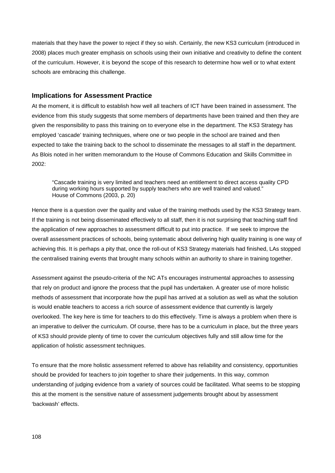materials that they have the power to reject if they so wish. Certainly, the new KS3 curriculum (introduced in 2008) places much greater emphasis on schools using their own initiative and creativity to define the content of the curriculum. However, it is beyond the scope of this research to determine how well or to what extent schools are embracing this challenge.

### **Implications for Assessment Practice**

At the moment, it is difficult to establish how well all teachers of ICT have been trained in assessment. The evidence from this study suggests that some members of departments have been trained and then they are given the responsibility to pass this training on to everyone else in the department. The KS3 Strategy has employed 'cascade' training techniques, where one or two people in the school are trained and then expected to take the training back to the school to disseminate the messages to all staff in the department. As Blois noted in her written memorandum to the House of Commons Education and Skills Committee in 2002:

"Cascade training is very limited and teachers need an entitlement to direct access quality CPD during working hours supported by supply teachers who are well trained and valued." House of Commons (2003, p. 20)

Hence there is a question over the quality and value of the training methods used by the KS3 Strategy team. If the training is not being disseminated effectively to all staff, then it is not surprising that teaching staff find the application of new approaches to assessment difficult to put into practice. If we seek to improve the overall assessment practices of schools, being systematic about delivering high quality training is one way of achieving this. It is perhaps a pity that, once the roll-out of KS3 Strategy materials had finished, LAs stopped the centralised training events that brought many schools within an authority to share in training together.

Assessment against the pseudo-criteria of the NC ATs encourages instrumental approaches to assessing that rely on product and ignore the process that the pupil has undertaken. A greater use of more holistic methods of assessment that incorporate how the pupil has arrived at a solution as well as what the solution is would enable teachers to access a rich source of assessment evidence that currently is largely overlooked. The key here is time for teachers to do this effectively. Time is always a problem when there is an imperative to deliver the curriculum. Of course, there has to be a curriculum in place, but the three years of KS3 should provide plenty of time to cover the curriculum objectives fully and still allow time for the application of holistic assessment techniques.

To ensure that the more holistic assessment referred to above has reliability and consistency, opportunities should be provided for teachers to join together to share their judgements. In this way, common understanding of judging evidence from a variety of sources could be facilitated. What seems to be stopping this at the moment is the sensitive nature of assessment judgements brought about by assessment 'backwash' effects.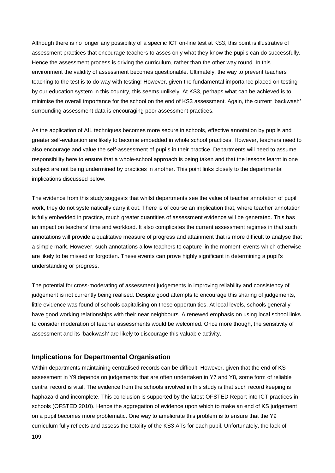Although there is no longer any possibility of a specific ICT on-line test at KS3, this point is illustrative of assessment practices that encourage teachers to asses only what they know the pupils can do successfully. Hence the assessment process is driving the curriculum, rather than the other way round. In this environment the validity of assessment becomes questionable. Ultimately, the way to prevent teachers teaching to the test is to do way with testing! However, given the fundamental importance placed on testing by our education system in this country, this seems unlikely. At KS3, perhaps what can be achieved is to minimise the overall importance for the school on the end of KS3 assessment. Again, the current 'backwash' surrounding assessment data is encouraging poor assessment practices.

As the application of AfL techniques becomes more secure in schools, effective annotation by pupils and greater self-evaluation are likely to become embedded in whole school practices. However, teachers need to also encourage and value the self-assessment of pupils in their practice. Departments will need to assume responsibility here to ensure that a whole-school approach is being taken and that the lessons learnt in one subject are not being undermined by practices in another. This point links closely to the departmental implications discussed below.

The evidence from this study suggests that whilst departments see the value of teacher annotation of pupil work, they do not systematically carry it out. There is of course an implication that, where teacher annotation is fully embedded in practice, much greater quantities of assessment evidence will be generated. This has an impact on teachers' time and workload. It also complicates the current assessment regimes in that such annotations will provide a qualitative measure of progress and attainment that is more difficult to analyse that a simple mark. However, such annotations allow teachers to capture 'in the moment' events which otherwise are likely to be missed or forgotten. These events can prove highly significant in determining a pupil's understanding or progress.

The potential for cross-moderating of assessment judgements in improving reliability and consistency of judgement is not currently being realised. Despite good attempts to encourage this sharing of judgements, little evidence was found of schools capitalising on these opportunities. At local levels, schools generally have good working relationships with their near neighbours. A renewed emphasis on using local school links to consider moderation of teacher assessments would be welcomed. Once more though, the sensitivity of assessment and its 'backwash' are likely to discourage this valuable activity.

### **Implications for Departmental Organisation**

Within departments maintaining centralised records can be difficult. However, given that the end of KS assessment in Y9 depends on judgements that are often undertaken in Y7 and Y8, some form of reliable central record is vital. The evidence from the schools involved in this study is that such record keeping is haphazard and incomplete. This conclusion is supported by the latest OFSTED Report into ICT practices in schools (OFSTED 2010). Hence the aggregation of evidence upon which to make an end of KS judgement on a pupil becomes more problematic. One way to ameliorate this problem is to ensure that the Y9 curriculum fully reflects and assess the totality of the KS3 ATs for each pupil. Unfortunately, the lack of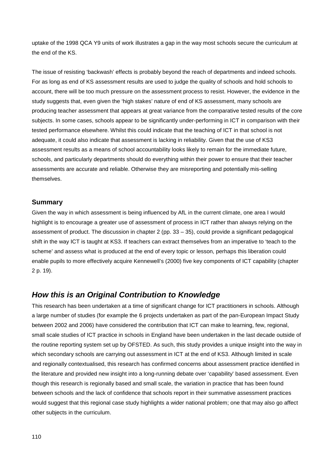uptake of the 1998 QCA Y9 units of work illustrates a gap in the way most schools secure the curriculum at the end of the KS.

The issue of resisting 'backwash' effects is probably beyond the reach of departments and indeed schools. For as long as end of KS assessment results are used to judge the quality of schools and hold schools to account, there will be too much pressure on the assessment process to resist. However, the evidence in the study suggests that, even given the 'high stakes' nature of end of KS assessment, many schools are producing teacher assessment that appears at great variance from the comparative tested results of the core subjects. In some cases, schools appear to be significantly under-performing in ICT in comparison with their tested performance elsewhere. Whilst this could indicate that the teaching of ICT in that school is not adequate, it could also indicate that assessment is lacking in reliability. Given that the use of KS3 assessment results as a means of school accountability looks likely to remain for the immediate future, schools, and particularly departments should do everything within their power to ensure that their teacher assessments are accurate and reliable. Otherwise they are misreporting and potentially mis-selling themselves.

### **Summary**

Given the way in which assessment is being influenced by AfL in the current climate, one area I would highlight is to encourage a greater use of assessment of process in ICT rather than always relying on the assessment of product. The discussion in chapter 2 (pp. 33 – 35), could provide a significant pedagogical shift in the way ICT is taught at KS3. If teachers can extract themselves from an imperative to 'teach to the scheme' and assess what is produced at the end of every topic or lesson, perhaps this liberation could enable pupils to more effectively acquire Kennewell's (2000) five key components of ICT capability (chapter 2 p. 19).

### *How this is an Original Contribution to Knowledge*

This research has been undertaken at a time of significant change for ICT practitioners in schools. Although a large number of studies (for example the 6 projects undertaken as part of the pan-European Impact Study between 2002 and 2006) have considered the contribution that ICT can make to learning, few, regional, small scale studies of ICT practice in schools in England have been undertaken in the last decade outside of the routine reporting system set up by OFSTED. As such, this study provides a unique insight into the way in which secondary schools are carrying out assessment in ICT at the end of KS3. Although limited in scale and regionally contextualised, this research has confirmed concerns about assessment practice identified in the literature and provided new insight into a long-running debate over 'capability' based assessment. Even though this research is regionally based and small scale, the variation in practice that has been found between schools and the lack of confidence that schools report in their summative assessment practices would suggest that this regional case study highlights a wider national problem; one that may also go affect other subjects in the curriculum.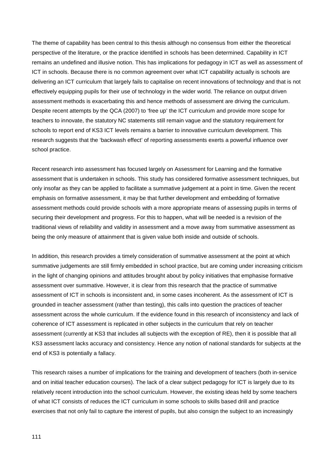The theme of capability has been central to this thesis although no consensus from either the theoretical perspective of the literature, or the practice identified in schools has been determined. Capability in ICT remains an undefined and illusive notion. This has implications for pedagogy in ICT as well as assessment of ICT in schools. Because there is no common agreement over what ICT capability actually is schools are delivering an ICT curriculum that largely fails to capitalise on recent innovations of technology and that is not effectively equipping pupils for their use of technology in the wider world. The reliance on output driven assessment methods is exacerbating this and hence methods of assessment are driving the curriculum. Despite recent attempts by the QCA (2007) to 'free up' the ICT curriculum and provide more scope for teachers to innovate, the statutory NC statements still remain vague and the statutory requirement for schools to report end of KS3 ICT levels remains a barrier to innovative curriculum development. This research suggests that the 'backwash effect' of reporting assessments exerts a powerful influence over school practice.

Recent research into assessment has focused largely on Assessment for Learning and the formative assessment that is undertaken in schools. This study has considered formative assessment techniques, but only insofar as they can be applied to facilitate a summative judgement at a point in time. Given the recent emphasis on formative assessment, it may be that further development and embedding of formative assessment methods could provide schools with a more appropriate means of assessing pupils in terms of securing their development and progress. For this to happen, what will be needed is a revision of the traditional views of reliability and validity in assessment and a move away from summative assessment as being the only measure of attainment that is given value both inside and outside of schools.

In addition, this research provides a timely consideration of summative assessment at the point at which summative judgements are still firmly embedded in school practice, but are coming under increasing criticism in the light of changing opinions and attitudes brought about by policy initiatives that emphasise formative assessment over summative. However, it is clear from this research that the practice of summative assessment of ICT in schools is inconsistent and, in some cases incoherent. As the assessment of ICT is grounded in teacher assessment (rather than testing), this calls into question the practices of teacher assessment across the whole curriculum. If the evidence found in this research of inconsistency and lack of coherence of ICT assessment is replicated in other subjects in the curriculum that rely on teacher assessment (currently at KS3 that includes all subjects with the exception of RE), then it is possible that all KS3 assessment lacks accuracy and consistency. Hence any notion of national standards for subjects at the end of KS3 is potentially a fallacy.

This research raises a number of implications for the training and development of teachers (both in-service and on initial teacher education courses). The lack of a clear subject pedagogy for ICT is largely due to its relatively recent introduction into the school curriculum. However, the existing ideas held by some teachers of what ICT consists of reduces the ICT curriculum in some schools to skills based drill and practice exercises that not only fail to capture the interest of pupils, but also consign the subject to an increasingly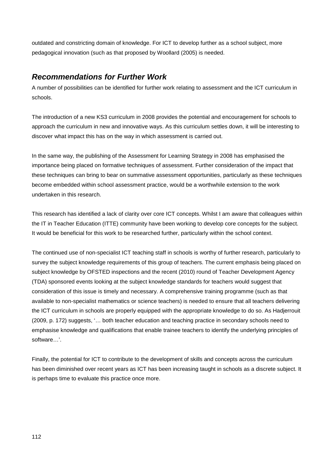outdated and constricting domain of knowledge. For ICT to develop further as a school subject, more pedagogical innovation (such as that proposed by Woollard (2005) is needed.

### *Recommendations for Further Work*

A number of possibilities can be identified for further work relating to assessment and the ICT curriculum in schools.

The introduction of a new KS3 curriculum in 2008 provides the potential and encouragement for schools to approach the curriculum in new and innovative ways. As this curriculum settles down, it will be interesting to discover what impact this has on the way in which assessment is carried out.

In the same way, the publishing of the Assessment for Learning Strategy in 2008 has emphasised the importance being placed on formative techniques of assessment. Further consideration of the impact that these techniques can bring to bear on summative assessment opportunities, particularly as these techniques become embedded within school assessment practice, would be a worthwhile extension to the work undertaken in this research.

This research has identified a lack of clarity over core ICT concepts. Whilst I am aware that colleagues within the IT in Teacher Education (ITTE) community have been working to develop core concepts for the subject. It would be beneficial for this work to be researched further, particularly within the school context.

The continued use of non-specialist ICT teaching staff in schools is worthy of further research, particularly to survey the subject knowledge requirements of this group of teachers. The current emphasis being placed on subject knowledge by OFSTED inspections and the recent (2010) round of Teacher Development Agency (TDA) sponsored events looking at the subject knowledge standards for teachers would suggest that consideration of this issue is timely and necessary. A comprehensive training programme (such as that available to non-specialist mathematics or science teachers) is needed to ensure that all teachers delivering the ICT curriculum in schools are properly equipped with the appropriate knowledge to do so. As Hadjerrouit (2009, p. 172) suggests, '… both teacher education and teaching practice in secondary schools need to emphasise knowledge and qualifications that enable trainee teachers to identify the underlying principles of software…'.

Finally, the potential for ICT to contribute to the development of skills and concepts across the curriculum has been diminished over recent years as ICT has been increasing taught in schools as a discrete subject. It is perhaps time to evaluate this practice once more.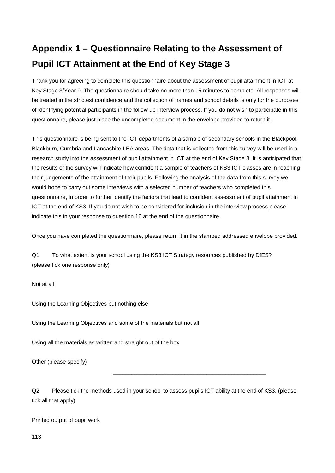# **Appendix 1 – Questionnaire Relating to the Assessment of Pupil ICT Attainment at the End of Key Stage 3**

Thank you for agreeing to complete this questionnaire about the assessment of pupil attainment in ICT at Key Stage 3/Year 9. The questionnaire should take no more than 15 minutes to complete. All responses will be treated in the strictest confidence and the collection of names and school details is only for the purposes of identifying potential participants in the follow up interview process. If you do not wish to participate in this questionnaire, please just place the uncompleted document in the envelope provided to return it.

This questionnaire is being sent to the ICT departments of a sample of secondary schools in the Blackpool, Blackburn, Cumbria and Lancashire LEA areas. The data that is collected from this survey will be used in a research study into the assessment of pupil attainment in ICT at the end of Key Stage 3. It is anticipated that the results of the survey will indicate how confident a sample of teachers of KS3 ICT classes are in reaching their judgements of the attainment of their pupils. Following the analysis of the data from this survey we would hope to carry out some interviews with a selected number of teachers who completed this questionnaire, in order to further identify the factors that lead to confident assessment of pupil attainment in ICT at the end of KS3. If you do not wish to be considered for inclusion in the interview process please indicate this in your response to question 16 at the end of the questionnaire.

Once you have completed the questionnaire, please return it in the stamped addressed envelope provided.

Q1. To what extent is your school using the KS3 ICT Strategy resources published by DfES? (please tick one response only)

Not at all

Using the Learning Objectives but nothing else

Using the Learning Objectives and some of the materials but not all

Using all the materials as written and straight out of the box

Other (please specify)

Q2. Please tick the methods used in your school to assess pupils ICT ability at the end of KS3. (please tick all that apply)

\_\_\_\_\_\_\_\_\_\_\_\_\_\_\_\_\_\_\_\_\_\_\_\_\_\_\_\_\_\_\_\_\_\_\_\_\_\_\_\_\_\_\_\_\_\_\_\_\_

Printed output of pupil work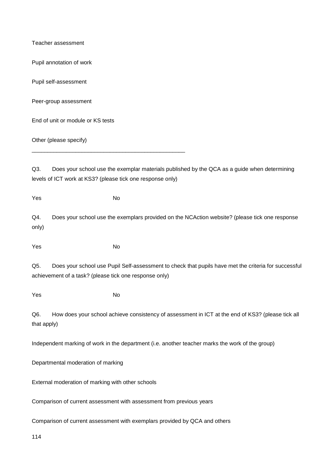Teacher assessment

Pupil annotation of work

Pupil self-assessment

Peer-group assessment

End of unit or module or KS tests

\_\_\_\_\_\_\_\_\_\_\_\_\_\_\_\_\_\_\_\_\_\_\_\_\_\_\_\_\_\_\_\_\_\_\_\_\_\_\_\_\_\_\_\_\_\_\_\_\_

Other (please specify)

Q3. Does your school use the exemplar materials published by the QCA as a guide when determining levels of ICT work at KS3? (please tick one response only)

114 Yes No Q4. Does your school use the exemplars provided on the NCAction website? (please tick one response only) Yes No Q5. Does your school use Pupil Self-assessment to check that pupils have met the criteria for successful achievement of a task? (please tick one response only) Yes No Q6. How does your school achieve consistency of assessment in ICT at the end of KS3? (please tick all that apply) Independent marking of work in the department (i.e. another teacher marks the work of the group) Departmental moderation of marking External moderation of marking with other schools Comparison of current assessment with assessment from previous years Comparison of current assessment with exemplars provided by QCA and others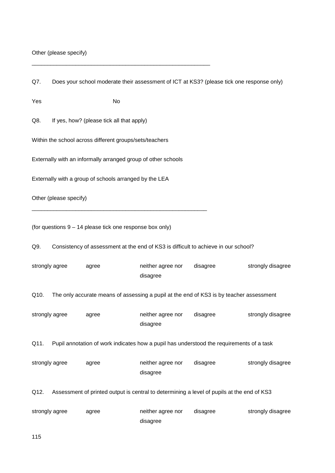Other (please specify)

\_\_\_\_\_\_\_\_\_\_\_\_\_\_\_\_\_\_\_\_\_\_\_\_\_\_\_\_\_\_\_\_\_\_\_\_\_\_\_\_\_\_\_\_\_\_\_\_\_\_\_\_\_\_\_\_\_

| Q7.            | Does your school moderate their assessment of ICT at KS3? (please tick one response only) |                                                               |                               |                                                                                            |                   |  |  |  |  |
|----------------|-------------------------------------------------------------------------------------------|---------------------------------------------------------------|-------------------------------|--------------------------------------------------------------------------------------------|-------------------|--|--|--|--|
| Yes            |                                                                                           | No                                                            |                               |                                                                                            |                   |  |  |  |  |
| Q8.            | If yes, how? (please tick all that apply)                                                 |                                                               |                               |                                                                                            |                   |  |  |  |  |
|                |                                                                                           | Within the school across different groups/sets/teachers       |                               |                                                                                            |                   |  |  |  |  |
|                |                                                                                           | Externally with an informally arranged group of other schools |                               |                                                                                            |                   |  |  |  |  |
|                |                                                                                           | Externally with a group of schools arranged by the LEA        |                               |                                                                                            |                   |  |  |  |  |
|                | Other (please specify)                                                                    |                                                               |                               |                                                                                            |                   |  |  |  |  |
|                |                                                                                           | (for questions 9 - 14 please tick one response box only)      |                               |                                                                                            |                   |  |  |  |  |
| Q9.            |                                                                                           |                                                               |                               | Consistency of assessment at the end of KS3 is difficult to achieve in our school?         |                   |  |  |  |  |
| strongly agree |                                                                                           | agree                                                         | neither agree nor<br>disagree | disagree                                                                                   | strongly disagree |  |  |  |  |
| Q10.           |                                                                                           |                                                               |                               | The only accurate means of assessing a pupil at the end of KS3 is by teacher assessment    |                   |  |  |  |  |
| strongly agree |                                                                                           | agree                                                         | neither agree nor<br>disagree | disagree                                                                                   | strongly disagree |  |  |  |  |
| Q11.           |                                                                                           |                                                               |                               | Pupil annotation of work indicates how a pupil has understood the requirements of a task   |                   |  |  |  |  |
| strongly agree |                                                                                           | agree                                                         | neither agree nor<br>disagree | disagree                                                                                   | strongly disagree |  |  |  |  |
| Q12.           |                                                                                           |                                                               |                               | Assessment of printed output is central to determining a level of pupils at the end of KS3 |                   |  |  |  |  |
| strongly agree |                                                                                           | agree                                                         | neither agree nor<br>disagree | disagree                                                                                   | strongly disagree |  |  |  |  |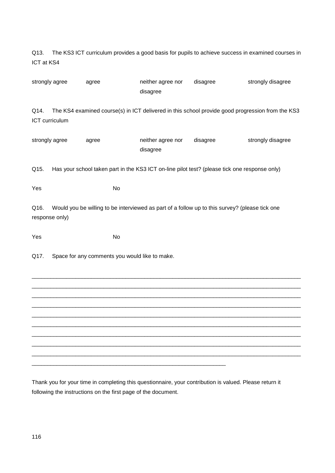Q13. The KS3 ICT curriculum provides a good basis for pupils to achieve success in examined courses in ICT at KS4

|      | strongly agree | agree | neither agree nor<br>disagree                                                                    | disagree | strongly disagree |
|------|----------------|-------|--------------------------------------------------------------------------------------------------|----------|-------------------|
| Q14. | ICT curriculum |       | The KS4 examined course(s) in ICT delivered in this school provide good progression from the KS3 |          |                   |
|      | strongly agree | agree | neither agree nor<br>disagree                                                                    | disagree | strongly disagree |
| Q15. |                |       | Has your school taken part in the KS3 ICT on-line pilot test? (please tick one response only)    |          |                   |
| Yes  |                | No    |                                                                                                  |          |                   |
| Q16. | response only) |       | Would you be willing to be interviewed as part of a follow up to this survey? (please tick one   |          |                   |
| Yes  |                | No    |                                                                                                  |          |                   |
| Q17. |                |       | Space for any comments you would like to make.                                                   |          |                   |
|      |                |       |                                                                                                  |          |                   |
|      |                |       |                                                                                                  |          |                   |
|      |                |       |                                                                                                  |          |                   |
|      |                |       |                                                                                                  |          |                   |
|      |                |       |                                                                                                  |          |                   |
|      |                |       |                                                                                                  |          |                   |
|      |                |       |                                                                                                  |          |                   |
|      |                |       |                                                                                                  |          |                   |

Thank you for your time in completing this questionnaire, your contribution is valued. Please return it following the instructions on the first page of the document.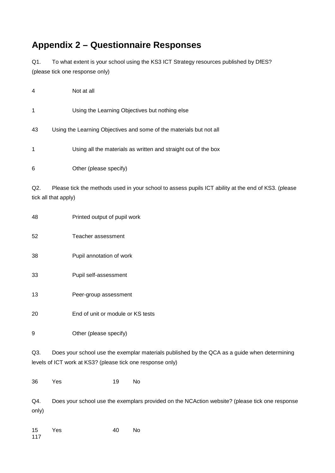## **Appendix 2 – Questionnaire Responses**

Q1. To what extent is your school using the KS3 ICT Strategy resources published by DfES? (please tick one response only)

| 4  | Not at all                                                          |
|----|---------------------------------------------------------------------|
| 1  | Using the Learning Objectives but nothing else                      |
| 43 | Using the Learning Objectives and some of the materials but not all |
| 1  | Using all the materials as written and straight out of the box      |
| 6  | Other (please specify)                                              |
|    |                                                                     |

Q2. Please tick the methods used in your school to assess pupils ICT ability at the end of KS3. (please tick all that apply)

 Printed output of pupil work Teacher assessment Pupil annotation of work Pupil self-assessment Peer-group assessment End of unit or module or KS tests Other (please specify) Q3. Does your school use the exemplar materials published by the QCA as a guide when determining levels of ICT work at KS3? (please tick one response only)

Yes 19 No

Q4. Does your school use the exemplars provided on the NCAction website? (please tick one response only)

| 15  | Yes | 40 | No. |
|-----|-----|----|-----|
| 117 |     |    |     |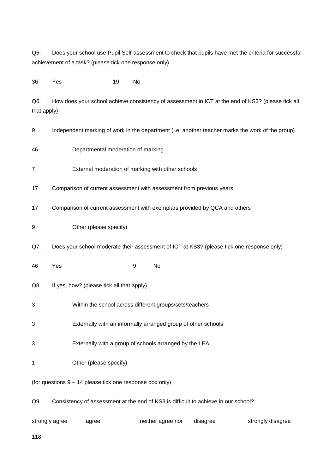Q5. Does your school use Pupil Self-assessment to check that pupils have met the criteria for successful achievement of a task? (please tick one response only)

36 Yes 19 No

Q6. How does your school achieve consistency of assessment in ICT at the end of KS3? (please tick all that apply)

- 9 Independent marking of work in the department (i.e. another teacher marks the work of the group)
- 46 Departmental moderation of marking
- 7 External moderation of marking with other schools
- 17 Comparison of current assessment with assessment from previous years
- 17 Comparison of current assessment with exemplars provided by QCA and others
- 9 Other (please specify)
- Q7. Does your school moderate their assessment of ICT at KS3? (please tick one response only)
- 46 Yes 9 No
- Q8. If yes, how? (please tick all that apply)
- 3 Within the school across different groups/sets/teachers
- 3 Externally with an informally arranged group of other schools
- 3 Externally with a group of schools arranged by the LEA
- 1 Other (please specify)
- (for questions 9 14 please tick one response box only)
- Q9. Consistency of assessment at the end of KS3 is difficult to achieve in our school?

| strongly agree | agree | neither agree nor | disagree | strongly disagree |
|----------------|-------|-------------------|----------|-------------------|
|----------------|-------|-------------------|----------|-------------------|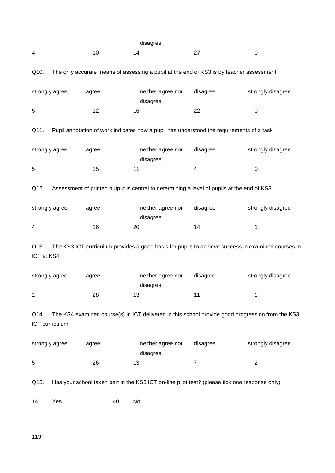|                    |                |       | disagree |                   |                |                                                                                                   |
|--------------------|----------------|-------|----------|-------------------|----------------|---------------------------------------------------------------------------------------------------|
| 4                  |                | 10    | 14       |                   | 27             | 0                                                                                                 |
| Q10.               |                |       |          |                   |                | The only accurate means of assessing a pupil at the end of KS3 is by teacher assessment           |
|                    | strongly agree | agree | disagree | neither agree nor | disagree       | strongly disagree                                                                                 |
| 5                  |                | 12    | 16       |                   | 22             | 0                                                                                                 |
| Q11.               |                |       |          |                   |                | Pupil annotation of work indicates how a pupil has understood the requirements of a task          |
|                    | strongly agree | agree | disagree | neither agree nor | disagree       | strongly disagree                                                                                 |
| 5                  |                | 35    | 11       |                   | 4              | 0                                                                                                 |
| Q12.               |                |       |          |                   |                | Assessment of printed output is central to determining a level of pupils at the end of KS3        |
|                    | strongly agree | agree | disagree | neither agree nor | disagree       | strongly disagree                                                                                 |
| 4                  |                | 16    | 20       |                   | 14             | 1                                                                                                 |
| Q13.<br>ICT at KS4 |                |       |          |                   |                | The KS3 ICT curriculum provides a good basis for pupils to achieve success in examined courses in |
|                    | strongly agree | agree | disagree | neither agree nor | disagree       | strongly disagree                                                                                 |
| 2                  |                | 28    | 13       |                   | 11             | 1                                                                                                 |
| Q14.               | ICT curriculum |       |          |                   |                | The KS4 examined course(s) in ICT delivered in this school provide good progression from the KS3  |
|                    | strongly agree | agree | disagree | neither agree nor | disagree       | strongly disagree                                                                                 |
| 5                  |                | 26    | 13       |                   | $\overline{7}$ | $\overline{\mathbf{c}}$                                                                           |
| Q15.               |                |       |          |                   |                | Has your school taken part in the KS3 ICT on-line pilot test? (please tick one response only)     |
| 14                 | Yes            |       | No<br>40 |                   |                |                                                                                                   |

119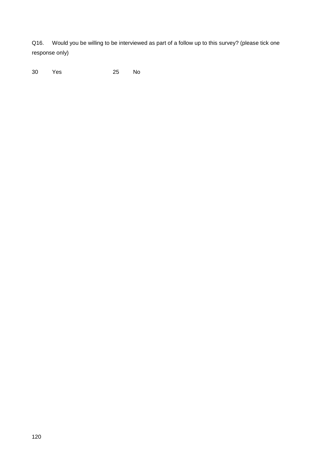Q16. Would you be willing to be interviewed as part of a follow up to this survey? (please tick one response only)

30 Yes 25 No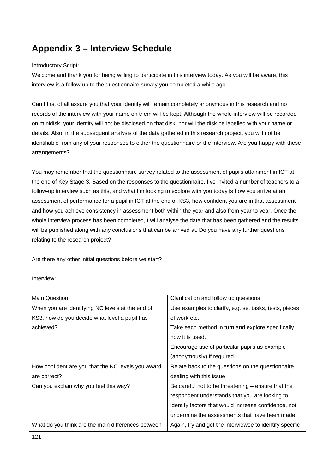# **Appendix 3 – Interview Schedule**

### Introductory Script:

Welcome and thank you for being willing to participate in this interview today. As you will be aware, this interview is a follow-up to the questionnaire survey you completed a while ago.

Can I first of all assure you that your identity will remain completely anonymous in this research and no records of the interview with your name on them will be kept. Although the whole interview will be recorded on minidisk, your identity will not be disclosed on that disk, nor will the disk be labelled with your name or details. Also, in the subsequent analysis of the data gathered in this research project, you will not be identifiable from any of your responses to either the questionnaire or the interview. Are you happy with these arrangements?

You may remember that the questionnaire survey related to the assessment of pupils attainment in ICT at the end of Key Stage 3. Based on the responses to the questionnaire, I've invited a number of teachers to a follow-up interview such as this, and what I'm looking to explore with you today is how you arrive at an assessment of performance for a pupil in ICT at the end of KS3, how confident you are in that assessment and how you achieve consistency in assessment both within the year and also from year to year. Once the whole interview process has been completed, I will analyse the data that has been gathered and the results will be published along with any conclusions that can be arrived at. Do you have any further questions relating to the research project?

Are there any other initial questions before we start?

### Interview:

| <b>Main Question</b>                               | Clarification and follow up questions                   |
|----------------------------------------------------|---------------------------------------------------------|
| When you are identifying NC levels at the end of   | Use examples to clarify, e.g. set tasks, tests, pieces  |
| KS3, how do you decide what level a pupil has      | of work etc.                                            |
| achieved?                                          | Take each method in turn and explore specifically       |
|                                                    | how it is used.                                         |
|                                                    | Encourage use of particular pupils as example           |
|                                                    | (anonymously) if required.                              |
| How confident are you that the NC levels you award | Relate back to the questions on the questionnaire       |
| are correct?                                       | dealing with this issue                                 |
| Can you explain why you feel this way?             | Be careful not to be threatening $-$ ensure that the    |
|                                                    | respondent understands that you are looking to          |
|                                                    | identify factors that would increase confidence, not    |
|                                                    | undermine the assessments that have been made.          |
| What do you think are the main differences between | Again, try and get the interviewee to identify specific |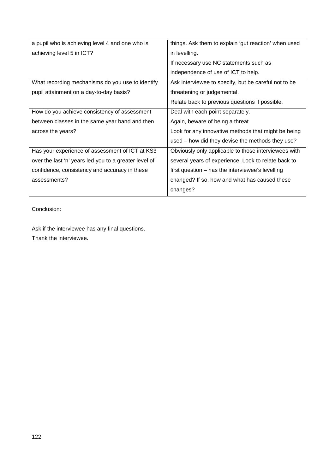| a pupil who is achieving level 4 and one who is       | things. Ask them to explain 'gut reaction' when used |
|-------------------------------------------------------|------------------------------------------------------|
| achieving level 5 in ICT?                             | in levelling.                                        |
|                                                       | If necessary use NC statements such as               |
|                                                       | independence of use of ICT to help.                  |
| What recording mechanisms do you use to identify      | Ask interviewee to specify, but be careful not to be |
| pupil attainment on a day-to-day basis?               | threatening or judgemental.                          |
|                                                       | Relate back to previous questions if possible.       |
| How do you achieve consistency of assessment          | Deal with each point separately.                     |
| between classes in the same year band and then        | Again, beware of being a threat.                     |
| across the years?                                     | Look for any innovative methods that might be being  |
|                                                       | used - how did they devise the methods they use?     |
| Has your experience of assessment of ICT at KS3       | Obviously only applicable to those interviewees with |
| over the last 'n' years led you to a greater level of | several years of experience. Look to relate back to  |
| confidence, consistency and accuracy in these         | first question – has the interviewee's levelling     |
| assessments?                                          | changed? If so, how and what has caused these        |
|                                                       | changes?                                             |

Conclusion:

Ask if the interviewee has any final questions. Thank the interviewee.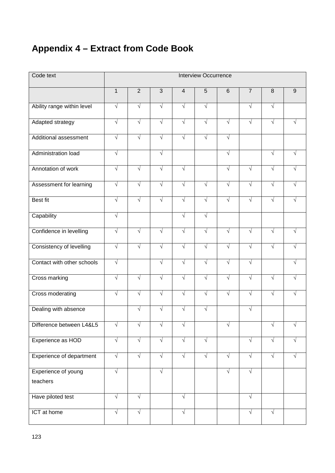# **Appendix 4 – Extract from Code Book**

| Code text                       | <b>Interview Occurrence</b> |                |            |                |            |            |                |            |                  |
|---------------------------------|-----------------------------|----------------|------------|----------------|------------|------------|----------------|------------|------------------|
|                                 | $\mathbf{1}$                | $\overline{2}$ | 3          | $\overline{4}$ | 5          | $6\,$      | $\overline{7}$ | 8          | $\boldsymbol{9}$ |
| Ability range within level      | $\sqrt{ }$                  | $\sqrt{ }$     | $\sqrt{ }$ | $\sqrt{ }$     | $\sqrt{ }$ |            | $\sqrt{ }$     | $\sqrt{ }$ |                  |
| Adapted strategy                | $\sqrt{ }$                  | $\sqrt{ }$     | $\sqrt{ }$ | $\sqrt{ }$     | $\sqrt{ }$ | $\sqrt{ }$ | $\sqrt{ }$     | $\sqrt{ }$ |                  |
| Additional assessment           | $\sqrt{ }$                  | $\sqrt{}$      | $\sqrt{}$  | $\sqrt{}$      | $\sqrt{}$  | $\sqrt{ }$ |                |            |                  |
| Administration load             | $\sqrt{ }$                  |                | $\sqrt{ }$ |                |            | $\sqrt{ }$ |                | $\sqrt{ }$ |                  |
| Annotation of work              | $\sqrt{ }$                  | $\sqrt{}$      | $\sqrt{ }$ | $\sqrt{}$      |            | $\sqrt{ }$ | $\sqrt{ }$     | $\sqrt{ }$ |                  |
| Assessment for learning         | $\sqrt{ }$                  | $\sqrt{}$      | $\sqrt{}$  | $\sqrt{}$      | $\sqrt{}$  | $\sqrt{}$  | $\sqrt{ }$     | $\sqrt{ }$ |                  |
| <b>Best fit</b>                 | $\sqrt{ }$                  | $\sqrt{ }$     | $\sqrt{ }$ | $\sqrt{ }$     | $\sqrt{ }$ | $\sqrt{ }$ | $\sqrt{ }$     | $\sqrt{ }$ | $\sqrt{ }$       |
| Capability                      | $\sqrt{ }$                  |                |            | $\sqrt{ }$     | $\sqrt{ }$ |            |                |            |                  |
| Confidence in levelling         | $\sqrt{}$                   | $\sqrt{ }$     | $\sqrt{ }$ | $\sqrt{}$      | $\sqrt{ }$ | $\sqrt{ }$ | $\sqrt{ }$     | $\sqrt{ }$ |                  |
| Consistency of levelling        | $\sqrt{ }$                  | $\sqrt{}$      | $\sqrt{ }$ | $\sqrt{ }$     | $\sqrt{ }$ | $\sqrt{ }$ | $\sqrt{ }$     | $\sqrt{ }$ |                  |
| Contact with other schools      | $\sqrt{ }$                  |                | $\sqrt{ }$ | $\sqrt{ }$     | $\sqrt{ }$ | $\sqrt{ }$ | $\sqrt{ }$     |            |                  |
| <b>Cross marking</b>            | $\sqrt{ }$                  | $\sqrt{ }$     | $\sqrt{ }$ | $\sqrt{ }$     | $\sqrt{ }$ | $\sqrt{ }$ | $\sqrt{ }$     | $\sqrt{ }$ |                  |
| <b>Cross moderating</b>         | $\sqrt{ }$                  | $\sqrt{ }$     | $\sqrt{ }$ | $\sqrt{}$      | $\sqrt{ }$ | $\sqrt{}$  | $\sqrt{ }$     | $\sqrt{ }$ |                  |
| Dealing with absence            |                             | $\sqrt{}$      | $\sqrt{ }$ | $\sqrt{ }$     | $\sqrt{}$  |            | $\sqrt{}$      |            |                  |
| Difference between L4&L5        | $\sqrt{}$                   | $\sqrt{}$      | $\sqrt{}$  | $\sqrt{}$      |            | V          |                |            |                  |
| Experience as HOD               | $\sqrt{ }$                  | $\sqrt{ }$     | $\sqrt{ }$ | $\sqrt{ }$     | $\sqrt{}$  |            | $\sqrt{}$      | $\sqrt{ }$ |                  |
| Experience of department        | $\sqrt{}$                   | $\sqrt{ }$     | $\sqrt{}$  | $\sqrt{}$      | $\sqrt{}$  | $\sqrt{}$  | $\sqrt{}$      | $\sqrt{ }$ |                  |
| Experience of young<br>teachers | $\sqrt{}$                   |                | $\sqrt{ }$ |                |            | $\sqrt{ }$ | $\sqrt{}$      |            |                  |
| Have piloted test               | $\sqrt{ }$                  | $\sqrt{ }$     |            | $\sqrt{ }$     |            |            | $\sqrt{ }$     |            |                  |
| ICT at home                     | $\sqrt{}$                   | $\sqrt{}$      |            | $\sqrt{}$      |            |            | $\sqrt{ }$     | $\sqrt{}$  |                  |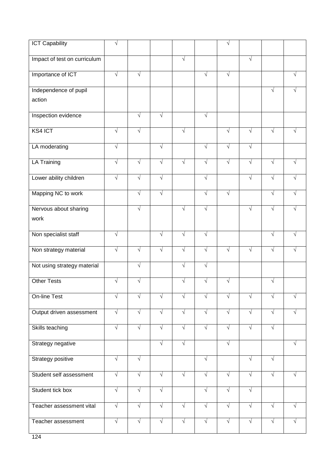| <b>ICT Capability</b>        | V          |            |            |            |            | V          |            |            |            |
|------------------------------|------------|------------|------------|------------|------------|------------|------------|------------|------------|
| Impact of test on curriculum |            |            |            | $\sqrt{}$  |            |            | $\sqrt{}$  |            |            |
| Importance of ICT            | $\sqrt{ }$ | $\sqrt{}$  |            |            | $\sqrt{}$  | $\sqrt{ }$ |            |            | $\sqrt{ }$ |
| Independence of pupil        |            |            |            |            |            |            |            | $\sqrt{}$  |            |
| action                       |            |            |            |            |            |            |            |            |            |
| Inspection evidence          |            | $\sqrt{ }$ | $\sqrt{ }$ |            | $\sqrt{}$  |            |            |            |            |
| KS4 ICT                      | $\sqrt{ }$ | $\sqrt{ }$ |            | $\sqrt{}$  |            | $\sqrt{}$  | $\sqrt{ }$ | $\sqrt{ }$ |            |
| LA moderating                | $\sqrt{ }$ |            | $\sqrt{}$  |            | $\sqrt{}$  | $\sqrt{}$  | $\sqrt{}$  |            |            |
| <b>LA Training</b>           | $\sqrt{ }$ | $\sqrt{ }$ | $\sqrt{ }$ | $\sqrt{}$  | $\sqrt{ }$ | $\sqrt{}$  | $\sqrt{ }$ | $\sqrt{ }$ | $\sqrt{ }$ |
| Lower ability children       | $\sqrt{ }$ | $\sqrt{}$  | $\sqrt{}$  |            | $\sqrt{}$  |            | $\sqrt{ }$ | $\sqrt{ }$ |            |
| Mapping NC to work           |            | $\sqrt{ }$ | $\sqrt{ }$ |            | $\sqrt{ }$ | $\sqrt{ }$ |            | $\sqrt{ }$ |            |
| Nervous about sharing        |            | $\sqrt{ }$ |            | √          | $\sqrt{ }$ |            | $\sqrt{ }$ | $\sqrt{ }$ |            |
| work                         |            |            |            |            |            |            |            |            |            |
| Non specialist staff         | $\sqrt{}$  |            | $\sqrt{ }$ | $\sqrt{}$  | $\sqrt{ }$ |            |            | $\sqrt{ }$ |            |
| Non strategy material        | $\sqrt{ }$ | $\sqrt{}$  | $\sqrt{}$  | $\sqrt{}$  | $\sqrt{ }$ | $\sqrt{ }$ | $\sqrt{ }$ | $\sqrt{ }$ |            |
| Not using strategy material  |            | $\sqrt{}$  |            | $\sqrt{}$  | $\sqrt{}$  |            |            |            |            |
| <b>Other Tests</b>           | $\sqrt{}$  | $\sqrt{}$  |            | $\sqrt{}$  | $\sqrt{ }$ | $\sqrt{ }$ |            | $\sqrt{ }$ |            |
| On-line Test                 | $\sqrt{}$  | V          | $\sqrt{}$  | V          | $\sqrt{}$  | V          | V          | $\sqrt{}$  | V          |
| Output driven assessment     | $\sqrt{2}$ | $\sqrt{ }$ | $\sqrt{}$  | $\sqrt{ }$ | $\sqrt{ }$ | $\sqrt{ }$ | $\sqrt{ }$ | $\sqrt{ }$ | √          |
| Skills teaching              | $\sqrt{ }$ | $\sqrt{}$  | $\sqrt{}$  | $\sqrt{}$  | $\sqrt{ }$ | $\sqrt{}$  | $\sqrt{ }$ | $\sqrt{ }$ |            |
| Strategy negative            |            |            | $\sqrt{ }$ | $\sqrt{ }$ |            | $\sqrt{ }$ |            |            | $\sqrt{ }$ |
| <b>Strategy positive</b>     | $\sqrt{}$  | $\sqrt{}$  |            |            | $\sqrt{2}$ |            | $\sqrt{ }$ | $\sqrt{}$  |            |
| Student self assessment      | $\sqrt{2}$ | $\sqrt{ }$ | $\sqrt{ }$ | $\sqrt{ }$ | $\sqrt{ }$ | $\sqrt{ }$ | $\sqrt{}$  | $\sqrt{ }$ | $\sqrt{ }$ |
| Student tick box             | $\sqrt{}$  | $\sqrt{}$  | $\sqrt{}$  |            | $\sqrt{}$  | $\sqrt{ }$ | $\sqrt{}$  |            |            |
| Teacher assessment vital     | $\sqrt{}$  | $\sqrt{ }$ | $\sqrt{ }$ | $\sqrt{ }$ | $\sqrt{ }$ | $\sqrt{ }$ | $\sqrt{}$  | $\sqrt{ }$ | $\sqrt{ }$ |
| Teacher assessment           | $\sqrt{ }$ | $\sqrt{ }$ | $\sqrt{ }$ | $\sqrt{ }$ | $\sqrt{ }$ | $\sqrt{ }$ | $\sqrt{}$  | $\sqrt{ }$ | $\sqrt{ }$ |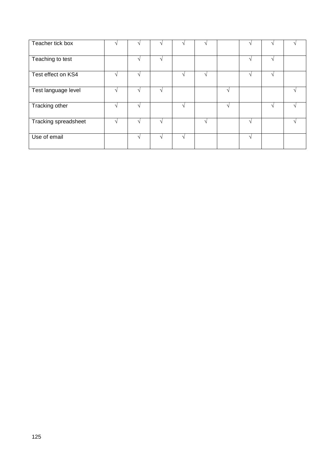| Teacher tick box     |        |          |               |        |        |               |        |  |
|----------------------|--------|----------|---------------|--------|--------|---------------|--------|--|
| Teaching to test     |        | $\Delta$ |               |        |        | $\sim$        | $\sim$ |  |
| Test effect on KS4   |        |          | N             | $\sim$ |        | N             | N      |  |
| Test language level  |        | $\Delta$ |               |        | $\sim$ |               |        |  |
| Tracking other       | $\sim$ |          | $\sim$        |        | اد     |               | $\sim$ |  |
| Tracking spreadsheet |        |          |               | $\sim$ |        | $\mathcal{N}$ |        |  |
| Use of email         | اد     | $\sim$   | $\mathcal{N}$ |        |        | N             |        |  |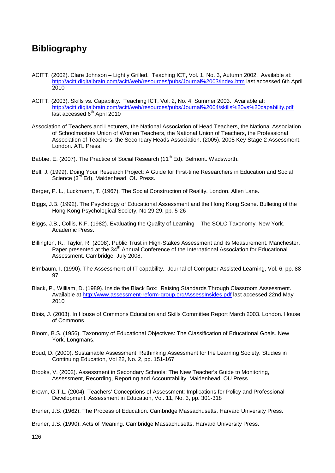## **Bibliography**

- ACITT. (2002). Clare Johnson Lightly Grilled. Teaching ICT, Vol. 1, No. 3, Autumn 2002. Available at: <http://acitt.digitalbrain.com/acitt/web/resources/pubs/Journal%2003/index.htm> last accessed 6th April 2010
- ACITT. (2003). Skills vs. Capability. Teaching ICT, Vol. 2, No. 4, Summer 2003. Available at: http://acitt.digitalbrain.com/acitt/web/resources/pubs/Journal%2004/skills%20vs%20capability.pdf last accessed 6<sup>th</sup> April 2010
- Association of Teachers and Lecturers, the National Association of Head Teachers, the National Association of Schoolmasters Union of Women Teachers, the National Union of Teachers, the Professional Association of Teachers, the Secondary Heads Association. (2005). 2005 Key Stage 2 Assessment. London. ATL Press.
- Babbie, E. (2007). The Practice of Social Research (11<sup>th</sup> Ed). Belmont. Wadsworth.
- Bell, J. (1999). Doing Your Research Project: A Guide for First-time Researchers in Education and Social Science (3<sup>rd</sup> Ed). Maidenhead. OU Press.
- Berger, P. L., Luckmann, T. (1967). The Social Construction of Reality. London. Allen Lane.
- Biggs, J.B. (1992). The Psychology of Educational Assessment and the Hong Kong Scene. Bulleting of the Hong Kong Psychological Society, No 29.29, pp. 5-26
- Biggs, J.B., Collis, K.F. (1982). Evaluating the Quality of Learning The SOLO Taxonomy. New York. Academic Press.
- Billington, R., Taylor, R. (2008). Public Trust in High-Stakes Assessment and its Measurement. Manchester. Paper presented at the 34<sup>th</sup> Annual Conference of the International Association for Educational Assessment. Cambridge, July 2008.
- Birnbaum, I. (1990). The Assessment of IT capability. Journal of Computer Assisted Learning, Vol. 6, pp. 88- **97**
- Black, P., William, D. (1989). Inside the Black Box: Raising Standards Through Classroom Assessment. Available at <u><http://www.assessment-reform-group.org/AssessInsides.pdf></u> last accessed 22nd May 2010
- Blois, J. (2003). In House of Commons Education and Skills Committee Report March 2003. London. House of Commons.
- Bloom, B.S. (1956). Taxonomy of Educational Objectives: The Classification of Educational Goals. New York. Longmans.
- Boud, D. (2000). Sustainable Assessment: Rethinking Assessment for the Learning Society. Studies in Continuing Education, Vol 22, No. 2, pp. 151-167
- Brooks, V. (2002). Assessment in Secondary Schools: The New Teacher's Guide to Monitoring, Assessment, Recording, Reporting and Accountability. Maidenhead. OU Press.
- Brown, G.T.L. (2004). Teachers' Conceptions of Assessment: Implications for Policy and Professional Development. Assessment in Education, Vol. 11, No. 3, pp. 301-318
- Bruner, J.S. (1962). The Process of Education. Cambridge Massachusetts. Harvard University Press.
- Bruner, J.S. (1990). Acts of Meaning. Cambridge Massachusetts. Harvard University Press.

126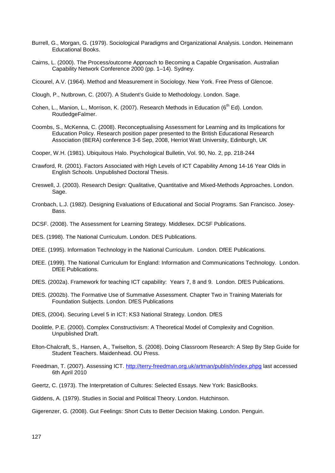- Burrell, G., Morgan, G. (1979). Sociological Paradigms and Organizational Analysis. London. Heinemann Educational Books.
- Cairns, L. (2000). The Process/outcome Approach to Becoming a Capable Organisation. Australian Capability Network Conference 2000 (pp. 1–14). Sydney.

Cicourel, A.V. (1964). Method and Measurement in Sociology. New York. Free Press of Glencoe.

- Clough, P., Nutbrown, C. (2007). A Student's Guide to Methodology. London. Sage.
- Cohen, L., Manion, L., Morrison, K. (2007). Research Methods in Education ( $6<sup>th</sup> Ed$ ). London. RoutledgeFalmer.
- Coombs, S., McKenna, C. (2008). Reconceptualising Assessment for Learning and its Implications for Education Policy. Research position paper presented to the British Educational Research Association (BERA) conference 3-6 Sep, 2008, Herriot Watt University, Edinburgh, UK

Cooper, W.H. (1981). Ubiquitous Halo. Psychological Bulletin, Vol. 90, No. 2, pp. 218-244

- Crawford, R. (2001). Factors Associated with High Levels of ICT Capability Among 14-16 Year Olds in English Schools. Unpublished Doctoral Thesis.
- Creswell, J. (2003). Research Design: Qualitative, Quantitative and Mixed-Methods Approaches. London. Sage.
- Cronbach, L.J. (1982). Designing Evaluations of Educational and Social Programs. San Francisco. Josey-Bass.
- DCSF. (2008). The Assessment for Learning Strategy. Middlesex. DCSF Publications.
- DES. (1998). The National Curriculum. London. DES Publications.
- DfEE. (1995). Information Technology in the National Curriculum. London. DfEE Publications.
- DfEE. (1999). The National Curriculum for England: Information and Communications Technology. London. DfEE Publications.
- DfES. (2002a). Framework for teaching ICT capability: Years 7, 8 and 9. London. DfES Publications.
- DfES. (2002b). The Formative Use of Summative Assessment. Chapter Two in Training Materials for Foundation Subjects. London. DfES Publications
- DfES, (2004). Securing Level 5 in ICT: KS3 National Strategy. London. DfES
- Doolittle, P.E. (2000). Complex Constructivism: A Theoretical Model of Complexity and Cognition. Unpublished Draft.
- Elton-Chalcraft, S., Hansen, A., Twiselton, S. (2008). Doing Classroom Research: A Step By Step Guide for Student Teachers. Maidenhead. OU Press.
- Freedman, T. (2007). Assessing ICT.<http://terry-freedman.org.uk/artman/publish/index.phpg> last accessed 6th April 2010
- Geertz, C. (1973). The Interpretation of Cultures: Selected Essays. New York: BasicBooks.
- Giddens, A. (1979). Studies in Social and Political Theory. London. Hutchinson.

Gigerenzer, G. (2008). Gut Feelings: Short Cuts to Better Decision Making. London. Penguin.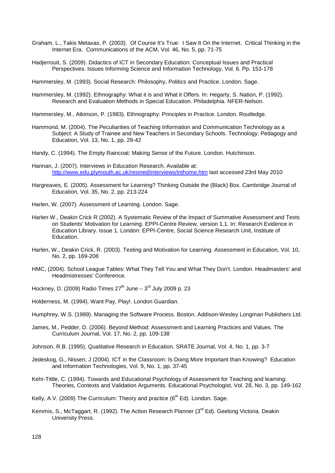- Graham, L., Takis Metaxas, P. (2003). Of Course It's True: I Saw It On the Internet. Critical Thinking in the Internet Era. Communications of the ACM, Vol. 46, No. 5, pp. 71-75
- Hadjerrouit, S. (2009). Didactics of ICT in Secondary Education: Conceptual Issues and Practical Perspectives. Issues Informing Science and Information Technology, Vol. 6. Pp. 153-178

Hammersley, M. (1993). Social Research: Philosophy, Politics and Practice. London. Sage.

- Hammersley, M. (1992). Ethnography: What it is and What it Offers. In: Hegarty, S. Nation, P. (1992). Research and Evaluation Methods in Special Education. Philadelphia. NFER-Nelson.
- Hammersley, M., Atkinson, P. (1983). Ethnography: Principles in Practice. London. Routledge.
- Hammond, M. (2004). The Peculiarities of Teaching Information and Communication Technology as a Subject: A Study of Trainee and New Teachers in Secondary Schools. Technology, Pedagogy and Education, Vol. 13, No. 1, pp. 29-42

Handy, C. (1994). The Empty Raincoat: Making Sense of the Future. London. Hutchinson.

Hannan, J. (2007). Interviews in Education Research. Available at: <http://www.edu.plymouth.ac.uk/resined/interviews/inthome.htm> last accessed 23rd May 2010

- Hargreaves, E. (2005). Assessment for Learning? Thinking Outside the (Black) Box. Cambridge Journal of Education, Vol, 35, No. 2, pp. 213-224
- Harlen, W. (2007). Assessment of Learning. London. Sage.
- Harlen W., Deakin Crick R (2002). A Systematic Review of the Impact of Summative Assessment and Tests on Students' Motivation for Learning. EPPI-Centre Review, version 1.1. In: Research Evidence in Education Library. Issue 1. London: EPPI-Centre, Social Science Research Unit, Institute of Education.
- Harlen, W., Deakin Crick, R. (2003). Testing and Motivation for Learning. Assessment in Education, Vol. 10, No. 2, pp. 169-208
- HMC, (2004). School League Tables: What They Tell You and What They Don't. London. Headmasters' and Headmistresses' Conference.
- Hockney, D. (2009) Radio Times  $27^{th}$  June  $3^{rd}$  July 2009 p. 23

Holderness, M. (1994). Want Pay, Play!. London Guardian.

Humphrey, W.S. (1989). Managing the Software Process. Boston. Addison-Wesley Longman Publishers Ltd.

James, M., Pedder, D. (2006). Beyond Method: Assessment and Learning Practices and Values. The Curriculum Journal, Vol. 17, No. 2, pp. 109-138

Johnson. R.B. (1995). Qualitative Research in Education. SRATE Journal, Vol. 4, No. 1, pp. 3-7

- Jedeskog, G., Nissen, J (2004). ICT in the Classroom: Is Doing More Important than Knowing? Education and Information Technologies, Vol. 9, No. 1, pp. 37-45
- Kehr-Tittle, C. (1994). Towards and Educational Psychology of Assessment for Teaching and learning: Theories, Contexts and Validation Arguments. Educational Psychologist, Vol. 28, No. 3, pp. 149-162
- Kelly, A.V. (2009) The Curriculum: Theory and practice  $(6<sup>th</sup> Ed)$ . London. Sage.
- Kemmis, S., McTaggart, R. (1992). The Action Research Planner (3<sup>rd</sup> Ed). Geelong Victoria. Deakin University Press.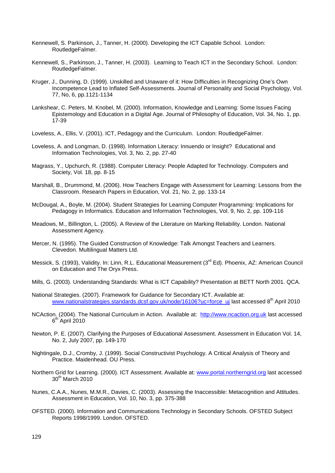- Kennewell, S. Parkinson, J., Tanner, H. (2000). Developing the ICT Capable School. London: RoutledgeFalmer.
- Kennewell, S., Parkinson, J., Tanner, H. (2003). Learning to Teach ICT in the Secondary School. London: RoutledgeFalmer.
- Kruger, J., Dunning, D. (1999). Unskilled and Unaware of it: How Difficulties in Recognizing One's Own Incompetence Lead to Inflated Self-Assessments. Journal of Personality and Social Psychology, Vol. 77, No, 6, pp.1121-1134
- Lankshear, C. Peters, M. Knobel, M. (2000). Information, Knowledge and Learning: Some Issues Facing Epistemology and Education in a Digital Age. Journal of Philosophy of Education, Vol. 34, No. 1, pp. 17-39
- Loveless, A., Ellis, V. (2001). ICT, Pedagogy and the Curriculum. London: RoutledgeFalmer.
- Loveless, A. and Longman, D. (1998). Information Literacy: Innuendo or Insight? Educational and Information Technologies, Vol. 3, No. 2, pp. 27-40
- Magrass, Y., Upchurch, R. (1988). Computer Literacy: People Adapted for Technology. Computers and Society, Vol. 18, pp. 8-15
- Marshall, B., Drummond, M. (2006). How Teachers Engage with Assessment for Learning: Lessons from the Classroom. Research Papers in Education, Vol. 21, No. 2, pp. 133-14
- McDougal, A., Boyle, M. (2004). Student Strategies for Learning Computer Programming: Implications for Pedagogy in Informatics. Education and Information Technologies, Vol. 9, No. 2, pp. 109-116
- Meadows, M., Billington, L. (2005). A Review of the Literature on Marking Reliability. London. National Assessment Agency.
- Mercer, N. (1995). The Guided Construction of Knowledge: Talk Amongst Teachers and Learners. Clevedon. Multilingual Matters Ltd.
- Messick, S. (1993), Validity. In: Linn, R.L. Educational Measurement (3<sup>rd</sup> Ed). Phoenix, AZ: American Council on Education and The Oryx Press.
- Mills, G. (2003). Understanding Standards: What is ICT Capability? Presentation at BETT North 2001. QCA.
- National Strategies. (2007). Framework for Guidance for Secondary ICT. Available at: [www.nationalstrategies.standards.dcsf.gov.uk/node/16106?uc=force\\_uj](http://www.nationalstrategies.standards.dcsf.gov.uk/node/16106?uc=force_uj) last accessed 8<sup>th</sup> April 2010
- NCAction. (2004). The National Curriculum in Action. Available at: [http://www.ncaction.org.uk](http://www.ncaction.org.uk/) last accessed  $6<sup>th</sup>$  April 2010
- Newton, P. E. (2007). Clarifying the Purposes of Educational Assessment. Assessment in Education Vol. 14, No. 2, July 2007, pp. 149-170
- Nightingale, D.J., Cromby, J. (1999). Social Constructivist Psychology. A Critical Analysis of Theory and Practice. Maidenhead. OU Press.
- Northern Grid for Learning. (2000). ICT Assessment. Available at: [www.portal.northerngrid.org](http://www.portal.northerngrid.org/) last accessed 30<sup>th</sup> March 2010
- Nunes, C.A.A., Nunes, M.M.R., Davies, C. (2003). Assessing the Inaccessible: Metacognition and Attitudes. Assessment in Education, Vol. 10, No. 3, pp. 375-388
- OFSTED. (2000). Information and Communications Technology in Secondary Schools. OFSTED Subject Reports 1998/1999. London. OFSTED.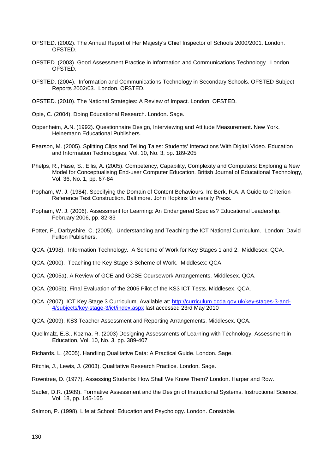- OFSTED. (2002). The Annual Report of Her Majesty's Chief Inspector of Schools 2000/2001. London. OFSTED.
- OFSTED. (2003). Good Assessment Practice in Information and Communications Technology. London. OFSTED.
- OFSTED. (2004). Information and Communications Technology in Secondary Schools. OFSTED Subject Reports 2002/03. London. OFSTED.
- OFSTED. (2010). The National Strategies: A Review of Impact. London. OFSTED.
- Opie, C. (2004). Doing Educational Research. London. Sage.
- Oppenheim, A.N. (1992). Questionnaire Design, Interviewing and Attitude Measurement. New York. Heinemann Educational Publishers.
- Pearson, M. (2005). Splitting Clips and Telling Tales: Students' Interactions With Digital Video. Education and Information Technologies, Vol. 10, No. 3, pp. 189-205
- Phelps, R., Hase, S., Ellis, A. (2005). Competency, Capability, Complexity and Computers: Exploring a New Model for Conceptualising End-user Computer Education. British Journal of Educational Technology, Vol. 36, No. 1, pp. 67-84
- Popham, W. J. (1984). Specifying the Domain of Content Behaviours. In: Berk, R.A. A Guide to Criterion-Reference Test Construction. Baltimore. John Hopkins University Press.
- Popham, W. J. (2006). Assessment for Learning: An Endangered Species? Educational Leadership. February 2006, pp. 82-83
- Potter, F., Darbyshire, C. (2005). Understanding and Teaching the ICT National Curriculum. London: David Fulton Publishers.
- QCA. (1998). Information Technology. A Scheme of Work for Key Stages 1 and 2. Middlesex: QCA.
- QCA. (2000). Teaching the Key Stage 3 Scheme of Work. Middlesex: QCA.
- QCA. (2005a). A Review of GCE and GCSE Coursework Arrangements. Middlesex. QCA.
- QCA. (2005b). Final Evaluation of the 2005 Pilot of the KS3 ICT Tests. Middlesex. QCA.
- QCA. (2007). ICT Key Stage 3 Curriculum. Available at: [http://curriculum.qcda.gov.uk/key-stages-3-and-](http://curriculum.qcda.gov.uk/key-stages-3-and-4/subjects/key-stage-3/ict/index.aspx)[4/subjects/key-stage-3/ict/index.aspx](http://curriculum.qcda.gov.uk/key-stages-3-and-4/subjects/key-stage-3/ict/index.aspx) last accessed 23rd May 2010
- QCA. (2009). KS3 Teacher Assessment and Reporting Arrangements. Middlesex. QCA.
- Quellmalz, E.S., Kozma, R. (2003) Designing Assessments of Learning with Technology. Assessment in Education, Vol. 10, No. 3, pp. 389-407
- Richards. L. (2005). Handling Qualitative Data: A Practical Guide. London. Sage.
- Ritchie, J., Lewis, J. (2003). Qualitative Research Practice. London. Sage.
- Rowntree, D. (1977). Assessing Students: How Shall We Know Them? London. Harper and Row.
- Sadler, D.R. (1989). Formative Assessment and the Design of Instructional Systems. Instructional Science, Vol. 18, pp. 145-165
- Salmon, P. (1998). Life at School: Education and Psychology. London. Constable.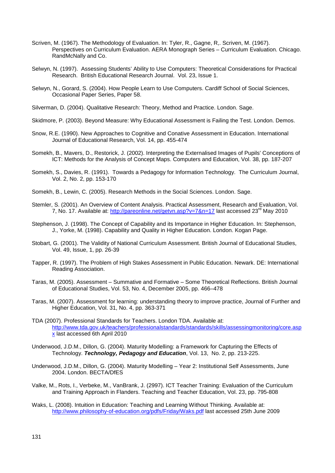- Scriven, M. (1967). The Methodology of Evaluation. In: Tyler, R., Gagne, R,. Scriven, M. (1967). Perspectives on Curriculum Evaluation. AERA Monograph Series – Curriculum Evaluation. Chicago. RandMcNally and Co.
- Selwyn, N. (1997). Assessing Students' Ability to Use Computers: Theoretical Considerations for Practical Research. British Educational Research Journal. Vol. 23, Issue 1.
- Selwyn, N., Gorard, S. (2004). How People Learn to Use Computers. Cardiff School of Social Sciences, Occasional Paper Series, Paper 58.
- Silverman, D. (2004). Qualitative Research: Theory, Method and Practice. London. Sage.
- Skidmore, P. (2003). Beyond Measure: Why Educational Assessment is Failing the Test. London. Demos.
- Snow, R.E. (1990). New Approaches to Cognitive and Conative Assessment in Education. International Journal of Educational Research, Vol. 14, pp. 455-474
- Somekh, B., Mavers, D., Restorick, J. (2002). Interpreting the Externalised Images of Pupils' Conceptions of ICT: Methods for the Analysis of Concept Maps. Computers and Education, Vol. 38, pp. 187-207
- Somekh, S., Davies, R. (1991). Towards a Pedagogy for Information Technology. The Curriculum Journal, Vol. 2, No. 2, pp. 153-170
- Somekh, B., Lewin, C. (2005). Research Methods in the Social Sciences. London. Sage.
- Stemler, S. (2001). An Overview of Content Analysis. Practical Assessment, Research and Evaluation, Vol. 7, No. 17. Available at:<http://pareonline.net/getvn.asp?v=7&n=17> last accessed 23<sup>rd</sup> May 2010
- Stephenson, J. (1998). The Concept of Capability and its Importance in Higher Education. In: Stephenson, J., Yorke, M. (1998). Capability and Quality in Higher Education. London. Kogan Page.
- Stobart, G. (2001). The Validity of National Curriculum Assessment. British Journal of Educational Studies, Vol. 49, Issue, 1, pp. 26-39
- Tapper, R. (1997). The Problem of High Stakes Assessment in Public Education. Newark. DE: International Reading Association.
- Taras, M. (2005). Assessment Summative and Formative Some Theoretical Reflections. British Journal of Educational Studies, Vol. 53, No. 4, December 2005, pp. 466–478
- Taras, M. (2007). Assessment for learning: understanding theory to improve practice, Journal of Further and Higher Education, Vol. 31, No. 4, pp. 363-371
- TDA (2007). Professional Standards for Teachers. London TDA. Available at: [http://www.tda.gov.uk/teachers/professionalstandards/standards/skills/assessingmonitoring/core.asp](http://www.tda.gov.uk/teachers/professionalstandards/standards/skills/assessingmonitoring/core.aspx) [x](http://www.tda.gov.uk/teachers/professionalstandards/standards/skills/assessingmonitoring/core.aspx) last accessed 6th April 2010
- Underwood, J.D.M., Dillon, G. (2004). Maturity Modelling: a Framework for Capturing the Effects of Technology. *Technology, Pedagogy and Education*, Vol. 13, No. 2, pp. 213-225.
- Underwood, J.D.M., Dillon, G. (2004). Maturity Modelling Year 2: Institutional Self Assessments, June 2004. London. BECTA/DfES
- Valke, M., Rots, I., Verbeke, M., VanBrank, J. (2997). ICT Teacher Training: Evaluation of the Curriculum and Training Approach in Flanders. Teaching and Teacher Education, Vol. 23, pp. 795-808
- Waks, L. (2008). Intuition in Education: Teaching and Learning Without Thinking. Available at: <http://www.philosophy-of-education.org/pdfs/Friday/Waks.pdf> last accessed 25th June 2009